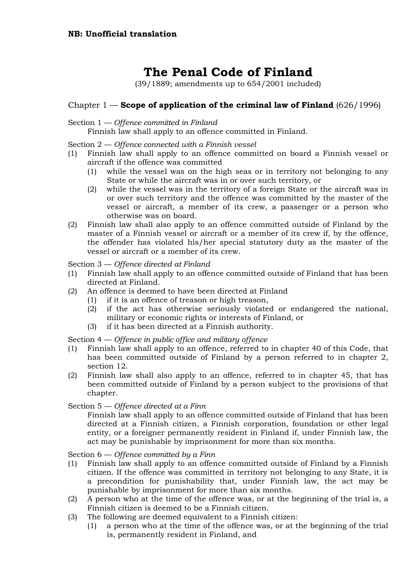# **The Penal Code of Finland**

(39/1889; amendments up to 654/2001 included)

# Chapter 1 — **Scope of application of the criminal law of Finland** (626/1996)

# Section 1 — *Offence committed in Finland*

Finnish law shall apply to an offence committed in Finland.

Section 2 — *Offence connected with a Finnish vessel*

- (1) Finnish law shall apply to an offence committed on board a Finnish vessel or aircraft if the offence was committed
	- (1) while the vessel was on the high seas or in territory not belonging to any State or while the aircraft was in or over such territory, or
	- (2) while the vessel was in the territory of a foreign State or the aircraft was in or over such territory and the offence was committed by the master of the vessel or aircraft, a member of its crew, a passenger or a person who otherwise was on board.
- (2) Finnish law shall also apply to an offence committed outside of Finland by the master of a Finnish vessel or aircraft or a member of its crew if, by the offence, the offender has violated his/her special statutory duty as the master of the vessel or aircraft or a member of its crew.

Section 3 — *Offence directed at Finland*

- (1) Finnish law shall apply to an offence committed outside of Finland that has been directed at Finland.
- (2) An offence is deemed to have been directed at Finland
	- (1) if it is an offence of treason or high treason,
	- (2) if the act has otherwise seriously violated or endangered the national, military or economic rights or interests of Finland, or
	- (3) if it has been directed at a Finnish authority.

Section 4 — *Offence in public office and military offence*

- (1) Finnish law shall apply to an offence, referred to in chapter 40 of this Code, that has been committed outside of Finland by a person referred to in chapter 2, section 12.
- (2) Finnish law shall also apply to an offence, referred to in chapter 45, that has been committed outside of Finland by a person subject to the provisions of that chapter.

Section 5 — *Offence directed at a Finn*

Finnish law shall apply to an offence committed outside of Finland that has been directed at a Finnish citizen, a Finnish corporation, foundation or other legal entity, or a foreigner permanently resident in Finland if, under Finnish law, the act may be punishable by imprisonment for more than six months.

Section 6 — *Offence committed by a Finn*

- (1) Finnish law shall apply to an offence committed outside of Finland by a Finnish citizen. If the offence was committed in territory not belonging to any State, it is a precondition for punishability that, under Finnish law, the act may be punishable by imprisonment for more than six months.
- (2) A person who at the time of the offence was, or at the beginning of the trial is, a Finnish citizen is deemed to be a Finnish citizen.
- (3) The following are deemed equivalent to a Finnish citizen:
	- (1) a person who at the time of the offence was, or at the beginning of the trial is, permanently resident in Finland, and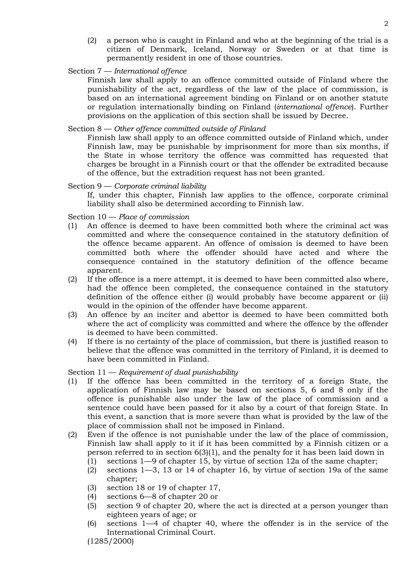(2) a person who is caught in Finland and who at the beginning of the trial is a citizen of Denmark, Iceland, Norway or Sweden or at that time is permanently resident in one of those countries.

2

Section 7 — *International offence*

Finnish law shall apply to an offence committed outside of Finland where the punishability of the act, regardless of the law of the place of commission, is based on an international agreement binding on Finland or on another statute or regulation internationally binding on Finland (*international offence*). Further provisions on the application of this section shall be issued by Decree.

# Section 8 — *Other offence committed outside of Finland*

Finnish law shall apply to an offence committed outside of Finland which, under Finnish law, may be punishable by imprisonment for more than six months, if the State in whose territory the offence was committed has requested that charges be brought in a Finnish court or that the offender be extradited because of the offence, but the extradition request has not been granted.

# Section 9 — *Corporate criminal liability*

If, under this chapter, Finnish law applies to the offence, corporate criminal liability shall also be determined according to Finnish law.

Section 10 — *Place of commission*

- (1) An offence is deemed to have been committed both where the criminal act was committed and where the consequence contained in the statutory definition of the offence became apparent. An offence of omission is deemed to have been committed both where the offender should have acted and where the consequence contained in the statutory definition of the offence became apparent.
- (2) If the offence is a mere attempt, it is deemed to have been committed also where, had the offence been completed, the consequence contained in the statutory definition of the offence either (i) would probably have become apparent or (ii) would in the opinion of the offender have become apparent.
- (3) An offence by an inciter and abettor is deemed to have been committed both where the act of complicity was committed and where the offence by the offender is deemed to have been committed.
- (4) If there is no certainty of the place of commission, but there is justified reason to believe that the offence was committed in the territory of Finland, it is deemed to have been committed in Finland.

Section 11 — *Requirement of dual punishability*

- (1) If the offence has been committed in the territory of a foreign State, the application of Finnish law may be based on sections 5, 6 and 8 only if the offence is punishable also under the law of the place of commission and a sentence could have been passed for it also by a court of that foreign State. In this event, a sanction that is more severe than what is provided by the law of the place of commission shall not be imposed in Finland.
- (2) Even if the offence is not punishable under the law of the place of commission, Finnish law shall apply to it if it has been committed by a Finnish citizen or a person referred to in section 6(3)(1), and the penalty for it has been laid down in
	- (1) sections 1—9 of chapter 15, by virtue of section 12a of the same chapter;
	- (2) sections 1—3, 13 or 14 of chapter 16, by virtue of section 19a of the same chapter;
	- (3) section 18 or 19 of chapter 17,
	- (4) sections 6—8 of chapter 20 or
	- (5) section 9 of chapter 20, where the act is directed at a person younger than eighteen years of age; or
	- (6) sections 1—4 of chapter 40, where the offender is in the service of the International Criminal Court.

(1285/2000)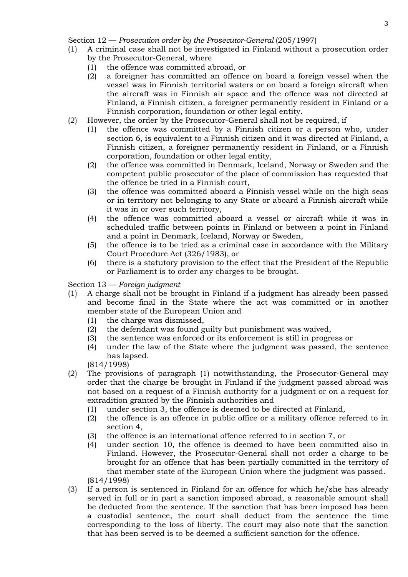Section 12 — *Prosecution order by the Prosecutor-General* (205/1997)

- (1) A criminal case shall not be investigated in Finland without a prosecution order by the Prosecutor-General, where
	- (1) the offence was committed abroad, or
	- (2) a foreigner has committed an offence on board a foreign vessel when the vessel was in Finnish territorial waters or on board a foreign aircraft when the aircraft was in Finnish air space and the offence was not directed at Finland, a Finnish citizen, a foreigner permanently resident in Finland or a Finnish corporation, foundation or other legal entity.
- (2) However, the order by the Prosecutor-General shall not be required, if
	- (1) the offence was committed by a Finnish citizen or a person who, under section 6, is equivalent to a Finnish citizen and it was directed at Finland, a Finnish citizen, a foreigner permanently resident in Finland, or a Finnish corporation, foundation or other legal entity,
	- (2) the offence was committed in Denmark, Iceland, Norway or Sweden and the competent public prosecutor of the place of commission has requested that the offence be tried in a Finnish court,
	- (3) the offence was committed aboard a Finnish vessel while on the high seas or in territory not belonging to any State or aboard a Finnish aircraft while it was in or over such territory,
	- (4) the offence was committed aboard a vessel or aircraft while it was in scheduled traffic between points in Finland or between a point in Finland and a point in Denmark, Iceland, Norway or Sweden,
	- (5) the offence is to be tried as a criminal case in accordance with the Military Court Procedure Act (326/1983), or
	- (6) there is a statutory provision to the effect that the President of the Republic or Parliament is to order any charges to be brought.

# Section 13 — *Foreign judgment*

- (1) A charge shall not be brought in Finland if a judgment has already been passed and become final in the State where the act was committed or in another member state of the European Union and
	- (1) the charge was dismissed,
	- (2) the defendant was found guilty but punishment was waived,
	- (3) the sentence was enforced or its enforcement is still in progress or
	- (4) under the law of the State where the judgment was passed, the sentence has lapsed.

(814/1998)

- (2) The provisions of paragraph (1) notwithstanding, the Prosecutor-General may order that the charge be brought in Finland if the judgment passed abroad was not based on a request of a Finnish authority for a judgment or on a request for extradition granted by the Finnish authorities and
	- (1) under section 3, the offence is deemed to be directed at Finland,
	- (2) the offence is an offence in public office or a military offence referred to in section 4,
	- (3) the offence is an international offence referred to in section 7, or
	- (4) under section 10, the offence is deemed to have been committed also in Finland. However, the Prosecutor-General shall not order a charge to be brought for an offence that has been partially committed in the territory of that member state of the European Union where the judgment was passed. (814/1998)
- (3) If a person is sentenced in Finland for an offence for which he/she has already served in full or in part a sanction imposed abroad, a reasonable amount shall be deducted from the sentence. If the sanction that has been imposed has been a custodial sentence, the court shall deduct from the sentence the time corresponding to the loss of liberty. The court may also note that the sanction that has been served is to be deemed a sufficient sanction for the offence.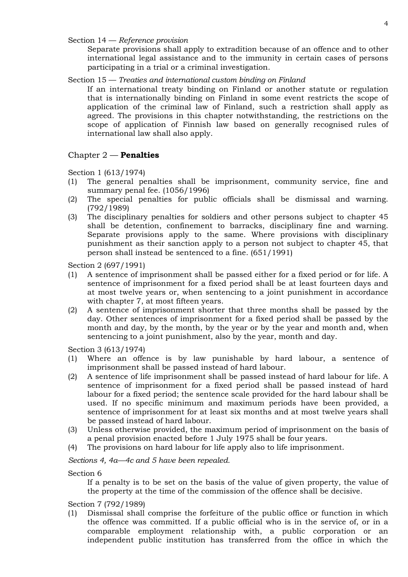Section 14 — *Reference provision*

Separate provisions shall apply to extradition because of an offence and to other international legal assistance and to the immunity in certain cases of persons participating in a trial or a criminal investigation.

Section 15 — *Treaties and international custom binding on Finland*

If an international treaty binding on Finland or another statute or regulation that is internationally binding on Finland in some event restricts the scope of application of the criminal law of Finland, such a restriction shall apply as agreed. The provisions in this chapter notwithstanding, the restrictions on the scope of application of Finnish law based on generally recognised rules of international law shall also apply.

### Chapter 2 — **Penalties**

Section 1 (613/1974)

- (1) The general penalties shall be imprisonment, community service, fine and summary penal fee. (1056/1996)
- (2) The special penalties for public officials shall be dismissal and warning. (792/1989)
- (3) The disciplinary penalties for soldiers and other persons subject to chapter 45 shall be detention, confinement to barracks, disciplinary fine and warning. Separate provisions apply to the same. Where provisions with disciplinary punishment as their sanction apply to a person not subject to chapter 45, that person shall instead be sentenced to a fine. (651/1991)

Section 2 (697/1991)

- (1) A sentence of imprisonment shall be passed either for a fixed period or for life. A sentence of imprisonment for a fixed period shall be at least fourteen days and at most twelve years or, when sentencing to a joint punishment in accordance with chapter 7, at most fifteen years.
- (2) A sentence of imprisonment shorter that three months shall be passed by the day. Other sentences of imprisonment for a fixed period shall be passed by the month and day, by the month, by the year or by the year and month and, when sentencing to a joint punishment, also by the year, month and day.

Section 3 (613/1974)

- (1) Where an offence is by law punishable by hard labour, a sentence of imprisonment shall be passed instead of hard labour.
- (2) A sentence of life imprisonment shall be passed instead of hard labour for life. A sentence of imprisonment for a fixed period shall be passed instead of hard labour for a fixed period; the sentence scale provided for the hard labour shall be used. If no specific minimum and maximum periods have been provided, a sentence of imprisonment for at least six months and at most twelve years shall be passed instead of hard labour.
- (3) Unless otherwise provided, the maximum period of imprisonment on the basis of a penal provision enacted before 1 July 1975 shall be four years.
- (4) The provisions on hard labour for life apply also to life imprisonment.

*Sections 4, 4a—4c and 5 have been repealed.*

Section 6

If a penalty is to be set on the basis of the value of given property, the value of the property at the time of the commission of the offence shall be decisive.

Section 7 (792/1989)

(1) Dismissal shall comprise the forfeiture of the public office or function in which the offence was committed. If a public official who is in the service of, or in a comparable employment relationship with, a public corporation or an independent public institution has transferred from the office in which the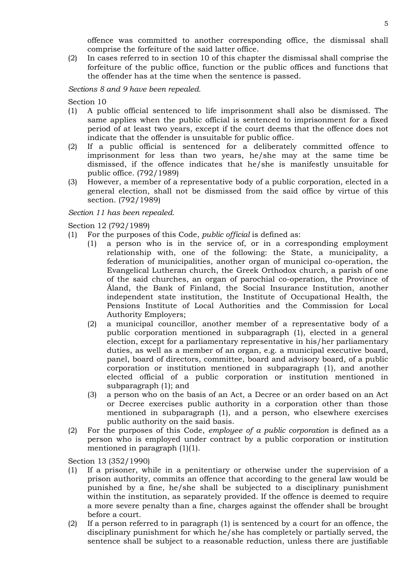offence was committed to another corresponding office, the dismissal shall comprise the forfeiture of the said latter office.

(2) In cases referred to in section 10 of this chapter the dismissal shall comprise the forfeiture of the public office, function or the public offices and functions that the offender has at the time when the sentence is passed.

# *Sections 8 and 9 have been repealed.*

Section 10

- (1) A public official sentenced to life imprisonment shall also be dismissed. The same applies when the public official is sentenced to imprisonment for a fixed period of at least two years, except if the court deems that the offence does not indicate that the offender is unsuitable for public office.
- (2) If a public official is sentenced for a deliberately committed offence to imprisonment for less than two years, he/she may at the same time be dismissed, if the offence indicates that he/she is manifestly unsuitable for public office. (792/1989)
- (3) However, a member of a representative body of a public corporation, elected in a general election, shall not be dismissed from the said office by virtue of this section. (792/1989)

# *Section 11 has been repealed.*

Section 12 (792/1989)

- (1) For the purposes of this Code, *public official* is defined as:
	- (1) a person who is in the service of, or in a corresponding employment relationship with, one of the following: the State, a municipality, a federation of municipalities, another organ of municipal co-operation, the Evangelical Lutheran church, the Greek Orthodox church, a parish of one of the said churches, an organ of parochial co-operation, the Province of Åland, the Bank of Finland, the Social Insurance Institution, another independent state institution, the Institute of Occupational Health, the Pensions Institute of Local Authorities and the Commission for Local Authority Employers;
	- (2) a municipal councillor, another member of a representative body of a public corporation mentioned in subparagraph (1), elected in a general election, except for a parliamentary representative in his/her parliamentary duties, as well as a member of an organ, e.g. a municipal executive board, panel, board of directors, committee, board and advisory board, of a public corporation or institution mentioned in subparagraph (1), and another elected official of a public corporation or institution mentioned in subparagraph (1); and
	- (3) a person who on the basis of an Act, a Decree or an order based on an Act or Decree exercises public authority in a corporation other than those mentioned in subparagraph (1), and a person, who elsewhere exercises public authority on the said basis.
- (2) For the purposes of this Code, *employee of a public corporation* is defined as a person who is employed under contract by a public corporation or institution mentioned in paragraph (1)(1).

Section 13 (352/1990)

- (1) If a prisoner, while in a penitentiary or otherwise under the supervision of a prison authority, commits an offence that according to the general law would be punished by a fine, he/she shall be subjected to a disciplinary punishment within the institution, as separately provided. If the offence is deemed to require a more severe penalty than a fine, charges against the offender shall be brought before a court.
- (2) If a person referred to in paragraph (1) is sentenced by a court for an offence, the disciplinary punishment for which he/she has completely or partially served, the sentence shall be subject to a reasonable reduction, unless there are justifiable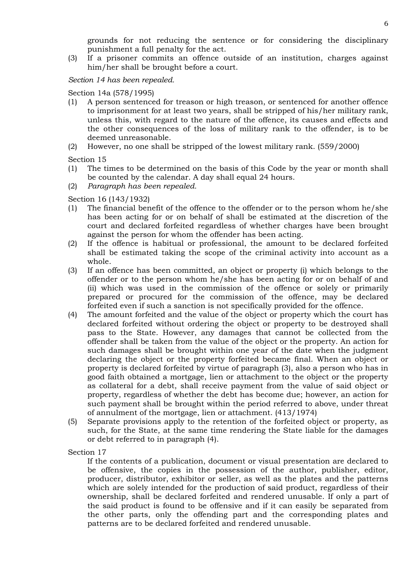grounds for not reducing the sentence or for considering the disciplinary punishment a full penalty for the act.

(3) If a prisoner commits an offence outside of an institution, charges against him/her shall be brought before a court.

### *Section 14 has been repealed.*

Section 14a (578/1995)

- (1) A person sentenced for treason or high treason, or sentenced for another offence to imprisonment for at least two years, shall be stripped of his/her military rank, unless this, with regard to the nature of the offence, its causes and effects and the other consequences of the loss of military rank to the offender, is to be deemed unreasonable.
- (2) However, no one shall be stripped of the lowest military rank. (559/2000)

Section 15

- (1) The times to be determined on the basis of this Code by the year or month shall be counted by the calendar. A day shall equal 24 hours.
- (2) *Paragraph has been repealed.*

Section 16 (143/1932)

- (1) The financial benefit of the offence to the offender or to the person whom he/she has been acting for or on behalf of shall be estimated at the discretion of the court and declared forfeited regardless of whether charges have been brought against the person for whom the offender has been acting.
- (2) If the offence is habitual or professional, the amount to be declared forfeited shall be estimated taking the scope of the criminal activity into account as a whole.
- (3) If an offence has been committed, an object or property (i) which belongs to the offender or to the person whom he/she has been acting for or on behalf of and (ii) which was used in the commission of the offence or solely or primarily prepared or procured for the commission of the offence, may be declared forfeited even if such a sanction is not specifically provided for the offence.
- (4) The amount forfeited and the value of the object or property which the court has declared forfeited without ordering the object or property to be destroyed shall pass to the State. However, any damages that cannot be collected from the offender shall be taken from the value of the object or the property. An action for such damages shall be brought within one year of the date when the judgment declaring the object or the property forfeited became final. When an object or property is declared forfeited by virtue of paragraph (3), also a person who has in good faith obtained a mortgage, lien or attachment to the object or the property as collateral for a debt, shall receive payment from the value of said object or property, regardless of whether the debt has become due; however, an action for such payment shall be brought within the period referred to above, under threat of annulment of the mortgage, lien or attachment. (413/1974)
- (5) Separate provisions apply to the retention of the forfeited object or property, as such, for the State, at the same time rendering the State liable for the damages or debt referred to in paragraph (4).

Section 17

If the contents of a publication, document or visual presentation are declared to be offensive, the copies in the possession of the author, publisher, editor, producer, distributor, exhibitor or seller, as well as the plates and the patterns which are solely intended for the production of said product, regardless of their ownership, shall be declared forfeited and rendered unusable. If only a part of the said product is found to be offensive and if it can easily be separated from the other parts, only the offending part and the corresponding plates and patterns are to be declared forfeited and rendered unusable.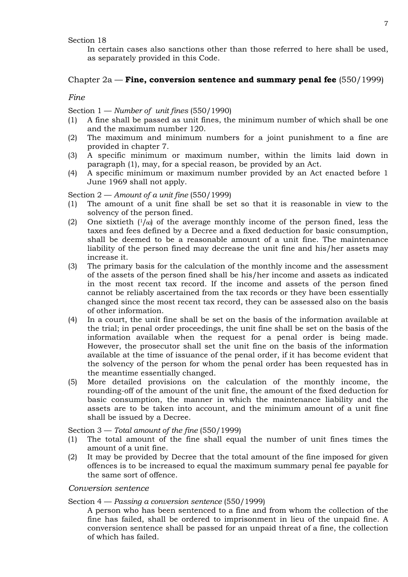Section 18

In certain cases also sanctions other than those referred to here shall be used, as separately provided in this Code.

# Chapter 2a — **Fine, conversion sentence and summary penal fee** (550/1999)

### *Fine*

Section 1 — *Number of unit fines* (550/1990)

- (1) A fine shall be passed as unit fines, the minimum number of which shall be one and the maximum number 120.
- (2) The maximum and minimum numbers for a joint punishment to a fine are provided in chapter 7.
- (3) A specific minimum or maximum number, within the limits laid down in paragraph (1), may, for a special reason, be provided by an Act.
- (4) A specific minimum or maximum number provided by an Act enacted before 1 June 1969 shall not apply.

Section 2 — *Amount of a unit fine* (550/1999)

- (1) The amount of a unit fine shall be set so that it is reasonable in view to the solvency of the person fined.
- (2) One sixtieth  $(1/\omega)$  of the average monthly income of the person fined, less the taxes and fees defined by a Decree and a fixed deduction for basic consumption, shall be deemed to be a reasonable amount of a unit fine. The maintenance liability of the person fined may decrease the unit fine and his/her assets may increase it.
- (3) The primary basis for the calculation of the monthly income and the assessment of the assets of the person fined shall be his/her income and assets as indicated in the most recent tax record. If the income and assets of the person fined cannot be reliably ascertained from the tax records or they have been essentially changed since the most recent tax record, they can be assessed also on the basis of other information.
- (4) In a court, the unit fine shall be set on the basis of the information available at the trial; in penal order proceedings, the unit fine shall be set on the basis of the information available when the request for a penal order is being made. However, the prosecutor shall set the unit fine on the basis of the information available at the time of issuance of the penal order, if it has become evident that the solvency of the person for whom the penal order has been requested has in the meantime essentially changed.
- (5) More detailed provisions on the calculation of the monthly income, the rounding-off of the amount of the unit fine, the amount of the fixed deduction for basic consumption, the manner in which the maintenance liability and the assets are to be taken into account, and the minimum amount of a unit fine shall be issued by a Decree.

Section 3 — *Total amount of the fine* (550/1999)

- (1) The total amount of the fine shall equal the number of unit fines times the amount of a unit fine.
- (2) It may be provided by Decree that the total amount of the fine imposed for given offences is to be increased to equal the maximum summary penal fee payable for the same sort of offence.

### *Conversion sentence*

#### Section 4 — *Passing a conversion sentence* (550/1999)

A person who has been sentenced to a fine and from whom the collection of the fine has failed, shall be ordered to imprisonment in lieu of the unpaid fine. A conversion sentence shall be passed for an unpaid threat of a fine, the collection of which has failed.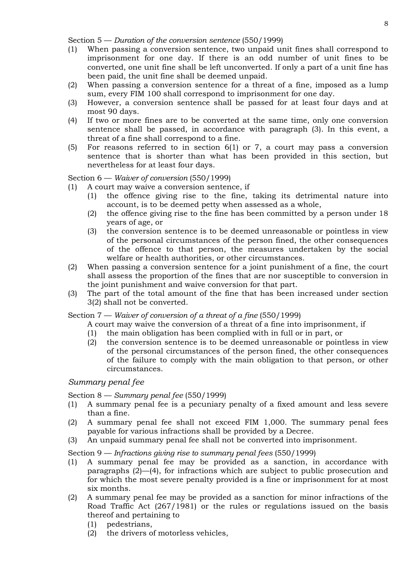Section 5 — *Duration of the conversion sentence* (550/1999)

- (1) When passing a conversion sentence, two unpaid unit fines shall correspond to imprisonment for one day. If there is an odd number of unit fines to be converted, one unit fine shall be left unconverted. If only a part of a unit fine has been paid, the unit fine shall be deemed unpaid.
- (2) When passing a conversion sentence for a threat of a fine, imposed as a lump sum, every FIM 100 shall correspond to imprisonment for one day.
- (3) However, a conversion sentence shall be passed for at least four days and at most 90 days.
- (4) If two or more fines are to be converted at the same time, only one conversion sentence shall be passed, in accordance with paragraph (3). In this event, a threat of a fine shall correspond to a fine.
- (5) For reasons referred to in section 6(1) or 7, a court may pass a conversion sentence that is shorter than what has been provided in this section, but nevertheless for at least four days.

Section 6 — *Waiver of conversion* (550/1999)

(1) A court may waive a conversion sentence, if

- (1) the offence giving rise to the fine, taking its detrimental nature into account, is to be deemed petty when assessed as a whole,
- (2) the offence giving rise to the fine has been committed by a person under 18 years of age, or
- (3) the conversion sentence is to be deemed unreasonable or pointless in view of the personal circumstances of the person fined, the other consequences of the offence to that person, the measures undertaken by the social welfare or health authorities, or other circumstances.
- (2) When passing a conversion sentence for a joint punishment of a fine, the court shall assess the proportion of the fines that are nor susceptible to conversion in the joint punishment and waive conversion for that part.
- (3) The part of the total amount of the fine that has been increased under section 3(2) shall not be converted.

Section 7 — *Waiver of conversion of a threat of a fine* (550/1999)

A court may waive the conversion of a threat of a fine into imprisonment, if

- (1) the main obligation has been complied with in full or in part, or
- (2) the conversion sentence is to be deemed unreasonable or pointless in view of the personal circumstances of the person fined, the other consequences of the failure to comply with the main obligation to that person, or other circumstances.

# *Summary penal fee*

Section 8 — *Summary penal fee* (550/1999)

- (1) A summary penal fee is a pecuniary penalty of a fixed amount and less severe than a fine.
- (2) A summary penal fee shall not exceed FIM 1,000. The summary penal fees payable for various infractions shall be provided by a Decree.
- (3) An unpaid summary penal fee shall not be converted into imprisonment.

Section 9 — *Infractions giving rise to summary penal fees* (550/1999)

- (1) A summary penal fee may be provided as a sanction, in accordance with paragraphs (2)—(4), for infractions which are subject to public prosecution and for which the most severe penalty provided is a fine or imprisonment for at most six months.
- (2) A summary penal fee may be provided as a sanction for minor infractions of the Road Traffic Act (267/1981) or the rules or regulations issued on the basis thereof and pertaining to
	- (1) pedestrians,
	- (2) the drivers of motorless vehicles,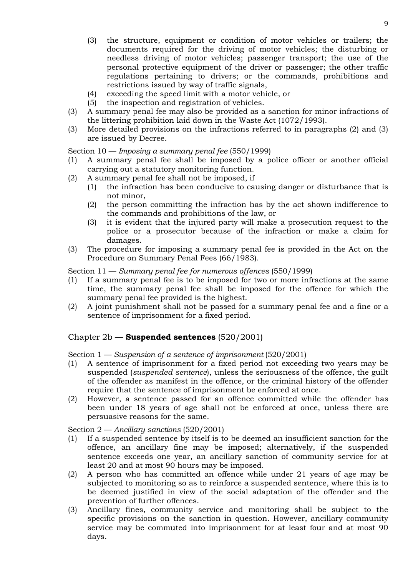- (3) the structure, equipment or condition of motor vehicles or trailers; the documents required for the driving of motor vehicles; the disturbing or needless driving of motor vehicles; passenger transport; the use of the personal protective equipment of the driver or passenger; the other traffic regulations pertaining to drivers; or the commands, prohibitions and restrictions issued by way of traffic signals,
- (4) exceeding the speed limit with a motor vehicle, or
- (5) the inspection and registration of vehicles.
- (3) A summary penal fee may also be provided as a sanction for minor infractions of the littering prohibition laid down in the Waste Act (1072/1993).
- (3) More detailed provisions on the infractions referred to in paragraphs (2) and (3) are issued by Decree.

Section 10 — *Imposing a summary penal fee* (550/1999)

- (1) A summary penal fee shall be imposed by a police officer or another official carrying out a statutory monitoring function.
- (2) A summary penal fee shall not be imposed, if
	- (1) the infraction has been conducive to causing danger or disturbance that is not minor,
	- (2) the person committing the infraction has by the act shown indifference to the commands and prohibitions of the law, or
	- (3) it is evident that the injured party will make a prosecution request to the police or a prosecutor because of the infraction or make a claim for damages.
- (3) The procedure for imposing a summary penal fee is provided in the Act on the Procedure on Summary Penal Fees (66/1983).

Section 11 — *Summary penal fee for numerous offences* (550/1999)

- (1) If a summary penal fee is to be imposed for two or more infractions at the same time, the summary penal fee shall be imposed for the offence for which the summary penal fee provided is the highest.
- (2) A joint punishment shall not be passed for a summary penal fee and a fine or a sentence of imprisonment for a fixed period.

# Chapter 2b — **Suspended sentences** (520/2001)

Section 1 — *Suspension of a sentence of imprisonment* (520/2001)

- (1) A sentence of imprisonment for a fixed period not exceeding two years may be suspended (*suspended sentence*), unless the seriousness of the offence, the guilt of the offender as manifest in the offence, or the criminal history of the offender require that the sentence of imprisonment be enforced at once.
- (2) However, a sentence passed for an offence committed while the offender has been under 18 years of age shall not be enforced at once, unless there are persuasive reasons for the same.

Section 2 — *Ancillary sanctions* (520/2001)

- (1) If a suspended sentence by itself is to be deemed an insufficient sanction for the offence, an ancillary fine may be imposed; alternatively, if the suspended sentence exceeds one year, an ancillary sanction of community service for at least 20 and at most 90 hours may be imposed.
- (2) A person who has committed an offence while under 21 years of age may be subjected to monitoring so as to reinforce a suspended sentence, where this is to be deemed justified in view of the social adaptation of the offender and the prevention of further offences.
- (3) Ancillary fines, community service and monitoring shall be subject to the specific provisions on the sanction in question. However, ancillary community service may be commuted into imprisonment for at least four and at most 90 days.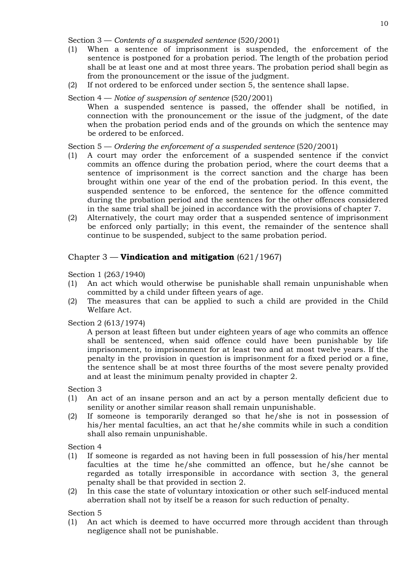Section 3 — *Contents of a suspended sentence* (520/2001)

- (1) When a sentence of imprisonment is suspended, the enforcement of the sentence is postponed for a probation period. The length of the probation period shall be at least one and at most three years. The probation period shall begin as from the pronouncement or the issue of the judgment.
- (2) If not ordered to be enforced under section 5, the sentence shall lapse.
- Section 4 *Notice of suspension of sentence* (520/2001)

When a suspended sentence is passed, the offender shall be notified, in connection with the pronouncement or the issue of the judgment, of the date when the probation period ends and of the grounds on which the sentence may be ordered to be enforced.

Section 5 — *Ordering the enforcement of a suspended sentence* (520/2001)

- (1) A court may order the enforcement of a suspended sentence if the convict commits an offence during the probation period, where the court deems that a sentence of imprisonment is the correct sanction and the charge has been brought within one year of the end of the probation period. In this event, the suspended sentence to be enforced, the sentence for the offence committed during the probation period and the sentences for the other offences considered in the same trial shall be joined in accordance with the provisions of chapter 7.
- (2) Alternatively, the court may order that a suspended sentence of imprisonment be enforced only partially; in this event, the remainder of the sentence shall continue to be suspended, subject to the same probation period.

# Chapter 3 — **Vindication and mitigation** (621/1967)

Section 1 (263/1940)

- (1) An act which would otherwise be punishable shall remain unpunishable when committed by a child under fifteen years of age.
- (2) The measures that can be applied to such a child are provided in the Child Welfare Act.

Section 2 (613/1974)

A person at least fifteen but under eighteen years of age who commits an offence shall be sentenced, when said offence could have been punishable by life imprisonment, to imprisonment for at least two and at most twelve years. If the penalty in the provision in question is imprisonment for a fixed period or a fine, the sentence shall be at most three fourths of the most severe penalty provided and at least the minimum penalty provided in chapter 2.

Section 3

- (1) An act of an insane person and an act by a person mentally deficient due to senility or another similar reason shall remain unpunishable.
- (2) If someone is temporarily deranged so that he/she is not in possession of his/her mental faculties, an act that he/she commits while in such a condition shall also remain unpunishable.

Section 4

- (1) If someone is regarded as not having been in full possession of his/her mental faculties at the time he/she committed an offence, but he/she cannot be regarded as totally irresponsible in accordance with section 3, the general penalty shall be that provided in section 2.
- (2) In this case the state of voluntary intoxication or other such self-induced mental aberration shall not by itself be a reason for such reduction of penalty.

Section 5

(1) An act which is deemed to have occurred more through accident than through negligence shall not be punishable.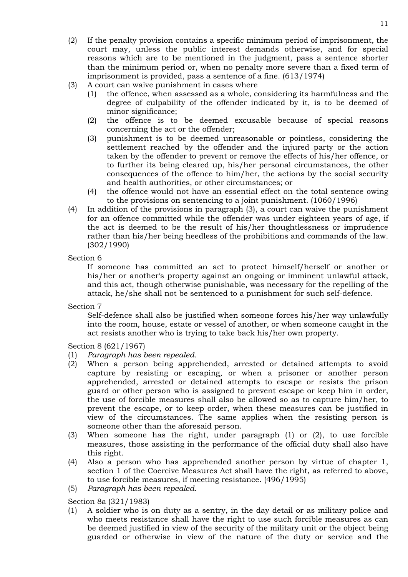- (2) If the penalty provision contains a specific minimum period of imprisonment, the court may, unless the public interest demands otherwise, and for special reasons which are to be mentioned in the judgment, pass a sentence shorter than the minimum period or, when no penalty more severe than a fixed term of imprisonment is provided, pass a sentence of a fine. (613/1974)
- (3) A court can waive punishment in cases where
	- (1) the offence, when assessed as a whole, considering its harmfulness and the degree of culpability of the offender indicated by it, is to be deemed of minor significance;
	- (2) the offence is to be deemed excusable because of special reasons concerning the act or the offender;
	- (3) punishment is to be deemed unreasonable or pointless, considering the settlement reached by the offender and the injured party or the action taken by the offender to prevent or remove the effects of his/her offence, or to further its being cleared up, his/her personal circumstances, the other consequences of the offence to him/her, the actions by the social security and health authorities, or other circumstances; or
	- (4) the offence would not have an essential effect on the total sentence owing to the provisions on sentencing to a joint punishment. (1060/1996)
- (4) In addition of the provisions in paragraph (3), a court can waive the punishment for an offence committed while the offender was under eighteen years of age, if the act is deemed to be the result of his/her thoughtlessness or imprudence rather than his/her being heedless of the prohibitions and commands of the law. (302/1990)

# Section 6

If someone has committed an act to protect himself/herself or another or his/her or another's property against an ongoing or imminent unlawful attack, and this act, though otherwise punishable, was necessary for the repelling of the attack, he/she shall not be sentenced to a punishment for such self-defence.

Section 7

Self-defence shall also be justified when someone forces his/her way unlawfully into the room, house, estate or vessel of another, or when someone caught in the act resists another who is trying to take back his/her own property.

Section 8 (621/1967)

- (1) *Paragraph has been repealed.*
- (2) When a person being apprehended, arrested or detained attempts to avoid capture by resisting or escaping, or when a prisoner or another person apprehended, arrested or detained attempts to escape or resists the prison guard or other person who is assigned to prevent escape or keep him in order, the use of forcible measures shall also be allowed so as to capture him/her, to prevent the escape, or to keep order, when these measures can be justified in view of the circumstances. The same applies when the resisting person is someone other than the aforesaid person.
- (3) When someone has the right, under paragraph (1) or (2), to use forcible measures, those assisting in the performance of the official duty shall also have this right.
- (4) Also a person who has apprehended another person by virtue of chapter 1, section 1 of the Coercive Measures Act shall have the right, as referred to above, to use forcible measures, if meeting resistance. (496/1995)
- (5) *Paragraph has been repealed.*

Section 8a (321/1983)

(1) A soldier who is on duty as a sentry, in the day detail or as military police and who meets resistance shall have the right to use such forcible measures as can be deemed justified in view of the security of the military unit or the object being guarded or otherwise in view of the nature of the duty or service and the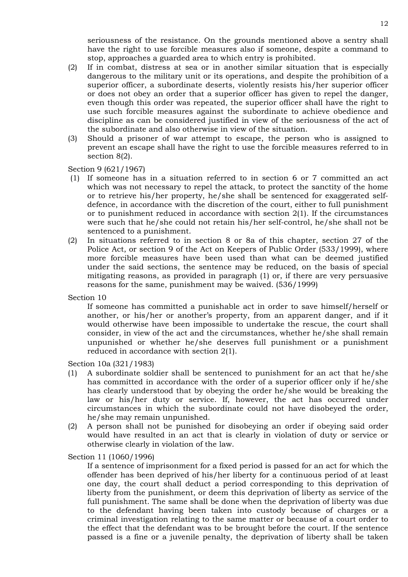seriousness of the resistance. On the grounds mentioned above a sentry shall have the right to use forcible measures also if someone, despite a command to stop, approaches a guarded area to which entry is prohibited.

- (2) If in combat, distress at sea or in another similar situation that is especially dangerous to the military unit or its operations, and despite the prohibition of a superior officer, a subordinate deserts, violently resists his/her superior officer or does not obey an order that a superior officer has given to repel the danger, even though this order was repeated, the superior officer shall have the right to use such forcible measures against the subordinate to achieve obedience and discipline as can be considered justified in view of the seriousness of the act of the subordinate and also otherwise in view of the situation.
- (3) Should a prisoner of war attempt to escape, the person who is assigned to prevent an escape shall have the right to use the forcible measures referred to in section 8(2).

Section 9 (621/1967)

- (1) If someone has in a situation referred to in section 6 or 7 committed an act which was not necessary to repel the attack, to protect the sanctity of the home or to retrieve his/her property, he/she shall be sentenced for exaggerated selfdefence, in accordance with the discretion of the court, either to full punishment or to punishment reduced in accordance with section 2(1). If the circumstances were such that he/she could not retain his/her self-control, he/she shall not be sentenced to a punishment.
- (2) In situations referred to in section 8 or 8a of this chapter, section 27 of the Police Act, or section 9 of the Act on Keepers of Public Order (533/1999), where more forcible measures have been used than what can be deemed justified under the said sections, the sentence may be reduced, on the basis of special mitigating reasons, as provided in paragraph (1) or, if there are very persuasive reasons for the same, punishment may be waived. (536/1999)

Section 10

If someone has committed a punishable act in order to save himself/herself or another, or his/her or another's property, from an apparent danger, and if it would otherwise have been impossible to undertake the rescue, the court shall consider, in view of the act and the circumstances, whether he/she shall remain unpunished or whether he/she deserves full punishment or a punishment reduced in accordance with section 2(1).

Section 10a (321/1983)

- (1) A subordinate soldier shall be sentenced to punishment for an act that he/she has committed in accordance with the order of a superior officer only if he/she has clearly understood that by obeying the order he/she would be breaking the law or his/her duty or service. If, however, the act has occurred under circumstances in which the subordinate could not have disobeyed the order, he/she may remain unpunished.
- (2) A person shall not be punished for disobeying an order if obeying said order would have resulted in an act that is clearly in violation of duty or service or otherwise clearly in violation of the law.

Section 11 (1060/1996)

If a sentence of imprisonment for a fixed period is passed for an act for which the offender has been deprived of his/her liberty for a continuous period of at least one day, the court shall deduct a period corresponding to this deprivation of liberty from the punishment, or deem this deprivation of liberty as service of the full punishment. The same shall be done when the deprivation of liberty was due to the defendant having been taken into custody because of charges or a criminal investigation relating to the same matter or because of a court order to the effect that the defendant was to be brought before the court. If the sentence passed is a fine or a juvenile penalty, the deprivation of liberty shall be taken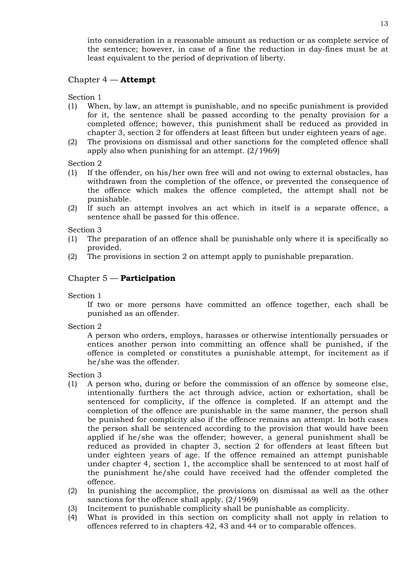into consideration in a reasonable amount as reduction or as complete service of the sentence; however, in case of a fine the reduction in day-fines must be at least equivalent to the period of deprivation of liberty.

# Chapter 4 — **Attempt**

Section 1

- (1) When, by law, an attempt is punishable, and no specific punishment is provided for it, the sentence shall be passed according to the penalty provision for a completed offence; however, this punishment shall be reduced as provided in chapter 3, section 2 for offenders at least fifteen but under eighteen years of age.
- (2) The provisions on dismissal and other sanctions for the completed offence shall apply also when punishing for an attempt. (2/1969)

Section 2

- (1) If the offender, on his/her own free will and not owing to external obstacles, has withdrawn from the completion of the offence, or prevented the consequence of the offence which makes the offence completed, the attempt shall not be punishable.
- (2) If such an attempt involves an act which in itself is a separate offence, a sentence shall be passed for this offence.

Section 3

- (1) The preparation of an offence shall be punishable only where it is specifically so provided.
- (2) The provisions in section 2 on attempt apply to punishable preparation.

# Chapter 5 — **Participation**

Section 1

If two or more persons have committed an offence together, each shall be punished as an offender.

Section 2

A person who orders, employs, harasses or otherwise intentionally persuades or entices another person into committing an offence shall be punished, if the offence is completed or constitutes a punishable attempt, for incitement as if he/she was the offender.

Section 3

- (1) A person who, during or before the commission of an offence by someone else, intentionally furthers the act through advice, action or exhortation, shall be sentenced for complicity, if the offence is completed. If an attempt and the completion of the offence are punishable in the same manner, the person shall be punished for complicity also if the offence remains an attempt. In both cases the person shall be sentenced according to the provision that would have been applied if he/she was the offender; however, a general punishment shall be reduced as provided in chapter 3, section 2 for offenders at least fifteen but under eighteen years of age. If the offence remained an attempt punishable under chapter 4, section 1, the accomplice shall be sentenced to at most half of the punishment he/she could have received had the offender completed the offence.
- (2) In punishing the accomplice, the provisions on dismissal as well as the other sanctions for the offence shall apply. (2/1969)
- (3) Incitement to punishable complicity shall be punishable as complicity.
- (4) What is provided in this section on complicity shall not apply in relation to offences referred to in chapters 42, 43 and 44 or to comparable offences.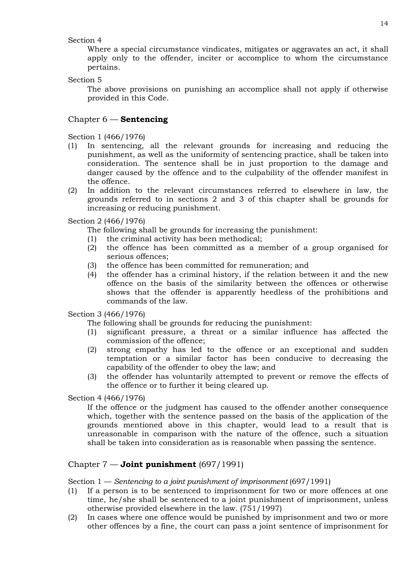### Section 4

Where a special circumstance vindicates, mitigates or aggravates an act, it shall apply only to the offender, inciter or accomplice to whom the circumstance pertains.

Section 5

The above provisions on punishing an accomplice shall not apply if otherwise provided in this Code.

# Chapter 6 — **Sentencing**

Section 1 (466/1976)

- (1) In sentencing, all the relevant grounds for increasing and reducing the punishment, as well as the uniformity of sentencing practice, shall be taken into consideration. The sentence shall be in just proportion to the damage and danger caused by the offence and to the culpability of the offender manifest in the offence.
- (2) In addition to the relevant circumstances referred to elsewhere in law, the grounds referred to in sections 2 and 3 of this chapter shall be grounds for increasing or reducing punishment.

Section 2 (466/1976)

The following shall be grounds for increasing the punishment:

- (1) the criminal activity has been methodical;
- (2) the offence has been committed as a member of a group organised for serious offences;
- (3) the offence has been committed for remuneration; and
- (4) the offender has a criminal history, if the relation between it and the new offence on the basis of the similarity between the offences or otherwise shows that the offender is apparently heedless of the prohibitions and commands of the law.

Section 3 (466/1976)

The following shall be grounds for reducing the punishment:

- (1) significant pressure, a threat or a similar influence has affected the commission of the offence;
- (2) strong empathy has led to the offence or an exceptional and sudden temptation or a similar factor has been conducive to decreasing the capability of the offender to obey the law; and
- (3) the offender has voluntarily attempted to prevent or remove the effects of the offence or to further it being cleared up.

Section 4 (466/1976)

If the offence or the judgment has caused to the offender another consequence which, together with the sentence passed on the basis of the application of the grounds mentioned above in this chapter, would lead to a result that is unreasonable in comparison with the nature of the offence, such a situation shall be taken into consideration as is reasonable when passing the sentence.

# Chapter 7 — **Joint punishment** (697/1991)

Section 1 — *Sentencing to a joint punishment of imprisonment* (697/1991)

- (1) If a person is to be sentenced to imprisonment for two or more offences at one time, he/she shall be sentenced to a joint punishment of imprisonment, unless otherwise provided elsewhere in the law. (751/1997)
- (2) In cases where one offence would be punished by imprisonment and two or more other offences by a fine, the court can pass a joint sentence of imprisonment for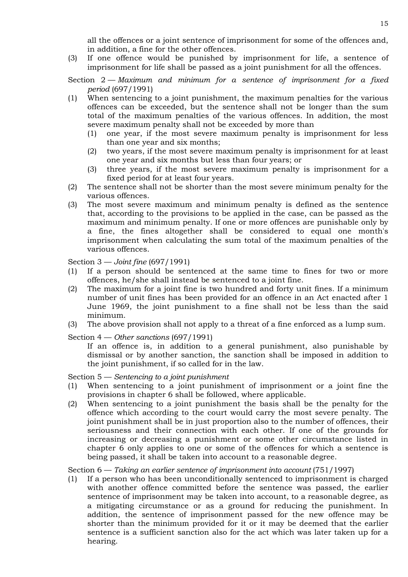all the offences or a joint sentence of imprisonment for some of the offences and, in addition, a fine for the other offences.

(3) If one offence would be punished by imprisonment for life, a sentence of imprisonment for life shall be passed as a joint punishment for all the offences.

Section 2 — *Maximum and minimum for a sentence of imprisonment for a fixed period* (697/1991)

- (1) When sentencing to a joint punishment, the maximum penalties for the various offences can be exceeded, but the sentence shall not be longer than the sum total of the maximum penalties of the various offences. In addition, the most severe maximum penalty shall not be exceeded by more than
	- (1) one year, if the most severe maximum penalty is imprisonment for less than one year and six months;
	- (2) two years, if the most severe maximum penalty is imprisonment for at least one year and six months but less than four years; or
	- (3) three years, if the most severe maximum penalty is imprisonment for a fixed period for at least four years.
- (2) The sentence shall not be shorter than the most severe minimum penalty for the various offences.
- (3) The most severe maximum and minimum penalty is defined as the sentence that, according to the provisions to be applied in the case, can be passed as the maximum and minimum penalty. If one or more offences are punishable only by a fine, the fines altogether shall be considered to equal one month's imprisonment when calculating the sum total of the maximum penalties of the various offences.

Section 3 — *Joint fine* (697/1991)

- (1) If a person should be sentenced at the same time to fines for two or more offences, he/she shall instead be sentenced to a joint fine.
- (2) The maximum for a joint fine is two hundred and forty unit fines. If a minimum number of unit fines has been provided for an offence in an Act enacted after 1 June 1969, the joint punishment to a fine shall not be less than the said minimum.
- (3) The above provision shall not apply to a threat of a fine enforced as a lump sum.
- Section 4 *Other sanctions* (697/1991)

If an offence is, in addition to a general punishment, also punishable by dismissal or by another sanction, the sanction shall be imposed in addition to the joint punishment, if so called for in the law.

Section 5 — *Sentencing to a joint punishment*

- (1) When sentencing to a joint punishment of imprisonment or a joint fine the provisions in chapter 6 shall be followed, where applicable.
- (2) When sentencing to a joint punishment the basis shall be the penalty for the offence which according to the court would carry the most severe penalty. The joint punishment shall be in just proportion also to the number of offences, their seriousness and their connection with each other. If one of the grounds for increasing or decreasing a punishment or some other circumstance listed in chapter 6 only applies to one or some of the offences for which a sentence is being passed, it shall be taken into account to a reasonable degree.

Section 6 — *Taking an earlier sentence of imprisonment into account* (751/1997)

(1) If a person who has been unconditionally sentenced to imprisonment is charged with another offence committed before the sentence was passed, the earlier sentence of imprisonment may be taken into account, to a reasonable degree, as a mitigating circumstance or as a ground for reducing the punishment. In addition, the sentence of imprisonment passed for the new offence may be shorter than the minimum provided for it or it may be deemed that the earlier sentence is a sufficient sanction also for the act which was later taken up for a hearing.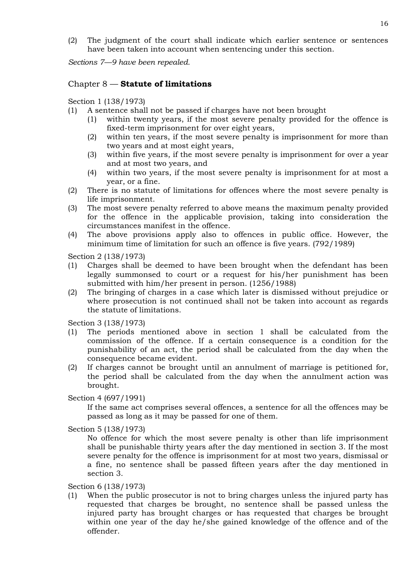(2) The judgment of the court shall indicate which earlier sentence or sentences have been taken into account when sentencing under this section.

*Sections 7—9 have been repealed.*

# Chapter 8 — **Statute of limitations**

Section 1 (138/1973)

- (1) A sentence shall not be passed if charges have not been brought
	- (1) within twenty years, if the most severe penalty provided for the offence is fixed-term imprisonment for over eight years,
	- (2) within ten years, if the most severe penalty is imprisonment for more than two years and at most eight years,
	- (3) within five years, if the most severe penalty is imprisonment for over a year and at most two years, and
	- (4) within two years, if the most severe penalty is imprisonment for at most a year, or a fine.
- (2) There is no statute of limitations for offences where the most severe penalty is life imprisonment.
- (3) The most severe penalty referred to above means the maximum penalty provided for the offence in the applicable provision, taking into consideration the circumstances manifest in the offence.
- (4) The above provisions apply also to offences in public office. However, the minimum time of limitation for such an offence is five years. (792/1989)

Section 2 (138/1973)

- (1) Charges shall be deemed to have been brought when the defendant has been legally summonsed to court or a request for his/her punishment has been submitted with him/her present in person. (1256/1988)
- (2) The bringing of charges in a case which later is dismissed without prejudice or where prosecution is not continued shall not be taken into account as regards the statute of limitations.

Section 3 (138/1973)

- (1) The periods mentioned above in section 1 shall be calculated from the commission of the offence. If a certain consequence is a condition for the punishability of an act, the period shall be calculated from the day when the consequence became evident.
- (2) If charges cannot be brought until an annulment of marriage is petitioned for, the period shall be calculated from the day when the annulment action was brought.

Section 4 (697/1991)

If the same act comprises several offences, a sentence for all the offences may be passed as long as it may be passed for one of them.

Section 5 (138/1973)

No offence for which the most severe penalty is other than life imprisonment shall be punishable thirty years after the day mentioned in section 3. If the most severe penalty for the offence is imprisonment for at most two years, dismissal or a fine, no sentence shall be passed fifteen years after the day mentioned in section 3.

Section 6 (138/1973)

(1) When the public prosecutor is not to bring charges unless the injured party has requested that charges be brought, no sentence shall be passed unless the injured party has brought charges or has requested that charges be brought within one year of the day he/she gained knowledge of the offence and of the offender.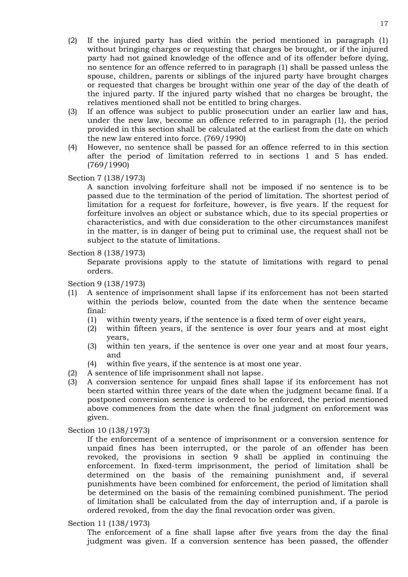- (3) If an offence was subject to public prosecution under an earlier law and has, under the new law, become an offence referred to in paragraph (1), the period provided in this section shall be calculated at the earliest from the date on which the new law entered into force. (769/1990)
- (4) However, no sentence shall be passed for an offence referred to in this section after the period of limitation referred to in sections 1 and 5 has ended. (769/1990)

Section 7 (138/1973)

A sanction involving forfeiture shall not be imposed if no sentence is to be passed due to the termination of the period of limitation. The shortest period of limitation for a request for forfeiture, however, is five years. If the request for forfeiture involves an object or substance which, due to its special properties or characteristics, and with due consideration to the other circumstances manifest in the matter, is in danger of being put to criminal use, the request shall not be subject to the statute of limitations.

Section 8 (138/1973)

Separate provisions apply to the statute of limitations with regard to penal orders.

Section 9 (138/1973)

- (1) A sentence of imprisonment shall lapse if its enforcement has not been started within the periods below, counted from the date when the sentence became final:
	- (1) within twenty years, if the sentence is a fixed term of over eight years,
	- (2) within fifteen years, if the sentence is over four years and at most eight years,
	- (3) within ten years, if the sentence is over one year and at most four years, and
	- (4) within five years, if the sentence is at most one year.
- (2) A sentence of life imprisonment shall not lapse.
- (3) A conversion sentence for unpaid fines shall lapse if its enforcement has not been started within three years of the date when the judgment became final. If a postponed conversion sentence is ordered to be enforced, the period mentioned above commences from the date when the final judgment on enforcement was given.

Section 10 (138/1973)

If the enforcement of a sentence of imprisonment or a conversion sentence for unpaid fines has been interrupted, or the parole of an offender has been revoked, the provisions in section 9 shall be applied in continuing the enforcement. In fixed-term imprisonment, the period of limitation shall be determined on the basis of the remaining punishment and, if several punishments have been combined for enforcement, the period of limitation shall be determined on the basis of the remaining combined punishment. The period of limitation shall be calculated from the day of interruption and, if a parole is ordered revoked, from the day the final revocation order was given.

Section 11 (138/1973)

The enforcement of a fine shall lapse after five years from the day the final judgment was given. If a conversion sentence has been passed, the offender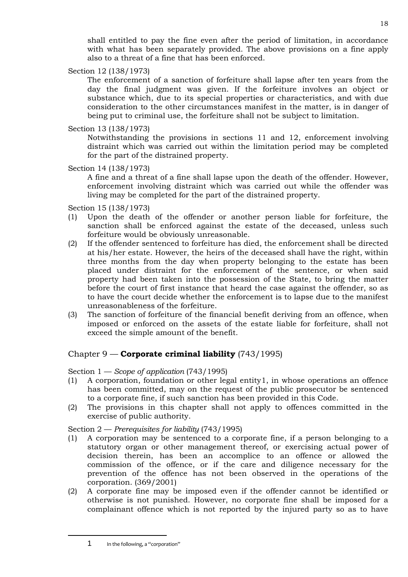shall entitled to pay the fine even after the period of limitation, in accordance with what has been separately provided. The above provisions on a fine apply also to a threat of a fine that has been enforced.

Section 12 (138/1973)

The enforcement of a sanction of forfeiture shall lapse after ten years from the day the final judgment was given. If the forfeiture involves an object or substance which, due to its special properties or characteristics, and with due consideration to the other circumstances manifest in the matter, is in danger of being put to criminal use, the forfeiture shall not be subject to limitation.

Section 13 (138/1973)

Notwithstanding the provisions in sections 11 and 12, enforcement involving distraint which was carried out within the limitation period may be completed for the part of the distrained property.

Section 14 (138/1973)

A fine and a threat of a fine shall lapse upon the death of the offender. However, enforcement involving distraint which was carried out while the offender was living may be completed for the part of the distrained property.

Section 15 (138/1973)

- (1) Upon the death of the offender or another person liable for forfeiture, the sanction shall be enforced against the estate of the deceased, unless such forfeiture would be obviously unreasonable.
- (2) If the offender sentenced to forfeiture has died, the enforcement shall be directed at his/her estate. However, the heirs of the deceased shall have the right, within three months from the day when property belonging to the estate has been placed under distraint for the enforcement of the sentence, or when said property had been taken into the possession of the State, to bring the matter before the court of first instance that heard the case against the offender, so as to have the court decide whether the enforcement is to lapse due to the manifest unreasonableness of the forfeiture.
- (3) The sanction of forfeiture of the financial benefit deriving from an offence, when imposed or enforced on the assets of the estate liable for forfeiture, shall not exceed the simple amount of the benefit.

# Chapter 9 — **Corporate criminal liability** (743/1995)

Section 1 — *Scope of application* (743/1995)

- (1) A corporation, foundation or other legal entity[1](#page-17-0), in whose operations an offence has been committed, may on the request of the public prosecutor be sentenced to a corporate fine, if such sanction has been provided in this Code.
- (2) The provisions in this chapter shall not apply to offences committed in the exercise of public authority.

Section 2 — *Prerequisites for liability* (743/1995)

- (1) A corporation may be sentenced to a corporate fine, if a person belonging to a statutory organ or other management thereof, or exercising actual power of decision therein, has been an accomplice to an offence or allowed the commission of the offence, or if the care and diligence necessary for the prevention of the offence has not been observed in the operations of the corporation. (369/2001)
- (2) A corporate fine may be imposed even if the offender cannot be identified or otherwise is not punished. However, no corporate fine shall be imposed for a complainant offence which is not reported by the injured party so as to have

<span id="page-17-0"></span>j

<sup>1</sup> In the following, a "corporation"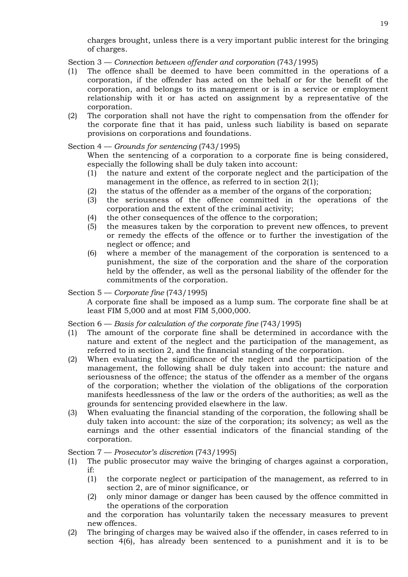charges brought, unless there is a very important public interest for the bringing of charges.

Section 3 — *Connection between offender and corporation* (743/1995)

- (1) The offence shall be deemed to have been committed in the operations of a corporation, if the offender has acted on the behalf or for the benefit of the corporation, and belongs to its management or is in a service or employment relationship with it or has acted on assignment by a representative of the corporation.
- (2) The corporation shall not have the right to compensation from the offender for the corporate fine that it has paid, unless such liability is based on separate provisions on corporations and foundations.

### Section 4 — *Grounds for sentencing* (743/1995)

When the sentencing of a corporation to a corporate fine is being considered, especially the following shall be duly taken into account:

- (1) the nature and extent of the corporate neglect and the participation of the management in the offence, as referred to in section 2(1);
- (2) the status of the offender as a member of the organs of the corporation;
- (3) the seriousness of the offence committed in the operations of the corporation and the extent of the criminal activity;
- (4) the other consequences of the offence to the corporation;
- (5) the measures taken by the corporation to prevent new offences, to prevent or remedy the effects of the offence or to further the investigation of the neglect or offence; and
- (6) where a member of the management of the corporation is sentenced to a punishment, the size of the corporation and the share of the corporation held by the offender, as well as the personal liability of the offender for the commitments of the corporation.

### Section 5 — *Corporate fine* (743/1995)

A corporate fine shall be imposed as a lump sum. The corporate fine shall be at least FIM 5,000 and at most FIM 5,000,000.

### Section 6 — *Basis for calculation of the corporate fine* (743/1995)

- (1) The amount of the corporate fine shall be determined in accordance with the nature and extent of the neglect and the participation of the management, as referred to in section 2, and the financial standing of the corporation.
- (2) When evaluating the significance of the neglect and the participation of the management, the following shall be duly taken into account: the nature and seriousness of the offence; the status of the offender as a member of the organs of the corporation; whether the violation of the obligations of the corporation manifests heedlessness of the law or the orders of the authorities; as well as the grounds for sentencing provided elsewhere in the law.
- (3) When evaluating the financial standing of the corporation, the following shall be duly taken into account: the size of the corporation; its solvency; as well as the earnings and the other essential indicators of the financial standing of the corporation.

### Section 7 — *Prosecutor's discretion* (743/1995)

- (1) The public prosecutor may waive the bringing of charges against a corporation, if:
	- (1) the corporate neglect or participation of the management, as referred to in section 2, are of minor significance, or
	- (2) only minor damage or danger has been caused by the offence committed in the operations of the corporation

and the corporation has voluntarily taken the necessary measures to prevent new offences.

(2) The bringing of charges may be waived also if the offender, in cases referred to in section 4(6), has already been sentenced to a punishment and it is to be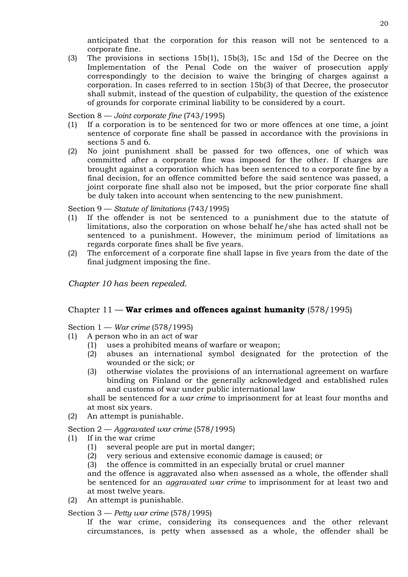anticipated that the corporation for this reason will not be sentenced to a corporate fine.

(3) The provisions in sections 15b(1), 15b(3), 15c and 15d of the Decree on the Implementation of the Penal Code on the waiver of prosecution apply correspondingly to the decision to waive the bringing of charges against a corporation. In cases referred to in section 15b(3) of that Decree, the prosecutor shall submit, instead of the question of culpability, the question of the existence of grounds for corporate criminal liability to be considered by a court.

Section 8 — *Joint corporate fine* (743/1995)

- (1) If a corporation is to be sentenced for two or more offences at one time, a joint sentence of corporate fine shall be passed in accordance with the provisions in sections 5 and 6.
- (2) No joint punishment shall be passed for two offences, one of which was committed after a corporate fine was imposed for the other. If charges are brought against a corporation which has been sentenced to a corporate fine by a final decision, for an offence committed before the said sentence was passed, a joint corporate fine shall also not be imposed, but the prior corporate fine shall be duly taken into account when sentencing to the new punishment.

Section 9 — *Statute of limitations* (743/1995)

- (1) If the offender is not be sentenced to a punishment due to the statute of limitations, also the corporation on whose behalf he/she has acted shall not be sentenced to a punishment. However, the minimum period of limitations as regards corporate fines shall be five years.
- (2) The enforcement of a corporate fine shall lapse in five years from the date of the final judgment imposing the fine.

*Chapter 10 has been repealed.*

# Chapter 11 — **War crimes and offences against humanity** (578/1995)

Section 1 — *War crime* (578/1995)

- (1) A person who in an act of war
	- (1) uses a prohibited means of warfare or weapon;
	- (2) abuses an international symbol designated for the protection of the wounded or the sick; or
	- (3) otherwise violates the provisions of an international agreement on warfare binding on Finland or the generally acknowledged and established rules and customs of war under public international law

shall be sentenced for a *war crime* to imprisonment for at least four months and at most six years.

(2) An attempt is punishable.

Section 2 — *Aggravated war crime* (578/1995)

- (1) If in the war crime
	- (1) several people are put in mortal danger;
	- (2) very serious and extensive economic damage is caused; or
	- (3) the offence is committed in an especially brutal or cruel manner

and the offence is aggravated also when assessed as a whole, the offender shall be sentenced for an *aggravated war crime* to imprisonment for at least two and at most twelve years.

(2) An attempt is punishable.

Section 3 — *Petty war crime* (578/1995)

If the war crime, considering its consequences and the other relevant circumstances, is petty when assessed as a whole, the offender shall be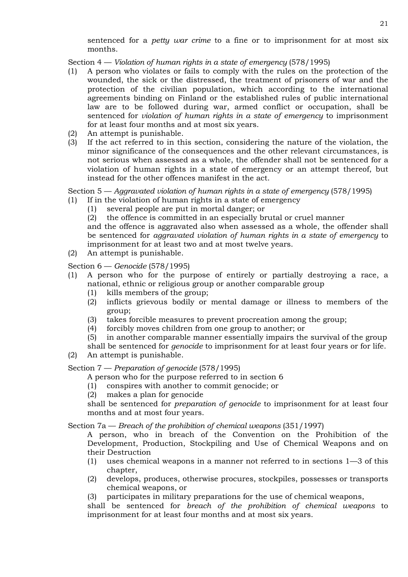sentenced for a *petty war crime* to a fine or to imprisonment for at most six months.

Section 4 — *Violation of human rights in a state of emergency* (578/1995)

- (1) A person who violates or fails to comply with the rules on the protection of the wounded, the sick or the distressed, the treatment of prisoners of war and the protection of the civilian population, which according to the international agreements binding on Finland or the established rules of public international law are to be followed during war, armed conflict or occupation, shall be sentenced for *violation of human rights in a state of emergency* to imprisonment for at least four months and at most six years.
- (2) An attempt is punishable.
- (3) If the act referred to in this section, considering the nature of the violation, the minor significance of the consequences and the other relevant circumstances, is not serious when assessed as a whole, the offender shall not be sentenced for a violation of human rights in a state of emergency or an attempt thereof, but instead for the other offences manifest in the act.

Section 5 — *Aggravated violation of human rights in a state of emergency* (578/1995)

(1) If in the violation of human rights in a state of emergency

- (1) several people are put in mortal danger; or
- (2) the offence is committed in an especially brutal or cruel manner

and the offence is aggravated also when assessed as a whole, the offender shall be sentenced for *aggravated violation of human rights in a state of emergency* to imprisonment for at least two and at most twelve years.

(2) An attempt is punishable.

Section 6 — *Genocide* (578/1995)

- (1) A person who for the purpose of entirely or partially destroying a race, a national, ethnic or religious group or another comparable group
	- (1) kills members of the group;
	- (2) inflicts grievous bodily or mental damage or illness to members of the group;
	- (3) takes forcible measures to prevent procreation among the group;
	- (4) forcibly moves children from one group to another; or
	- (5) in another comparable manner essentially impairs the survival of the group

shall be sentenced for *genocide* to imprisonment for at least four years or for life.

(2) An attempt is punishable.

Section 7 — *Preparation of genocide* (578/1995)

A person who for the purpose referred to in section 6

- (1) conspires with another to commit genocide; or
- (2) makes a plan for genocide

shall be sentenced for *preparation of genocide* to imprisonment for at least four months and at most four years.

Section 7a — *Breach of the prohibition of chemical weapons* (351/1997)

A person, who in breach of the Convention on the Prohibition of the Development, Production, Stockpiling and Use of Chemical Weapons and on their Destruction

- (1) uses chemical weapons in a manner not referred to in sections 1—3 of this chapter,
- (2) develops, produces, otherwise procures, stockpiles, possesses or transports chemical weapons, or
- (3) participates in military preparations for the use of chemical weapons,

shall be sentenced for *breach of the prohibition of chemical weapons* to imprisonment for at least four months and at most six years.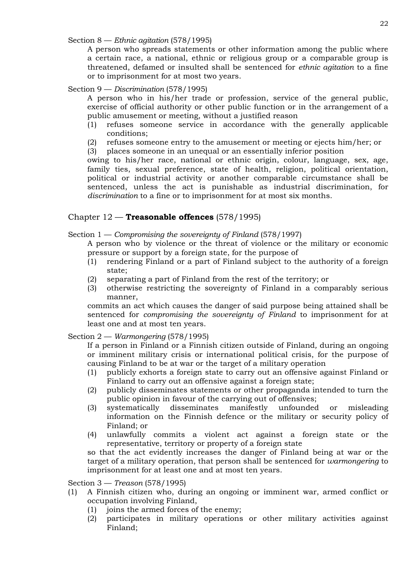Section 8 — *Ethnic agitation* (578/1995)

A person who spreads statements or other information among the public where a certain race, a national, ethnic or religious group or a comparable group is threatened, defamed or insulted shall be sentenced for *ethnic agitation* to a fine or to imprisonment for at most two years.

# Section 9 — *Discrimination* (578/1995)

A person who in his/her trade or profession, service of the general public, exercise of official authority or other public function or in the arrangement of a public amusement or meeting, without a justified reason

- (1) refuses someone service in accordance with the generally applicable conditions;
- (2) refuses someone entry to the amusement or meeting or ejects him/her; or
- (3) places someone in an unequal or an essentially inferior position

owing to his/her race, national or ethnic origin, colour, language, sex, age, family ties, sexual preference, state of health, religion, political orientation, political or industrial activity or another comparable circumstance shall be sentenced, unless the act is punishable as industrial discrimination, for *discrimination* to a fine or to imprisonment for at most six months.

# Chapter 12 — **Treasonable offences** (578/1995)

# Section 1 — *Compromising the sovereignty of Finland* (578/1997)

A person who by violence or the threat of violence or the military or economic pressure or support by a foreign state, for the purpose of

- (1) rendering Finland or a part of Finland subject to the authority of a foreign state;
- (2) separating a part of Finland from the rest of the territory; or
- (3) otherwise restricting the sovereignty of Finland in a comparably serious manner,

commits an act which causes the danger of said purpose being attained shall be sentenced for *compromising the sovereignty of Finland* to imprisonment for at least one and at most ten years.

# Section 2 — *Warmongering* (578/1995)

If a person in Finland or a Finnish citizen outside of Finland*,* during an ongoing or imminent military crisis or international political crisis, for the purpose of causing Finland to be at war or the target of a military operation

- (1) publicly exhorts a foreign state to carry out an offensive against Finland or Finland to carry out an offensive against a foreign state;
- (2) publicly disseminates statements or other propaganda intended to turn the public opinion in favour of the carrying out of offensives;
- (3) systematically disseminates manifestly unfounded or misleading information on the Finnish defence or the military or security policy of Finland; or
- (4) unlawfully commits a violent act against a foreign state or the representative, territory or property of a foreign state

so that the act evidently increases the danger of Finland being at war or the target of a military operation, that person shall be sentenced for *warmongering* to imprisonment for at least one and at most ten years.

Section 3 — *Treason* (578/1995)

- (1) A Finnish citizen who, during an ongoing or imminent war, armed conflict or occupation involving Finland,
	- (1) joins the armed forces of the enemy;
	- (2) participates in military operations or other military activities against Finland;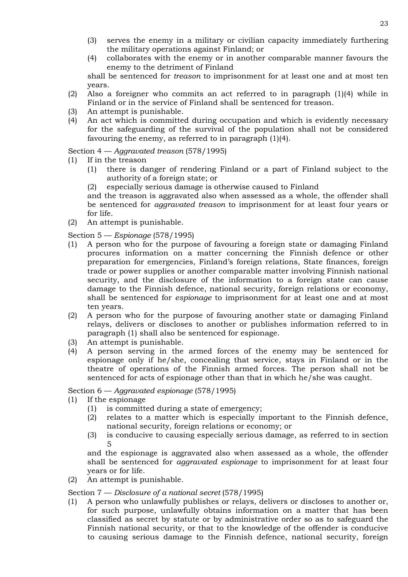- (3) serves the enemy in a military or civilian capacity immediately furthering the military operations against Finland; or
- (4) collaborates with the enemy or in another comparable manner favours the enemy to the detriment of Finland

shall be sentenced for *treason* to imprisonment for at least one and at most ten years.

- (2) Also a foreigner who commits an act referred to in paragraph (1)(4) while in Finland or in the service of Finland shall be sentenced for treason.
- (3) An attempt is punishable.
- (4) An act which is committed during occupation and which is evidently necessary for the safeguarding of the survival of the population shall not be considered favouring the enemy, as referred to in paragraph (1)(4).

Section 4 — *Aggravated treason* (578/1995)

- (1) If in the treason
	- (1) there is danger of rendering Finland or a part of Finland subject to the authority of a foreign state; or
	- (2) especially serious damage is otherwise caused to Finland

and the treason is aggravated also when assessed as a whole, the offender shall be sentenced for *aggravated treason* to imprisonment for at least four years or for life.

(2) An attempt is punishable.

Section 5 — *Espionage* (578/1995)

- (1) A person who for the purpose of favouring a foreign state or damaging Finland procures information on a matter concerning the Finnish defence or other preparation for emergencies, Finland's foreign relations, State finances, foreign trade or power supplies or another comparable matter involving Finnish national security, and the disclosure of the information to a foreign state can cause damage to the Finnish defence, national security, foreign relations or economy, shall be sentenced for *espionage* to imprisonment for at least one and at most ten years.
- (2) A person who for the purpose of favouring another state or damaging Finland relays, delivers or discloses to another or publishes information referred to in paragraph (1) shall also be sentenced for espionage.
- (3) An attempt is punishable.
- (4) A person serving in the armed forces of the enemy may be sentenced for espionage only if he/she, concealing that service, stays in Finland or in the theatre of operations of the Finnish armed forces. The person shall not be sentenced for acts of espionage other than that in which he/she was caught.

Section 6 — *Aggravated espionage* (578/1995)

- (1) If the espionage
	- (1) is committed during a state of emergency;
	- (2) relates to a matter which is especially important to the Finnish defence, national security, foreign relations or economy; or
	- (3) is conducive to causing especially serious damage, as referred to in section 5

and the espionage is aggravated also when assessed as a whole, the offender shall be sentenced for *aggravated espionage* to imprisonment for at least four years or for life.

(2) An attempt is punishable.

Section 7 — *Disclosure of a national secret* (578/1995)

(1) A person who unlawfully publishes or relays, delivers or discloses to another or, for such purpose, unlawfully obtains information on a matter that has been classified as secret by statute or by administrative order so as to safeguard the Finnish national security, or that to the knowledge of the offender is conducive to causing serious damage to the Finnish defence, national security, foreign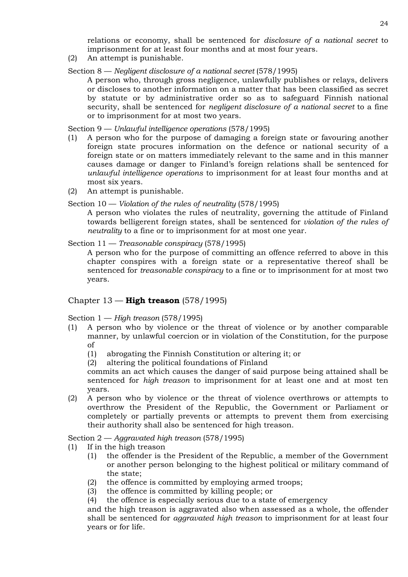relations or economy, shall be sentenced for *disclosure of a national secret* to imprisonment for at least four months and at most four years.

- (2) An attempt is punishable.
- Section 8 *Negligent disclosure of a national secret* (578/1995)

A person who, through gross negligence, unlawfully publishes or relays, delivers or discloses to another information on a matter that has been classified as secret by statute or by administrative order so as to safeguard Finnish national security, shall be sentenced for *negligent disclosure of a national secret* to a fine or to imprisonment for at most two years.

Section 9 — *Unlawful intelligence operations* (578/1995)

- (1) A person who for the purpose of damaging a foreign state or favouring another foreign state procures information on the defence or national security of a foreign state or on matters immediately relevant to the same and in this manner causes damage or danger to Finland's foreign relations shall be sentenced for *unlawful intelligence operations* to imprisonment for at least four months and at most six years.
- (2) An attempt is punishable.

### Section 10 — *Violation of the rules of neutrality* (578/1995)

A person who violates the rules of neutrality, governing the attitude of Finland towards belligerent foreign states, shall be sentenced for *violation of the rules of neutrality* to a fine or to imprisonment for at most one year.

Section 11 — *Treasonable conspiracy* (578/1995)

A person who for the purpose of committing an offence referred to above in this chapter conspires with a foreign state or a representative thereof shall be sentenced for *treasonable conspiracy* to a fine or to imprisonment for at most two years.

# Chapter 13 — **High treason** (578/1995)

Section 1 — *High treason* (578/1995)

- (1) A person who by violence or the threat of violence or by another comparable manner, by unlawful coercion or in violation of the Constitution, for the purpose of
	- (1) abrogating the Finnish Constitution or altering it; or
	- (2) altering the political foundations of Finland

commits an act which causes the danger of said purpose being attained shall be sentenced for *high treason* to imprisonment for at least one and at most ten years.

(2) A person who by violence or the threat of violence overthrows or attempts to overthrow the President of the Republic, the Government or Parliament or completely or partially prevents or attempts to prevent them from exercising their authority shall also be sentenced for high treason.

### Section 2 — *Aggravated high treason* (578/1995)

- (1) If in the high treason
	- (1) the offender is the President of the Republic, a member of the Government or another person belonging to the highest political or military command of the state;
	- (2) the offence is committed by employing armed troops;
	- (3) the offence is committed by killing people; or
	- (4) the offence is especially serious due to a state of emergency

and the high treason is aggravated also when assessed as a whole, the offender shall be sentenced for *aggravated high treason* to imprisonment for at least four years or for life.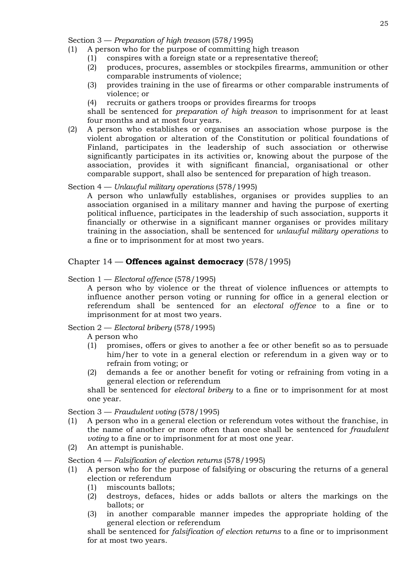Section 3 — *Preparation of high treason* (578/1995)

- (1) A person who for the purpose of committing high treason
	- (1) conspires with a foreign state or a representative thereof;
	- (2) produces, procures, assembles or stockpiles firearms, ammunition or other comparable instruments of violence;
	- (3) provides training in the use of firearms or other comparable instruments of violence; or
	- (4) recruits or gathers troops or provides firearms for troops

shall be sentenced for *preparation of high treason* to imprisonment for at least four months and at most four years.

(2) A person who establishes or organises an association whose purpose is the violent abrogation or alteration of the Constitution or political foundations of Finland, participates in the leadership of such association or otherwise significantly participates in its activities or, knowing about the purpose of the association, provides it with significant financial, organisational or other comparable support, shall also be sentenced for preparation of high treason.

### Section 4 — *Unlawful military operations* (578/1995)

A person who unlawfully establishes, organises or provides supplies to an association organised in a military manner and having the purpose of exerting political influence, participates in the leadership of such association, supports it financially or otherwise in a significant manner organises or provides military training in the association, shall be sentenced for *unlawful military operations* to a fine or to imprisonment for at most two years.

# Chapter 14 — **Offences against democracy** (578/1995)

### Section 1 — *Electoral offence* (578/1995)

A person who by violence or the threat of violence influences or attempts to influence another person voting or running for office in a general election or referendum shall be sentenced for an *electoral offence* to a fine or to imprisonment for at most two years.

### Section 2 — *Electoral bribery* (578/1995)

A person who

- (1) promises, offers or gives to another a fee or other benefit so as to persuade him/her to vote in a general election or referendum in a given way or to refrain from voting; or
- (2) demands a fee or another benefit for voting or refraining from voting in a general election or referendum

shall be sentenced for *electoral bribery* to a fine or to imprisonment for at most one year.

Section 3 — *Fraudulent voting* (578/1995)

- (1) A person who in a general election or referendum votes without the franchise, in the name of another or more often than once shall be sentenced for *fraudulent voting* to a fine or to imprisonment for at most one year.
- (2) An attempt is punishable.

Section 4 — *Falsification of election returns* (578/1995)

- (1) A person who for the purpose of falsifying or obscuring the returns of a general election or referendum
	- (1) miscounts ballots;
	- (2) destroys, defaces, hides or adds ballots or alters the markings on the ballots; or
	- (3) in another comparable manner impedes the appropriate holding of the general election or referendum

shall be sentenced for *falsification of election returns* to a fine or to imprisonment for at most two years.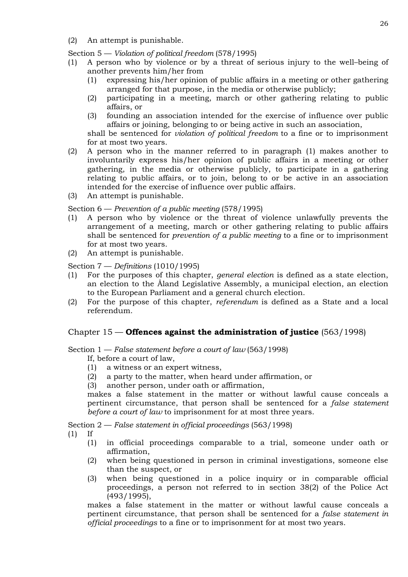(2) An attempt is punishable.

Section 5 — *Violation of political freedom* (578/1995)

- (1) A person who by violence or by a threat of serious injury to the well–being of another prevents him/her from
	- (1) expressing his/her opinion of public affairs in a meeting or other gathering arranged for that purpose, in the media or otherwise publicly;
	- (2) participating in a meeting, march or other gathering relating to public affairs, or
	- (3) founding an association intended for the exercise of influence over public affairs or joining, belonging to or being active in such an association,

shall be sentenced for *violation of political freedom* to a fine or to imprisonment for at most two years.

- (2) A person who in the manner referred to in paragraph (1) makes another to involuntarily express his/her opinion of public affairs in a meeting or other gathering, in the media or otherwise publicly, to participate in a gathering relating to public affairs, or to join, belong to or be active in an association intended for the exercise of influence over public affairs.
- (3) An attempt is punishable.

Section 6 — *Prevention of a public meeting* (578/1995)

- (1) A person who by violence or the threat of violence unlawfully prevents the arrangement of a meeting, march or other gathering relating to public affairs shall be sentenced for *prevention of a public meeting* to a fine or to imprisonment for at most two years.
- (2) An attempt is punishable.

Section 7 — *Definitions* (1010/1995)

- (1) For the purposes of this chapter, *general election* is defined as a state election, an election to the Åland Legislative Assembly, a municipal election, an election to the European Parliament and a general church election.
- (2) For the purpose of this chapter, *referendum* is defined as a State and a local referendum.

# Chapter 15 — **Offences against the administration of justice** (563/1998)

Section 1 — *False statement before a court of law* (563/1998)

- If, before a court of law,
- (1) a witness or an expert witness,
- (2) a party to the matter, when heard under affirmation, or
- (3) another person, under oath or affirmation,

makes a false statement in the matter or without lawful cause conceals a pertinent circumstance, that person shall be sentenced for a *false statement before a court of law* to imprisonment for at most three years.

Section 2 — *False statement in official proceedings* (563/1998)

- (1) If
	- (1) in official proceedings comparable to a trial, someone under oath or affirmation,
	- (2) when being questioned in person in criminal investigations, someone else than the suspect, or
	- (3) when being questioned in a police inquiry or in comparable official proceedings, a person not referred to in section 38(2) of the Police Act (493/1995),

makes a false statement in the matter or without lawful cause conceals a pertinent circumstance, that person shall be sentenced for a *false statement in official proceedings* to a fine or to imprisonment for at most two years.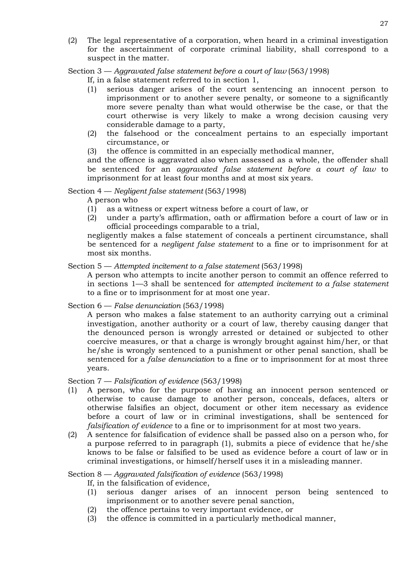(2) The legal representative of a corporation, when heard in a criminal investigation for the ascertainment of corporate criminal liability, shall correspond to a suspect in the matter.

Section 3 — *Aggravated false statement before a court of law* (563/1998)

If, in a false statement referred to in section 1,

- (1) serious danger arises of the court sentencing an innocent person to imprisonment or to another severe penalty, or someone to a significantly more severe penalty than what would otherwise be the case, or that the court otherwise is very likely to make a wrong decision causing very considerable damage to a party,
- (2) the falsehood or the concealment pertains to an especially important circumstance, or
- (3) the offence is committed in an especially methodical manner,

and the offence is aggravated also when assessed as a whole, the offender shall be sentenced for an *aggravated false statement before a court of law* to imprisonment for at least four months and at most six years.

### Section 4 — *Negligent false statement* (563/1998)

A person who

- (1) as a witness or expert witness before a court of law, or
- (2) under a party's affirmation, oath or affirmation before a court of law or in official proceedings comparable to a trial,

negligently makes a false statement of conceals a pertinent circumstance, shall be sentenced for a *negligent false statement* to a fine or to imprisonment for at most six months.

### Section 5 — *Attempted incitement to a false statement* (563/1998)

A person who attempts to incite another person to commit an offence referred to in sections 1—3 shall be sentenced for *attempted incitement to a false statement* to a fine or to imprisonment for at most one year.

Section 6 — *False denunciation* (563/1998)

A person who makes a false statement to an authority carrying out a criminal investigation, another authority or a court of law, thereby causing danger that the denounced person is wrongly arrested or detained or subjected to other coercive measures, or that a charge is wrongly brought against him/her, or that he/she is wrongly sentenced to a punishment or other penal sanction, shall be sentenced for a *false denunciation* to a fine or to imprisonment for at most three years.

Section 7 — *Falsification of evidence* (563/1998)

- (1) A person, who for the purpose of having an innocent person sentenced or otherwise to cause damage to another person, conceals, defaces, alters or otherwise falsifies an object, document or other item necessary as evidence before a court of law or in criminal investigations, shall be sentenced for *falsification of evidence* to a fine or to imprisonment for at most two years.
- (2) A sentence for falsification of evidence shall be passed also on a person who, for a purpose referred to in paragraph (1), submits a piece of evidence that he/she knows to be false or falsified to be used as evidence before a court of law or in criminal investigations, or himself/herself uses it in a misleading manner.

Section 8 — *Aggravated falsification of evidence* (563/1998)

If, in the falsification of evidence,

- (1) serious danger arises of an innocent person being sentenced to imprisonment or to another severe penal sanction,
- (2) the offence pertains to very important evidence, or
- (3) the offence is committed in a particularly methodical manner,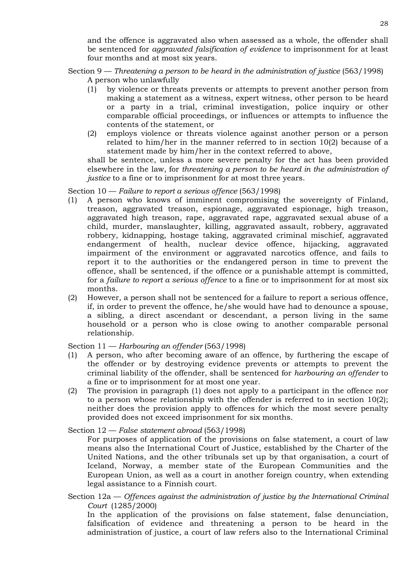and the offence is aggravated also when assessed as a whole, the offender shall be sentenced for *aggravated falsification of evidence* to imprisonment for at least four months and at most six years.

Section 9 — *Threatening a person to be heard in the administration of justice* (563/1998) A person who unlawfully

- (1) by violence or threats prevents or attempts to prevent another person from making a statement as a witness, expert witness, other person to be heard or a party in a trial, criminal investigation, police inquiry or other comparable official proceedings, or influences or attempts to influence the contents of the statement, or
- (2) employs violence or threats violence against another person or a person related to him/her in the manner referred to in section 10(2) because of a statement made by him/her in the context referred to above,

shall be sentence, unless a more severe penalty for the act has been provided elsewhere in the law, for *threatening a person to be heard in the administration of justice* to a fine or to imprisonment for at most three years.

Section 10 — *Failure to report a serious offence* (563/1998)

- (1) A person who knows of imminent compromising the sovereignty of Finland, treason, aggravated treason, espionage, aggravated espionage, high treason, aggravated high treason, rape, aggravated rape, aggravated sexual abuse of a child, murder, manslaughter, killing, aggravated assault, robbery, aggravated robbery, kidnapping, hostage taking, aggravated criminal mischief, aggravated endangerment of health, nuclear device offence, hijacking, aggravated impairment of the environment or aggravated narcotics offence, and fails to report it to the authorities or the endangered person in time to prevent the offence, shall be sentenced, if the offence or a punishable attempt is committed, for a *failure to report a serious offence* to a fine or to imprisonment for at most six months.
- (2) However, a person shall not be sentenced for a failure to report a serious offence, if, in order to prevent the offence, he/she would have had to denounce a spouse, a sibling, a direct ascendant or descendant, a person living in the same household or a person who is close owing to another comparable personal relationship.

Section 11 — *Harbouring an offender* (563/1998)

- (1) A person, who after becoming aware of an offence, by furthering the escape of the offender or by destroying evidence prevents or attempts to prevent the criminal liability of the offender, shall be sentenced for *harbouring an offender* to a fine or to imprisonment for at most one year.
- (2) The provision in paragraph (1) does not apply to a participant in the offence nor to a person whose relationship with the offender is referred to in section 10(2); neither does the provision apply to offences for which the most severe penalty provided does not exceed imprisonment for six months.

Section 12 — *False statement abroad* (563/1998)

For purposes of application of the provisions on false statement, a court of law means also the International Court of Justice, established by the Charter of the United Nations, and the other tribunals set up by that organisation, a court of Iceland, Norway, a member state of the European Communities and the European Union, as well as a court in another foreign country, when extending legal assistance to a Finnish court.

Section 12a — *Offences against the administration of justice by the International Criminal Court* (1285/2000)

In the application of the provisions on false statement, false denunciation, falsification of evidence and threatening a person to be heard in the administration of justice, a court of law refers also to the International Criminal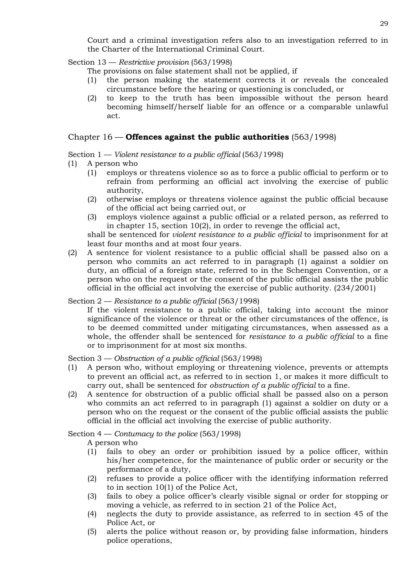Court and a criminal investigation refers also to an investigation referred to in the Charter of the International Criminal Court.

Section 13 — *Restrictive provision* (563/1998)

The provisions on false statement shall not be applied, if

- (1) the person making the statement corrects it or reveals the concealed circumstance before the hearing or questioning is concluded, or
- (2) to keep to the truth has been impossible without the person heard becoming himself/herself liable for an offence or a comparable unlawful act.

### Chapter 16 — **Offences against the public authorities** (563/1998)

Section 1 — *Violent resistance to a public official* (563/1998)

- (1) A person who
	- (1) employs or threatens violence so as to force a public official to perform or to refrain from performing an official act involving the exercise of public authority,
	- (2) otherwise employs or threatens violence against the public official because of the official act being carried out, or
	- (3) employs violence against a public official or a related person, as referred to in chapter 15, section 10(2), in order to revenge the official act,

shall be sentenced for *violent resistance to a public official* to imprisonment for at least four months and at most four years.

(2) A sentence for violent resistance to a public official shall be passed also on a person who commits an act referred to in paragraph (1) against a soldier on duty, an official of a foreign state, referred to in the Schengen Convention, or a person who on the request or the consent of the public official assists the public official in the official act involving the exercise of public authority. (234/2001)

Section 2 — *Resistance to a public official* (563/1998)

If the violent resistance to a public official, taking into account the minor significance of the violence or threat or the other circumstances of the offence, is to be deemed committed under mitigating circumstances, when assessed as a whole, the offender shall be sentenced for *resistance to a public official* to a fine or to imprisonment for at most six months.

Section 3 — *Obstruction of a public official* (563/1998)

- (1) A person who, without employing or threatening violence, prevents or attempts to prevent an official act, as referred to in section 1, or makes it more difficult to carry out, shall be sentenced for *obstruction of a public official* to a fine.
- (2) A sentence for obstruction of a public official shall be passed also on a person who commits an act referred to in paragraph (1) against a soldier on duty or a person who on the request or the consent of the public official assists the public official in the official act involving the exercise of public authority.

Section 4 — *Contumacy to the police* (563/1998)

A person who

- (1) fails to obey an order or prohibition issued by a police officer, within his/her competence, for the maintenance of public order or security or the performance of a duty,
- (2) refuses to provide a police officer with the identifying information referred to in section 10(1) of the Police Act,
- (3) fails to obey a police officer's clearly visible signal or order for stopping or moving a vehicle, as referred to in section 21 of the Police Act,
- (4) neglects the duty to provide assistance, as referred to in section 45 of the Police Act, or
- (5) alerts the police without reason or, by providing false information, hinders police operations,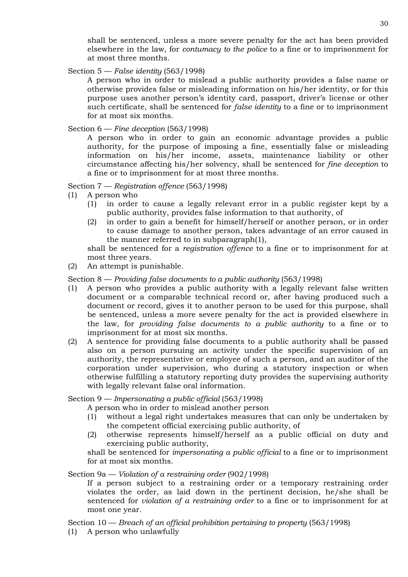shall be sentenced, unless a more severe penalty for the act has been provided elsewhere in the law, for *contumacy to the police* to a fine or to imprisonment for at most three months.

Section 5 — *False identity* (563/1998)

A person who in order to mislead a public authority provides a false name or otherwise provides false or misleading information on his/her identity, or for this purpose uses another person's identity card, passport, driver's license or other such certificate, shall be sentenced for *false identity* to a fine or to imprisonment for at most six months.

Section 6 — *Fine deception* (563/1998)

A person who in order to gain an economic advantage provides a public authority, for the purpose of imposing a fine, essentially false or misleading information on his/her income, assets, maintenance liability or other circumstance affecting his/her solvency, shall be sentenced for *fine deception* to a fine or to imprisonment for at most three months.

### Section 7 — *Registration offence* (563/1998)

- (1) A person who
	- (1) in order to cause a legally relevant error in a public register kept by a public authority, provides false information to that authority, of
	- (2) in order to gain a benefit for himself/herself or another person, or in order to cause damage to another person, takes advantage of an error caused in the manner referred to in subparagraph(1),

shall be sentenced for a *registration offence* to a fine or to imprisonment for at most three years.

(2) An attempt is punishable.

Section 8 — *Providing false documents to a public authority* (563/1998)

- (1) A person who provides a public authority with a legally relevant false written document or a comparable technical record or, after having produced such a document or record, gives it to another person to be used for this purpose, shall be sentenced, unless a more severe penalty for the act is provided elsewhere in the law, for *providing false documents to a public authority* to a fine or to imprisonment for at most six months.
- (2) A sentence for providing false documents to a public authority shall be passed also on a person pursuing an activity under the specific supervision of an authority, the representative or employee of such a person, and an auditor of the corporation under supervision, who during a statutory inspection or when otherwise fulfilling a statutory reporting duty provides the supervising authority with legally relevant false oral information.

Section 9 — *Impersonating a public official* (563/1998)

A person who in order to mislead another person

- (1) without a legal right undertakes measures that can only be undertaken by the competent official exercising public authority, of
- (2) otherwise represents himself/herself as a public official on duty and exercising public authority,

shall be sentenced for *impersonating a public official* to a fine or to imprisonment for at most six months.

Section 9a — *Violation of a restraining order* (902/1998)

If a person subject to a restraining order or a temporary restraining order violates the order, as laid down in the pertinent decision, he/she shall be sentenced for *violation of a restraining order* to a fine or to imprisonment for at most one year.

Section 10 — *Breach of an official prohibition pertaining to property* (563/1998)

(1) A person who unlawfully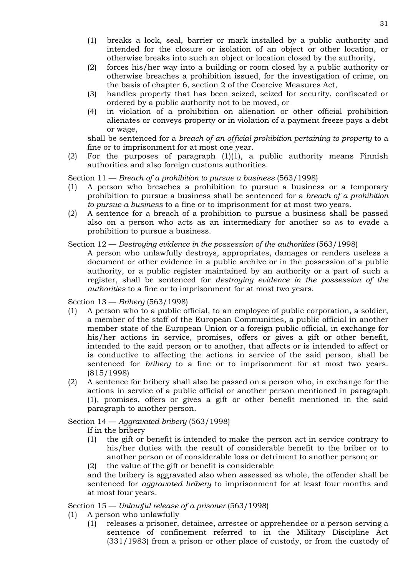- (1) breaks a lock, seal, barrier or mark installed by a public authority and intended for the closure or isolation of an object or other location, or otherwise breaks into such an object or location closed by the authority,
- (2) forces his/her way into a building or room closed by a public authority or otherwise breaches a prohibition issued, for the investigation of crime, on the basis of chapter 6, section 2 of the Coercive Measures Act,
- (3) handles property that has been seized, seized for security, confiscated or ordered by a public authority not to be moved, or
- (4) in violation of a prohibition on alienation or other official prohibition alienates or conveys property or in violation of a payment freeze pays a debt or wage,

shall be sentenced for a *breach of an official prohibition pertaining to property* to a fine or to imprisonment for at most one year.

(2) For the purposes of paragraph (1)(1), a public authority means Finnish authorities and also foreign customs authorities.

Section 11 — *Breach of a prohibition to pursue a business* (563/1998)

- (1) A person who breaches a prohibition to pursue a business or a temporary prohibition to pursue a business shall be sentenced for a *breach of a prohibition to pursue a business* to a fine or to imprisonment for at most two years.
- (2) A sentence for a breach of a prohibition to pursue a business shall be passed also on a person who acts as an intermediary for another so as to evade a prohibition to pursue a business.

### Section 12 — *Destroying evidence in the possession of the authorities* (563/1998)

A person who unlawfully destroys, appropriates, damages or renders useless a document or other evidence in a public archive or in the possession of a public authority, or a public register maintained by an authority or a part of such a register, shall be sentenced for *destroying evidence in the possession of the authorities* to a fine or to imprisonment for at most two years.

Section 13 — *Bribery* (563/1998)

- (1) A person who to a public official, to an employee of public corporation, a soldier, a member of the staff of the European Communities, a public official in another member state of the European Union or a foreign public official, in exchange for his/her actions in service, promises, offers or gives a gift or other benefit, intended to the said person or to another, that affects or is intended to affect or is conductive to affecting the actions in service of the said person, shall be sentenced for *bribery* to a fine or to imprisonment for at most two years. (815/1998)
- (2) A sentence for bribery shall also be passed on a person who, in exchange for the actions in service of a public official or another person mentioned in paragraph (1), promises, offers or gives a gift or other benefit mentioned in the said paragraph to another person.

Section 14 — *Aggravated bribery* (563/1998)

If in the bribery

(1) the gift or benefit is intended to make the person act in service contrary to his/her duties with the result of considerable benefit to the briber or to another person or of considerable loss or detriment to another person; or (2) the value of the gift or benefit is considerable

and the bribery is aggravated also when assessed as whole, the offender shall be sentenced for *aggravated bribery* to imprisonment for at least four months and at most four years.

Section 15 — *Unlawful release of a prisoner* (563/1998)

- (1) A person who unlawfully
	- (1) releases a prisoner, detainee, arrestee or apprehendee or a person serving a sentence of confinement referred to in the Military Discipline Act (331/1983) from a prison or other place of custody, or from the custody of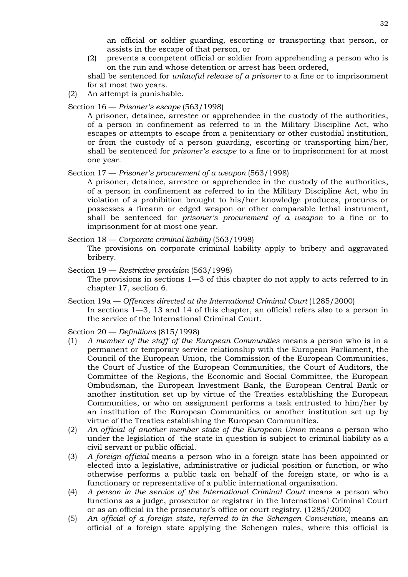an official or soldier guarding, escorting or transporting that person, or assists in the escape of that person, or

(2) prevents a competent official or soldier from apprehending a person who is on the run and whose detention or arrest has been ordered,

shall be sentenced for *unlawful release of a prisoner* to a fine or to imprisonment for at most two years.

(2) An attempt is punishable.

#### Section 16 — *Prisoner's escape* (563/1998)

A prisoner, detainee, arrestee or apprehendee in the custody of the authorities, of a person in confinement as referred to in the Military Discipline Act, who escapes or attempts to escape from a penitentiary or other custodial institution, or from the custody of a person guarding, escorting or transporting him/her, shall be sentenced for *prisoner's escape* to a fine or to imprisonment for at most one year.

Section 17 — *Prisoner's procurement of a weapon* (563/1998)

A prisoner, detainee, arrestee or apprehendee in the custody of the authorities, of a person in confinement as referred to in the Military Discipline Act, who in violation of a prohibition brought to his/her knowledge produces, procures or possesses a firearm or edged weapon or other comparable lethal instrument, shall be sentenced for *prisoner's procurement of a weapon* to a fine or to imprisonment for at most one year.

Section 18 — *Corporate criminal liability* (563/1998)

The provisions on corporate criminal liability apply to bribery and aggravated bribery.

Section 19 — *Restrictive provision* (563/1998) The provisions in sections 1—3 of this chapter do not apply to acts referred to in chapter 17, section 6.

Section 19a — *Offences directed at the International Criminal Court* (1285/2000) In sections 1—3, 13 and 14 of this chapter, an official refers also to a person in the service of the International Criminal Court.

Section 20 — *Definitions* (815/1998)

- (1) *A member of the staff of the European Communities* means a person who is in a permanent or temporary service relationship with the European Parliament, the Council of the European Union, the Commission of the European Communities, the Court of Justice of the European Communities, the Court of Auditors, the Committee of the Regions, the Economic and Social Committee, the European Ombudsman, the European Investment Bank, the European Central Bank or another institution set up by virtue of the Treaties establishing the European Communities, or who on assignment performs a task entrusted to him/her by an institution of the European Communities or another institution set up by virtue of the Treaties establishing the European Communities.
- (2) *An official of another member state of the European Union* means a person who under the legislation of the state in question is subject to criminal liability as a civil servant or public official.
- (3) *A foreign official* means a person who in a foreign state has been appointed or elected into a legislative, administrative or judicial position or function, or who otherwise performs a public task on behalf of the foreign state, or who is a functionary or representative of a public international organisation.
- (4) *A person in the service of the International Criminal Court* means a person who functions as a judge, prosecutor or registrar in the International Criminal Court or as an official in the prosecutor's office or court registry. (1285/2000)
- (5) *An official of a foreign state, referred to in the Schengen Convention*, means an official of a foreign state applying the Schengen rules, where this official is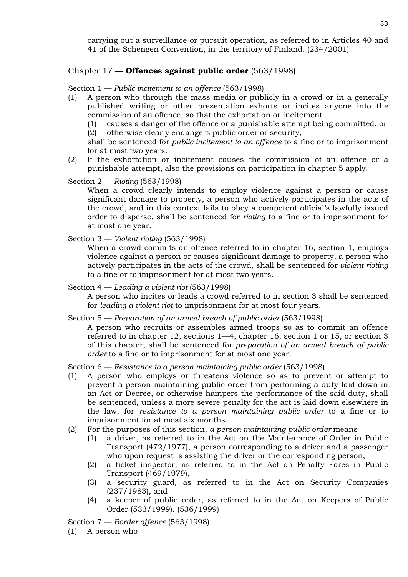carrying out a surveillance or pursuit operation, as referred to in Articles 40 and 41 of the Schengen Convention, in the territory of Finland. (234/2001)

# Chapter 17 — **Offences against public order** (563/1998)

Section 1 — *Public incitement to an offence* (563/1998)

- (1) A person who through the mass media or publicly in a crowd or in a generally published writing or other presentation exhorts or incites anyone into the commission of an offence, so that the exhortation or incitement
	- (1) causes a danger of the offence or a punishable attempt being committed, or (2) otherwise clearly endangers public order or security,

shall be sentenced for *public incitement to an offence* to a fine or to imprisonment for at most two years.

(2) If the exhortation or incitement causes the commission of an offence or a punishable attempt, also the provisions on participation in chapter 5 apply.

Section 2 — *Rioting* (563/1998)

When a crowd clearly intends to employ violence against a person or cause significant damage to property, a person who actively participates in the acts of the crowd, and in this context fails to obey a competent official's lawfully issued order to disperse, shall be sentenced for *rioting* to a fine or to imprisonment for at most one year.

Section 3 — *Violent rioting* (563/1998)

When a crowd commits an offence referred to in chapter 16, section 1, employs violence against a person or causes significant damage to property, a person who actively participates in the acts of the crowd, shall be sentenced for *violent rioting*  to a fine or to imprisonment for at most two years.

Section 4 — *Leading a violent riot* (563/1998)

A person who incites or leads a crowd referred to in section 3 shall be sentenced for *leading a violent riot* to imprisonment for at most four years.

Section 5 — *Preparation of an armed breach of public order* (563/1998)

A person who recruits or assembles armed troops so as to commit an offence referred to in chapter 12, sections 1—4, chapter 16, section 1 or 15, or section 3 of this chapter, shall be sentenced for *preparation of an armed breach of public order* to a fine or to imprisonment for at most one year.

Section 6 — *Resistance to a person maintaining public order* (563/1998)

- (1) A person who employs or threatens violence so as to prevent or attempt to prevent a person maintaining public order from performing a duty laid down in an Act or Decree, or otherwise hampers the performance of the said duty, shall be sentenced, unless a more severe penalty for the act is laid down elsewhere in the law, for *resistance to a person maintaining public order* to a fine or to imprisonment for at most six months.
- (2) For the purposes of this section, *a person maintaining public order* means
	- (1) a driver, as referred to in the Act on the Maintenance of Order in Public Transport (472/1977), a person corresponding to a driver and a passenger who upon request is assisting the driver or the corresponding person,
	- (2) a ticket inspector, as referred to in the Act on Penalty Fares in Public Transport (469/1979),
	- (3) a security guard, as referred to in the Act on Security Companies (237/1983), and
	- (4) a keeper of public order, as referred to in the Act on Keepers of Public Order (533/1999). (536/1999)

Section 7 — *Border offence* (563/1998)

(1) A person who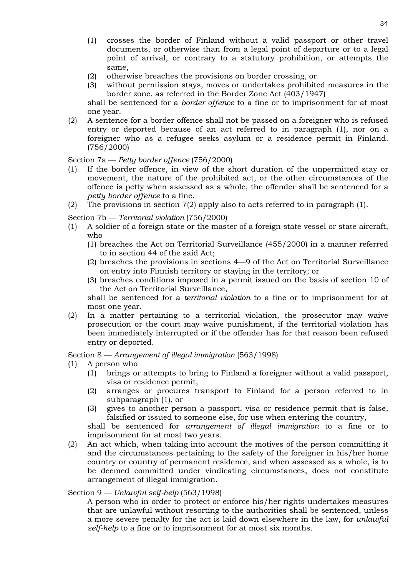- (1) crosses the border of Finland without a valid passport or other travel documents, or otherwise than from a legal point of departure or to a legal point of arrival, or contrary to a statutory prohibition, or attempts the same,
- (2) otherwise breaches the provisions on border crossing, or
- (3) without permission stays, moves or undertakes prohibited measures in the border zone, as referred in the Border Zone Act (403/1947)

shall be sentenced for a *border offence* to a fine or to imprisonment for at most one year.

(2) A sentence for a border offence shall not be passed on a foreigner who is refused entry or deported because of an act referred to in paragraph (1), nor on a foreigner who as a refugee seeks asylum or a residence permit in Finland. (756/2000)

Section 7a — *Petty border offence* (756/2000)

- (1) If the border offence, in view of the short duration of the unpermitted stay or movement, the nature of the prohibited act, or the other circumstances of the offence is petty when assessed as a whole, the offender shall be sentenced for a *petty border offence* to a fine.
- (2) The provisions in section 7(2) apply also to acts referred to in paragraph (1).

Section 7b — *Territorial violation* (756/2000)

- (1) A soldier of a foreign state or the master of a foreign state vessel or state aircraft, who
	- (1) breaches the Act on Territorial Surveillance (455/2000) in a manner referred to in section 44 of the said Act;
	- (2) breaches the provisions in sections 4—9 of the Act on Territorial Surveillance on entry into Finnish territory or staying in the territory; or
	- (3) breaches conditions imposed in a permit issued on the basis of section 10 of the Act on Territorial Surveillance,

shall be sentenced for a *territorial violation* to a fine or to imprisonment for at most one year.

(2) In a matter pertaining to a territorial violation, the prosecutor may waive prosecution or the court may waive punishment, if the territorial violation has been immediately interrupted or if the offender has for that reason been refused entry or deported.

Section 8 — *Arrangement of illegal immigration* (563/1998)

- (1) A person who
	- (1) brings or attempts to bring to Finland a foreigner without a valid passport, visa or residence permit,
	- (2) arranges or procures transport to Finland for a person referred to in subparagraph (1), or
	- (3) gives to another person a passport, visa or residence permit that is false, falsified or issued to someone else, for use when entering the country, shall be sentenced for *arrangement of illegal immigration* to a fine or to imprisonment for at most two years.
- (2) An act which, when taking into account the motives of the person committing it and the circumstances pertaining to the safety of the foreigner in his/her home country or country of permanent residence, and when assessed as a whole, is to be deemed committed under vindicating circumstances, does not constitute arrangement of illegal immigration.

# Section 9 — *Unlawful self-help* (563/1998)

A person who in order to protect or enforce his/her rights undertakes measures that are unlawful without resorting to the authorities shall be sentenced, unless a more severe penalty for the act is laid down elsewhere in the law, for *unlawful self-help* to a fine or to imprisonment for at most six months.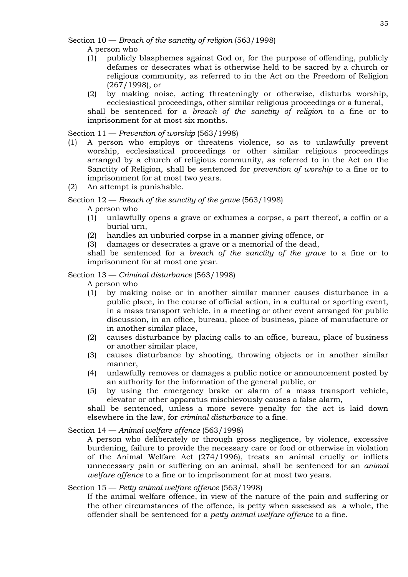Section 10 — *Breach of the sanctity of religion* (563/1998)

A person who

- (1) publicly blasphemes against God or, for the purpose of offending, publicly defames or desecrates what is otherwise held to be sacred by a church or religious community, as referred to in the Act on the Freedom of Religion (267/1998), or
- (2) by making noise, acting threateningly or otherwise, disturbs worship, ecclesiastical proceedings, other similar religious proceedings or a funeral,

shall be sentenced for a *breach of the sanctity of religion* to a fine or to imprisonment for at most six months.

Section 11 — *Prevention of worship* (563/1998)

- (1) A person who employs or threatens violence, so as to unlawfully prevent worship, ecclesiastical proceedings or other similar religious proceedings arranged by a church of religious community, as referred to in the Act on the Sanctity of Religion, shall be sentenced for *prevention of worship* to a fine or to imprisonment for at most two years.
- (2) An attempt is punishable.

Section 12 — *Breach of the sanctity of the grave* (563/1998)

A person who

- (1) unlawfully opens a grave or exhumes a corpse, a part thereof, a coffin or a burial urn,
- (2) handles an unburied corpse in a manner giving offence, or
- (3) damages or desecrates a grave or a memorial of the dead,

shall be sentenced for a *breach of the sanctity of the grave* to a fine or to imprisonment for at most one year.

Section 13 — *Criminal disturbance* (563/1998)

A person who

- (1) by making noise or in another similar manner causes disturbance in a public place, in the course of official action, in a cultural or sporting event, in a mass transport vehicle, in a meeting or other event arranged for public discussion, in an office, bureau, place of business, place of manufacture or in another similar place,
- (2) causes disturbance by placing calls to an office, bureau, place of business or another similar place,
- (3) causes disturbance by shooting, throwing objects or in another similar manner,
- (4) unlawfully removes or damages a public notice or announcement posted by an authority for the information of the general public, or
- (5) by using the emergency brake or alarm of a mass transport vehicle, elevator or other apparatus mischievously causes a false alarm,

shall be sentenced, unless a more severe penalty for the act is laid down elsewhere in the law, for *criminal disturbance* to a fine.

Section 14 — *Animal welfare offence* (563/1998)

A person who deliberately or through gross negligence, by violence, excessive burdening, failure to provide the necessary care or food or otherwise in violation of the Animal Welfare Act (274/1996), treats an animal cruelly or inflicts unnecessary pain or suffering on an animal, shall be sentenced for an *animal welfare offence* to a fine or to imprisonment for at most two years.

# Section 15 — *Petty animal welfare offence* (563/1998)

If the animal welfare offence, in view of the nature of the pain and suffering or the other circumstances of the offence, is petty when assessed as a whole, the offender shall be sentenced for a *petty animal welfare offence* to a fine.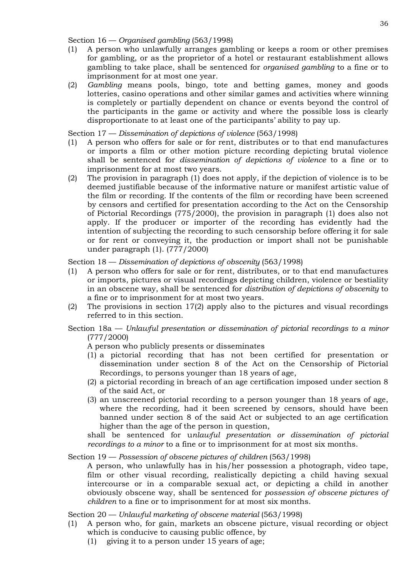Section 16 — *Organised gambling* (563/1998)

- (1) A person who unlawfully arranges gambling or keeps a room or other premises for gambling, or as the proprietor of a hotel or restaurant establishment allows gambling to take place, shall be sentenced for *organised gambling* to a fine or to imprisonment for at most one year.
- (2) *Gambling* means pools, bingo, tote and betting games, money and goods lotteries, casino operations and other similar games and activities where winning is completely or partially dependent on chance or events beyond the control of the participants in the game or activity and where the possible loss is clearly disproportionate to at least one of the participants' ability to pay up.

Section 17 — *Dissemination of depictions of violence* (563/1998)

- (1) A person who offers for sale or for rent, distributes or to that end manufactures or imports a film or other motion picture recording depicting brutal violence shall be sentenced for *dissemination of depictions of violence* to a fine or to imprisonment for at most two years.
- (2) The provision in paragraph (1) does not apply, if the depiction of violence is to be deemed justifiable because of the informative nature or manifest artistic value of the film or recording. If the contents of the film or recording have been screened by censors and certified for presentation according to the Act on the Censorship of Pictorial Recordings (775/2000), the provision in paragraph (1) does also not apply. If the producer or importer of the recording has evidently had the intention of subjecting the recording to such censorship before offering it for sale or for rent or conveying it, the production or import shall not be punishable under paragraph (1). (777/2000)

Section 18 — *Dissemination of depictions of obscenity* (563/1998)

- (1) A person who offers for sale or for rent, distributes, or to that end manufactures or imports, pictures or visual recordings depicting children, violence or bestiality in an obscene way, shall be sentenced for *distribution of depictions of obscenity* to a fine or to imprisonment for at most two years.
- (2) The provisions in section 17(2) apply also to the pictures and visual recordings referred to in this section.

# Section 18a — *Unlawful presentation or dissemination of pictorial recordings to a minor* (777/2000)

A person who publicly presents or disseminates

- (1) a pictorial recording that has not been certified for presentation or dissemination under section 8 of the Act on the Censorship of Pictorial Recordings, to persons younger than 18 years of age,
- (2) a pictorial recording in breach of an age certification imposed under section 8 of the said Act, or
- (3) an unscreened pictorial recording to a person younger than 18 years of age, where the recording, had it been screened by censors, should have been banned under section 8 of the said Act or subjected to an age certification higher than the age of the person in question,

shall be sentenced for u*nlawful presentation or dissemination of pictorial recordings to a minor* to a fine or to imprisonment for at most six months.

### Section 19 — *Possession of obscene pictures of children* (563/1998)

A person, who unlawfully has in his/her possession a photograph, video tape, film or other visual recording, realistically depicting a child having sexual intercourse or in a comparable sexual act, or depicting a child in another obviously obscene way, shall be sentenced for *possession of obscene pictures of children* to a fine or to imprisonment for at most six months.

Section 20 — *Unlawful marketing of obscene material* (563/1998)

- (1) A person who, for gain, markets an obscene picture, visual recording or object which is conducive to causing public offence, by
	- (1) giving it to a person under 15 years of age;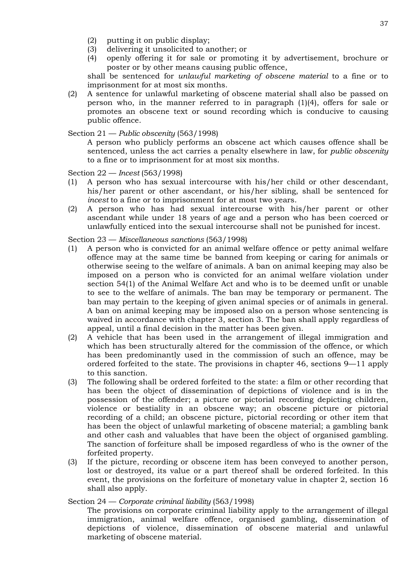- (2) putting it on public display;
- (3) delivering it unsolicited to another; or
- (4) openly offering it for sale or promoting it by advertisement, brochure or poster or by other means causing public offence,

shall be sentenced for *unlawful marketing of obscene material* to a fine or to imprisonment for at most six months.

(2) A sentence for unlawful marketing of obscene material shall also be passed on person who, in the manner referred to in paragraph (1)(4), offers for sale or promotes an obscene text or sound recording which is conducive to causing public offence.

## Section 21 — *Public obscenity* (563/1998)

A person who publicly performs an obscene act which causes offence shall be sentenced, unless the act carries a penalty elsewhere in law, for *public obscenity* to a fine or to imprisonment for at most six months.

Section 22 — *Incest* (563/1998)

- (1) A person who has sexual intercourse with his/her child or other descendant, his/her parent or other ascendant, or his/her sibling, shall be sentenced for *incest* to a fine or to imprisonment for at most two years.
- (2) A person who has had sexual intercourse with his/her parent or other ascendant while under 18 years of age and a person who has been coerced or unlawfully enticed into the sexual intercourse shall not be punished for incest.

Section 23 — *Miscellaneous sanctions* (563/1998)

- (1) A person who is convicted for an animal welfare offence or petty animal welfare offence may at the same time be banned from keeping or caring for animals or otherwise seeing to the welfare of animals. A ban on animal keeping may also be imposed on a person who is convicted for an animal welfare violation under section 54(1) of the Animal Welfare Act and who is to be deemed unfit or unable to see to the welfare of animals. The ban may be temporary or permanent. The ban may pertain to the keeping of given animal species or of animals in general. A ban on animal keeping may be imposed also on a person whose sentencing is waived in accordance with chapter 3, section 3. The ban shall apply regardless of appeal, until a final decision in the matter has been given.
- (2) A vehicle that has been used in the arrangement of illegal immigration and which has been structurally altered for the commission of the offence, or which has been predominantly used in the commission of such an offence, may be ordered forfeited to the state. The provisions in chapter 46, sections 9—11 apply to this sanction.
- (3) The following shall be ordered forfeited to the state: a film or other recording that has been the object of dissemination of depictions of violence and is in the possession of the offender; a picture or pictorial recording depicting children, violence or bestiality in an obscene way; an obscene picture or pictorial recording of a child; an obscene picture, pictorial recording or other item that has been the object of unlawful marketing of obscene material; a gambling bank and other cash and valuables that have been the object of organised gambling. The sanction of forfeiture shall be imposed regardless of who is the owner of the forfeited property.
- (3) If the picture, recording or obscene item has been conveyed to another person, lost or destroyed, its value or a part thereof shall be ordered forfeited. In this event, the provisions on the forfeiture of monetary value in chapter 2, section 16 shall also apply.

Section 24 — *Corporate criminal liability* (563/1998)

The provisions on corporate criminal liability apply to the arrangement of illegal immigration, animal welfare offence, organised gambling, dissemination of depictions of violence, dissemination of obscene material and unlawful marketing of obscene material.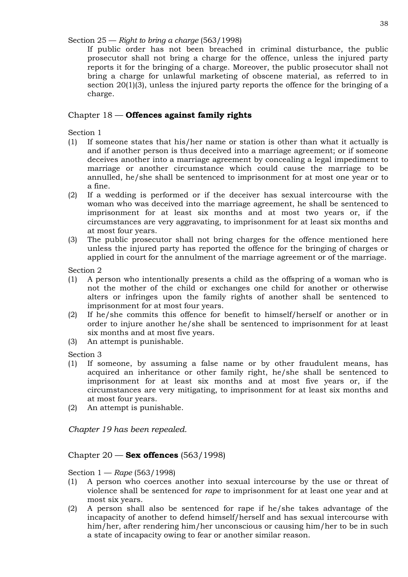Section 25 — *Right to bring a charge* (563/1998)

If public order has not been breached in criminal disturbance, the public prosecutor shall not bring a charge for the offence, unless the injured party reports it for the bringing of a charge. Moreover, the public prosecutor shall not bring a charge for unlawful marketing of obscene material, as referred to in section 20(1)(3), unless the injured party reports the offence for the bringing of a charge.

# Chapter 18 — **Offences against family rights**

Section 1

- (1) If someone states that his/her name or station is other than what it actually is and if another person is thus deceived into a marriage agreement; or if someone deceives another into a marriage agreement by concealing a legal impediment to marriage or another circumstance which could cause the marriage to be annulled, he/she shall be sentenced to imprisonment for at most one year or to a fine.
- (2) If a wedding is performed or if the deceiver has sexual intercourse with the woman who was deceived into the marriage agreement, he shall be sentenced to imprisonment for at least six months and at most two years or, if the circumstances are very aggravating, to imprisonment for at least six months and at most four years.
- (3) The public prosecutor shall not bring charges for the offence mentioned here unless the injured party has reported the offence for the bringing of charges or applied in court for the annulment of the marriage agreement or of the marriage.

Section 2

- (1) A person who intentionally presents a child as the offspring of a woman who is not the mother of the child or exchanges one child for another or otherwise alters or infringes upon the family rights of another shall be sentenced to imprisonment for at most four years.
- (2) If he/she commits this offence for benefit to himself/herself or another or in order to injure another he/she shall be sentenced to imprisonment for at least six months and at most five years.
- (3) An attempt is punishable.

Section 3

- (1) If someone, by assuming a false name or by other fraudulent means, has acquired an inheritance or other family right, he/she shall be sentenced to imprisonment for at least six months and at most five years or, if the circumstances are very mitigating, to imprisonment for at least six months and at most four years.
- (2) An attempt is punishable.

*Chapter 19 has been repealed.*

# Chapter 20 — **Sex offences** (563/1998)

Section 1 — *Rape* (563/1998)

- (1) A person who coerces another into sexual intercourse by the use or threat of violence shall be sentenced for *rape* to imprisonment for at least one year and at most six years.
- (2) A person shall also be sentenced for rape if he/she takes advantage of the incapacity of another to defend himself/herself and has sexual intercourse with him/her, after rendering him/her unconscious or causing him/her to be in such a state of incapacity owing to fear or another similar reason.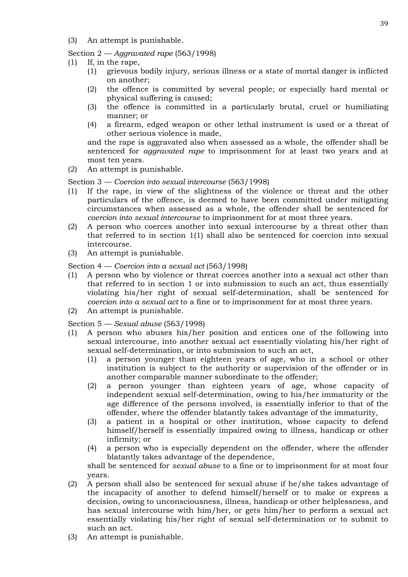(3) An attempt is punishable.

Section 2 — *Aggravated rape* (563/1998)

- (1) If, in the rape,
	- (1) grievous bodily injury, serious illness or a state of mortal danger is inflicted on another;
	- (2) the offence is committed by several people; or especially hard mental or physical suffering is caused;
	- (3) the offence is committed in a particularly brutal, cruel or humiliating manner; or
	- (4) a firearm, edged weapon or other lethal instrument is used or a threat of other serious violence is made,

and the rape is aggravated also when assessed as a whole, the offender shall be sentenced for *aggravated rape* to imprisonment for at least two years and at most ten years.

(2) An attempt is punishable.

Section 3 — *Coercion into sexual intercourse* (563/1998)

- (1) If the rape, in view of the slightness of the violence or threat and the other particulars of the offence, is deemed to have been committed under mitigating circumstances when assessed as a whole, the offender shall be sentenced for *coercion into sexual intercourse* to imprisonment for at most three years.
- (2) A person who coerces another into sexual intercourse by a threat other than that referred to in section 1(1) shall also be sentenced for coercion into sexual intercourse.
- (3) An attempt is punishable.

Section 4 — *Coercion into a sexual act* (563/1998)

- (1) A person who by violence or threat coerces another into a sexual act other than that referred to in section 1 or into submission to such an act, thus essentially violating his/her right of sexual self-determination, shall be sentenced for *coercion into a sexual act* to a fine or to imprisonment for at most three years.
- (2) An attempt is punishable.

Section 5 — *Sexual abuse* (563/1998)

- (1) A person who abuses his/her position and entices one of the following into sexual intercourse, into another sexual act essentially violating his/her right of sexual self-determination, or into submission to such an act,
	- (1) a person younger than eighteen years of age, who in a school or other institution is subject to the authority or supervision of the offender or in another comparable manner subordinate to the offender;
	- (2) a person younger than eighteen years of age, whose capacity of independent sexual self-determination, owing to his/her immaturity or the age difference of the persons involved, is essentially inferior to that of the offender, where the offender blatantly takes advantage of the immaturity,
	- (3) a patient in a hospital or other institution, whose capacity to defend himself/herself is essentially impaired owing to illness, handicap or other infirmity; or
	- (4) a person who is especially dependent on the offender, where the offender blatantly takes advantage of the dependence,

shall be sentenced for *sexual abuse* to a fine or to imprisonment for at most four years.

- (2) A person shall also be sentenced for sexual abuse if he/she takes advantage of the incapacity of another to defend himself/herself or to make or express a decision, owing to unconsciousness, illness, handicap or other helplessness, and has sexual intercourse with him/her, or gets him/her to perform a sexual act essentially violating his/her right of sexual self-determination or to submit to such an act.
- (3) An attempt is punishable.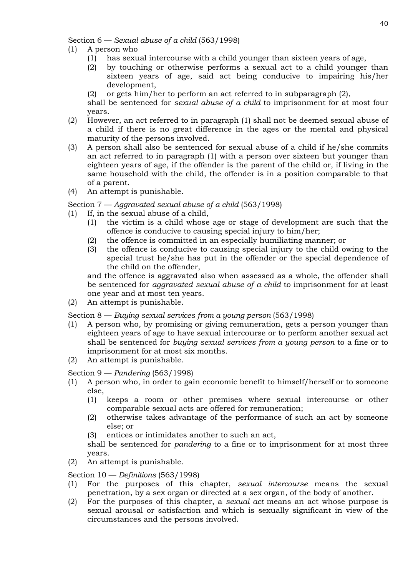Section 6 — *Sexual abuse of a child* (563/1998)

- (1) A person who
	- (1) has sexual intercourse with a child younger than sixteen years of age,
	- (2) by touching or otherwise performs a sexual act to a child younger than sixteen years of age, said act being conducive to impairing his/her development,
	- (2) or gets him/her to perform an act referred to in subparagraph  $(2)$ ,

shall be sentenced for *sexual abuse of a child* to imprisonment for at most four years.

- (2) However, an act referred to in paragraph (1) shall not be deemed sexual abuse of a child if there is no great difference in the ages or the mental and physical maturity of the persons involved.
- (3) A person shall also be sentenced for sexual abuse of a child if he/she commits an act referred to in paragraph (1) with a person over sixteen but younger than eighteen years of age, if the offender is the parent of the child or, if living in the same household with the child, the offender is in a position comparable to that of a parent.
- (4) An attempt is punishable.

Section 7 — *Aggravated sexual abuse of a child* (563/1998)

- (1) If, in the sexual abuse of a child,
	- (1) the victim is a child whose age or stage of development are such that the offence is conducive to causing special injury to him/her;
	- (2) the offence is committed in an especially humiliating manner; or
	- (3) the offence is conducive to causing special injury to the child owing to the special trust he/she has put in the offender or the special dependence of the child on the offender,

and the offence is aggravated also when assessed as a whole, the offender shall be sentenced for *aggravated sexual abuse of a child* to imprisonment for at least one year and at most ten years.

(2) An attempt is punishable.

Section 8 — *Buying sexual services from a young person* (563/1998)

- (1) A person who, by promising or giving remuneration, gets a person younger than eighteen years of age to have sexual intercourse or to perform another sexual act shall be sentenced for *buying sexual services from a young person* to a fine or to imprisonment for at most six months.
- (2) An attempt is punishable.

Section 9 — *Pandering* (563/1998)

- (1) A person who, in order to gain economic benefit to himself/herself or to someone else,
	- (1) keeps a room or other premises where sexual intercourse or other comparable sexual acts are offered for remuneration;
	- (2) otherwise takes advantage of the performance of such an act by someone else; or
	- (3) entices or intimidates another to such an act,

shall be sentenced for *pandering* to a fine or to imprisonment for at most three years.

(2) An attempt is punishable.

#### Section 10 — *Definitions* (563/1998)

- (1) For the purposes of this chapter, *sexual intercourse* means the sexual penetration, by a sex organ or directed at a sex organ, of the body of another.
- (2) For the purposes of this chapter, a *sexual act* means an act whose purpose is sexual arousal or satisfaction and which is sexually significant in view of the circumstances and the persons involved.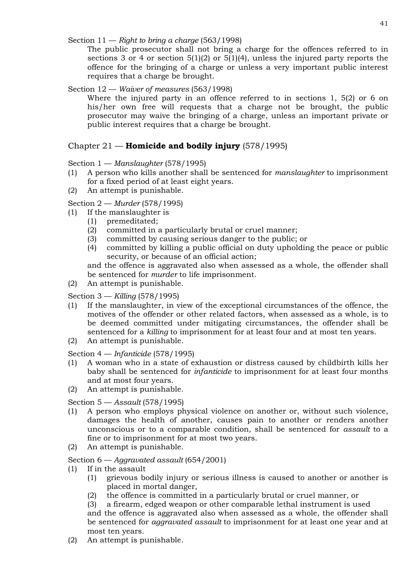Section 11 — *Right to bring a charge* (563/1998)

The public prosecutor shall not bring a charge for the offences referred to in sections 3 or 4 or section 5(1)(2) or 5(1)(4), unless the injured party reports the offence for the bringing of a charge or unless a very important public interest requires that a charge be brought.

## Section 12 — *Waiver of measures* (563/1998)

Where the injured party in an offence referred to in sections 1, 5(2) or 6 on his/her own free will requests that a charge not be brought, the public prosecutor may waive the bringing of a charge, unless an important private or public interest requires that a charge be brought.

# Chapter 21 — **Homicide and bodily injury** (578/1995)

## Section 1 — *Manslaughter* (578/1995)

- (1) A person who kills another shall be sentenced for *manslaughter* to imprisonment for a fixed period of at least eight years.
- (2) An attempt is punishable.

Section 2 — *Murder* (578/1995)

- (1) If the manslaughter is
	- (1) premeditated;
	- (2) committed in a particularly brutal or cruel manner;
	- (3) committed by causing serious danger to the public; or
	- (4) committed by killing a public official on duty upholding the peace or public security, or because of an official action;

and the offence is aggravated also when assessed as a whole, the offender shall be sentenced for *murder* to life imprisonment.

(2) An attempt is punishable.

Section 3 — *Killing* (578/1995)

- (1) If the manslaughter, in view of the exceptional circumstances of the offence, the motives of the offender or other related factors, when assessed as a whole, is to be deemed committed under mitigating circumstances, the offender shall be sentenced for a *killing* to imprisonment for at least four and at most ten years.
- (2) An attempt is punishable.

Section 4 — *Infanticide* (578/1995)

- (1) A woman who in a state of exhaustion or distress caused by childbirth kills her baby shall be sentenced for *infanticide* to imprisonment for at least four months and at most four years.
- (2) An attempt is punishable.

#### Section 5 — *Assault* (578/1995)

- (1) A person who employs physical violence on another or, without such violence, damages the health of another, causes pain to another or renders another unconscious or to a comparable condition, shall be sentenced for *assault* to a fine or to imprisonment for at most two years.
- (2) An attempt is punishable.

Section 6 — *Aggravated assault* (654/2001)

- (1) If in the assault
	- (1) grievous bodily injury or serious illness is caused to another or another is placed in mortal danger,
	- (2) the offence is committed in a particularly brutal or cruel manner, or

(3) a firearm, edged weapon or other comparable lethal instrument is used and the offence is aggravated also when assessed as a whole, the offender shall be sentenced for *aggravated assault* to imprisonment for at least one year and at most ten years.

(2) An attempt is punishable.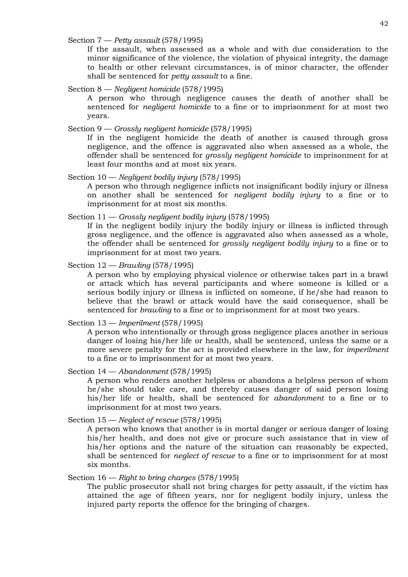Section 7 — *Petty assault* (578/1995)

If the assault, when assessed as a whole and with due consideration to the minor significance of the violence, the violation of physical integrity, the damage to health or other relevant circumstances, is of minor character, the offender shall be sentenced for *petty assault* to a fine.

## Section 8 — *Negligent homicide* (578/1995)

A person who through negligence causes the death of another shall be sentenced for *negligent homicide* to a fine or to imprisonment for at most two years.

## Section 9 — *Grossly negligent homicide* (578/1995)

If in the negligent homicide the death of another is caused through gross negligence, and the offence is aggravated also when assessed as a whole, the offender shall be sentenced for *grossly negligent homicide* to imprisonment for at least four months and at most six years.

#### Section 10 — *Negligent bodily injury* (578/1995)

A person who through negligence inflicts not insignificant bodily injury or illness on another shall be sentenced for *negligent bodily injury* to a fine or to imprisonment for at most six months.

## Section 11 — *Grossly negligent bodily injury* (578/1995)

If in the negligent bodily injury the bodily injury or illness is inflicted through gross negligence, and the offence is aggravated also when assessed as a whole, the offender shall be sentenced for *grossly negligent bodily injury* to a fine or to imprisonment for at most two years.

## Section 12 — *Brawling* (578/1995)

A person who by employing physical violence or otherwise takes part in a brawl or attack which has several participants and where someone is killed or a serious bodily injury or illness is inflicted on someone, if he/she had reason to believe that the brawl or attack would have the said consequence, shall be sentenced for *brawling* to a fine or to imprisonment for at most two years.

## Section 13 — *Imperilment* (578/1995)

A person who intentionally or through gross negligence places another in serious danger of losing his/her life or health, shall be sentenced, unless the same or a more severe penalty for the act is provided elsewhere in the law, for *imperilment*  to a fine or to imprisonment for at most two years.

#### Section 14 — *Abandonment* (578/1995)

A person who renders another helpless or abandons a helpless person of whom he/she should take care, and thereby causes danger of said person losing his/her life or health, shall be sentenced for *abandonment* to a fine or to imprisonment for at most two years.

## Section 15 — *Neglect of rescue* (578/1995)

A person who knows that another is in mortal danger or serious danger of losing his/her health, and does not give or procure such assistance that in view of his/her options and the nature of the situation can reasonably be expected, shall be sentenced for *neglect of rescue* to a fine or to imprisonment for at most six months.

# Section 16 — *Right to bring charges* (578/1995)

The public prosecutor shall not bring charges for petty assault, if the victim has attained the age of fifteen years, nor for negligent bodily injury, unless the injured party reports the offence for the bringing of charges.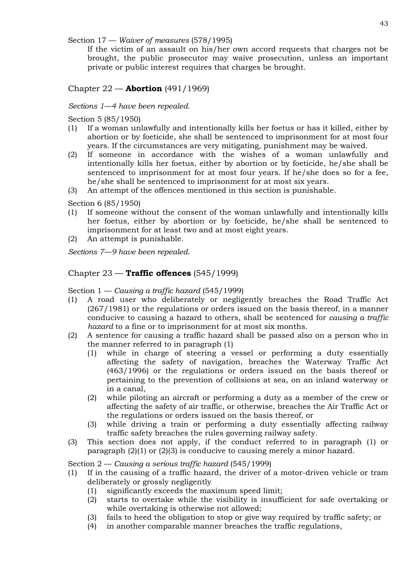Section 17 — *Waiver of measures* (578/1995)

If the victim of an assault on his/her own accord requests that charges not be brought, the public prosecutor may waive prosecution, unless an important private or public interest requires that charges be brought.

# Chapter 22 — **Abortion** (491/1969)

# *Sections 1—4 have been repealed.*

Section 5 (85/1950)

- (1) If a woman unlawfully and intentionally kills her foetus or has it killed, either by abortion or by foeticide, she shall be sentenced to imprisonment for at most four years. If the circumstances are very mitigating, punishment may be waived.
- (2) If someone in accordance with the wishes of a woman unlawfully and intentionally kills her foetus, either by abortion or by foeticide, he/she shall be sentenced to imprisonment for at most four years. If he/she does so for a fee, he/she shall be sentenced to imprisonment for at most six years.
- (3) An attempt of the offences mentioned in this section is punishable.
- Section 6 (85/1950)
- (1) If someone without the consent of the woman unlawfully and intentionally kills her foetus, either by abortion or by foeticide, he/she shall be sentenced to imprisonment for at least two and at most eight years.
- (2) An attempt is punishable.

*Sections 7—9 have been repealed.*

# Chapter 23 — **Traffic offences** (545/1999)

Section 1 — *Causing a traffic hazard* (545/1999)

- (1) A road user who deliberately or negligently breaches the Road Traffic Act (267/1981) or the regulations or orders issued on the basis thereof, in a manner conducive to causing a hazard to others, shall be sentenced for *causing a traffic hazard* to a fine or to imprisonment for at most six months.
- (2) A sentence for causing a traffic hazard shall be passed also on a person who in the manner referred to in paragraph (1)
	- (1) while in charge of steering a vessel or performing a duty essentially affecting the safety of navigation, breaches the Waterway Traffic Act (463/1996) or the regulations or orders issued on the basis thereof or pertaining to the prevention of collisions at sea, on an inland waterway or in a canal,
	- (2) while piloting an aircraft or performing a duty as a member of the crew or affecting the safety of air traffic, or otherwise, breaches the Air Traffic Act or the regulations or orders issued on the basis thereof, or
	- (3) while driving a train or performing a duty essentially affecting railway traffic safety breaches the rules governing railway safety.
- (3) This section does not apply, if the conduct referred to in paragraph (1) or paragraph (2)(1) or (2)(3) is conducive to causing merely a minor hazard.

Section 2 — *Causing a serious traffic hazard* (545/1999)

- (1) If in the causing of a traffic hazard, the driver of a motor-driven vehicle or tram deliberately or grossly negligently
	- (1) significantly exceeds the maximum speed limit;
	- (2) starts to overtake while the visibility is insufficient for safe overtaking or while overtaking is otherwise not allowed;
	- (3) fails to heed the obligation to stop or give way required by traffic safety; or
	- (4) in another comparable manner breaches the traffic regulations,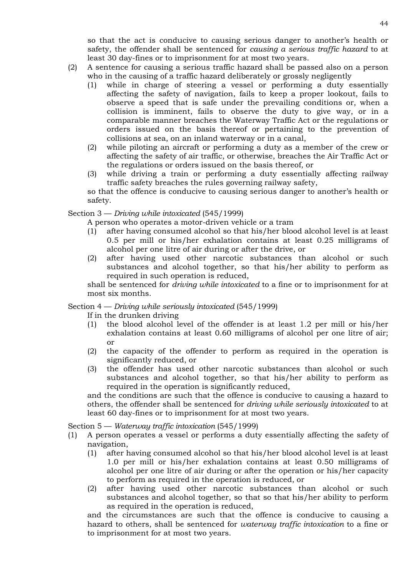so that the act is conducive to causing serious danger to another's health or safety, the offender shall be sentenced for *causing a serious traffic hazard* to at least 30 day-fines or to imprisonment for at most two years.

- (2) A sentence for causing a serious traffic hazard shall be passed also on a person who in the causing of a traffic hazard deliberately or grossly negligently
	- (1) while in charge of steering a vessel or performing a duty essentially affecting the safety of navigation, fails to keep a proper lookout, fails to observe a speed that is safe under the prevailing conditions or, when a collision is imminent, fails to observe the duty to give way, or in a comparable manner breaches the Waterway Traffic Act or the regulations or orders issued on the basis thereof or pertaining to the prevention of collisions at sea, on an inland waterway or in a canal,
	- (2) while piloting an aircraft or performing a duty as a member of the crew or affecting the safety of air traffic, or otherwise, breaches the Air Traffic Act or the regulations or orders issued on the basis thereof, or
	- (3) while driving a train or performing a duty essentially affecting railway traffic safety breaches the rules governing railway safety,

so that the offence is conducive to causing serious danger to another's health or safety.

## Section 3 — *Driving while intoxicated* (545/1999)

A person who operates a motor-driven vehicle or a tram

- (1) after having consumed alcohol so that his/her blood alcohol level is at least 0.5 per mill or his/her exhalation contains at least 0.25 milligrams of alcohol per one litre of air during or after the drive, or
- (2) after having used other narcotic substances than alcohol or such substances and alcohol together, so that his/her ability to perform as required in such operation is reduced,

shall be sentenced for *driving while intoxicated* to a fine or to imprisonment for at most six months.

# Section 4 — *Driving while seriously intoxicated* (545/1999)

If in the drunken driving

- (1) the blood alcohol level of the offender is at least 1.2 per mill or his/her exhalation contains at least 0.60 milligrams of alcohol per one litre of air; or
- (2) the capacity of the offender to perform as required in the operation is significantly reduced, or
- (3) the offender has used other narcotic substances than alcohol or such substances and alcohol together, so that his/her ability to perform as required in the operation is significantly reduced,

and the conditions are such that the offence is conducive to causing a hazard to others, the offender shall be sentenced for *driving while seriously intoxicated* to at least 60 day-fines or to imprisonment for at most two years.

Section 5 — *Waterway traffic intoxication* (545/1999)

- (1) A person operates a vessel or performs a duty essentially affecting the safety of navigation,
	- (1) after having consumed alcohol so that his/her blood alcohol level is at least 1.0 per mill or his/her exhalation contains at least 0.50 milligrams of alcohol per one litre of air during or after the operation or his/her capacity to perform as required in the operation is reduced, or
	- (2) after having used other narcotic substances than alcohol or such substances and alcohol together, so that so that his/her ability to perform as required in the operation is reduced,

and the circumstances are such that the offence is conducive to causing a hazard to others, shall be sentenced for *waterway traffic intoxication* to a fine or to imprisonment for at most two years.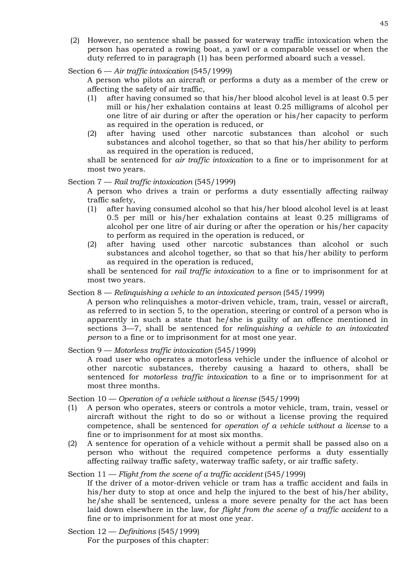(2) However, no sentence shall be passed for waterway traffic intoxication when the person has operated a rowing boat, a yawl or a comparable vessel or when the duty referred to in paragraph (1) has been performed aboard such a vessel.

## Section 6 — *Air traffic intoxication* (545/1999)

A person who pilots an aircraft or performs a duty as a member of the crew or affecting the safety of air traffic,

- (1) after having consumed so that his/her blood alcohol level is at least 0.5 per mill or his/her exhalation contains at least 0.25 milligrams of alcohol per one litre of air during or after the operation or his/her capacity to perform as required in the operation is reduced, or
- (2) after having used other narcotic substances than alcohol or such substances and alcohol together, so that so that his/her ability to perform as required in the operation is reduced,

shall be sentenced for *air traffic intoxication* to a fine or to imprisonment for at most two years.

# Section 7 — *Rail traffic intoxication* (545/1999)

A person who drives a train or performs a duty essentially affecting railway traffic safety,

- (1) after having consumed alcohol so that his/her blood alcohol level is at least 0.5 per mill or his/her exhalation contains at least 0.25 milligrams of alcohol per one litre of air during or after the operation or his/her capacity to perform as required in the operation is reduced, or
- (2) after having used other narcotic substances than alcohol or such substances and alcohol together, so that so that his/her ability to perform as required in the operation is reduced,

shall be sentenced for *rail traffic intoxication* to a fine or to imprisonment for at most two years.

# Section 8 — *Relinquishing a vehicle to an intoxicated person* (545/1999)

A person who relinquishes a motor-driven vehicle, tram, train, vessel or aircraft, as referred to in section 5, to the operation, steering or control of a person who is apparently in such a state that he/she is guilty of an offence mentioned in sections 3—7, shall be sentenced for *relinquishing a vehicle to an intoxicated person* to a fine or to imprisonment for at most one year.

Section 9 — *Motorless traffic intoxication* (545/1999)

A road user who operates a motorless vehicle under the influence of alcohol or other narcotic substances, thereby causing a hazard to others, shall be sentenced for *motorless traffic intoxication* to a fine or to imprisonment for at most three months.

Section 10 — *Operation of a vehicle without a license* (545/1999)

- (1) A person who operates, steers or controls a motor vehicle, tram, train, vessel or aircraft without the right to do so or without a license proving the required competence, shall be sentenced for *operation of a vehicle without a license* to a fine or to imprisonment for at most six months.
- (2) A sentence for operation of a vehicle without a permit shall be passed also on a person who without the required competence performs a duty essentially affecting railway traffic safety, waterway traffic safety, or air traffic safety.

# Section 11 — *Flight from the scene of a traffic accident* (545/1999)

If the driver of a motor-driven vehicle or tram has a traffic accident and fails in his/her duty to stop at once and help the injured to the best of his/her ability, he/she shall be sentenced, unless a more severe penalty for the act has been laid down elsewhere in the law, for *flight from the scene of a traffic accident* to a fine or to imprisonment for at most one year.

Section 12 — *Definitions* (545/1999) For the purposes of this chapter: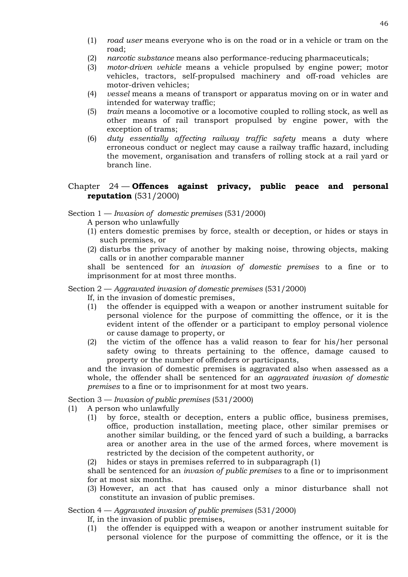- (1) *road user* means everyone who is on the road or in a vehicle or tram on the road;
- (2) *narcotic substance* means also performance-reducing pharmaceuticals;
- (3) *motor-driven vehicle* means a vehicle propulsed by engine power; motor vehicles, tractors, self-propulsed machinery and off-road vehicles are motor-driven vehicles;
- (4) *vessel* means a means of transport or apparatus moving on or in water and intended for waterway traffic;
- (5) *train* means a locomotive or a locomotive coupled to rolling stock, as well as other means of rail transport propulsed by engine power, with the exception of trams;
- (6) *duty essentially affecting railway traffic safety* means a duty where erroneous conduct or neglect may cause a railway traffic hazard, including the movement, organisation and transfers of rolling stock at a rail yard or branch line.

# Chapter 24 — **Offences against privacy, public peace and personal reputation** (531/2000)

Section 1 — *Invasion of domestic premises* (531/2000)

- A person who unlawfully
- (1) enters domestic premises by force, stealth or deception, or hides or stays in such premises, or
- (2) disturbs the privacy of another by making noise, throwing objects, making calls or in another comparable manner

shall be sentenced for an *invasion of domestic premises* to a fine or to imprisonment for at most three months.

Section 2 — *Aggravated invasion of domestic premises* (531/2000)

- If, in the invasion of domestic premises,
- (1) the offender is equipped with a weapon or another instrument suitable for personal violence for the purpose of committing the offence, or it is the evident intent of the offender or a participant to employ personal violence or cause damage to property, or
- (2) the victim of the offence has a valid reason to fear for his/her personal safety owing to threats pertaining to the offence, damage caused to property or the number of offenders or participants,

and the invasion of domestic premises is aggravated also when assessed as a whole, the offender shall be sentenced for an *aggravated invasion of domestic premises* to a fine or to imprisonment for at most two years.

Section 3 — *Invasion of public premises* (531/2000)

- (1) A person who unlawfully
	- (1) by force, stealth or deception, enters a public office, business premises, office, production installation, meeting place, other similar premises or another similar building, or the fenced yard of such a building, a barracks area or another area in the use of the armed forces, where movement is restricted by the decision of the competent authority, or
	- (2) hides or stays in premises referred to in subparagraph (1)

shall be sentenced for an *invasion of public premises* to a fine or to imprisonment for at most six months.

(3) However, an act that has caused only a minor disturbance shall not constitute an invasion of public premises.

Section 4 — *Aggravated invasion of public premises* (531/2000)

If, in the invasion of public premises,

(1) the offender is equipped with a weapon or another instrument suitable for personal violence for the purpose of committing the offence, or it is the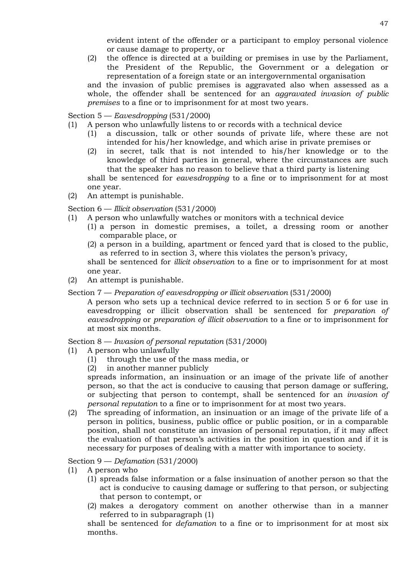(2) the offence is directed at a building or premises in use by the Parliament, the President of the Republic, the Government or a delegation or representation of a foreign state or an intergovernmental organisation and the invasion of public premises is aggravated also when assessed as a

whole, the offender shall be sentenced for an *aggravated invasion of public premises* to a fine or to imprisonment for at most two years.

# Section 5 — *Eavesdropping* (531/2000)

- (1) A person who unlawfully listens to or records with a technical device
	- (1) a discussion, talk or other sounds of private life, where these are not intended for his/her knowledge, and which arise in private premises or
	- (2) in secret, talk that is not intended to his/her knowledge or to the knowledge of third parties in general, where the circumstances are such that the speaker has no reason to believe that a third party is listening shall be sentenced for *eavesdropping* to a fine or to imprisonment for at most
- one year. (2) An attempt is punishable.

# Section 6 — *Illicit observation* (531/2000)

- (1) A person who unlawfully watches or monitors with a technical device
	- (1) a person in domestic premises, a toilet, a dressing room or another comparable place, or
	- (2) a person in a building, apartment or fenced yard that is closed to the public, as referred to in section 3, where this violates the person's privacy,

shall be sentenced for *illicit observation* to a fine or to imprisonment for at most one year.

(2) An attempt is punishable.

# Section 7 — *Preparation of eavesdropping or illicit observation* (531/2000)

A person who sets up a technical device referred to in section 5 or 6 for use in eavesdropping or illicit observation shall be sentenced for *preparation of eavesdropping* or *preparation of illicit observation* to a fine or to imprisonment for at most six months.

Section 8 — *Invasion of personal reputation* (531/2000)

- (1) A person who unlawfully
	- (1) through the use of the mass media, or
	- (2) in another manner publicly

spreads information, an insinuation or an image of the private life of another person, so that the act is conducive to causing that person damage or suffering, or subjecting that person to contempt, shall be sentenced for an *invasion of personal reputation* to a fine or to imprisonment for at most two years.

(2) The spreading of information, an insinuation or an image of the private life of a person in politics, business, public office or public position, or in a comparable position, shall not constitute an invasion of personal reputation, if it may affect the evaluation of that person's activities in the position in question and if it is necessary for purposes of dealing with a matter with importance to society.

Section 9 — *Defamation* (531/2000)

- (1) A person who
	- (1) spreads false information or a false insinuation of another person so that the act is conducive to causing damage or suffering to that person, or subjecting that person to contempt, or
	- (2) makes a derogatory comment on another otherwise than in a manner referred to in subparagraph (1)

shall be sentenced for *defamation* to a fine or to imprisonment for at most six months.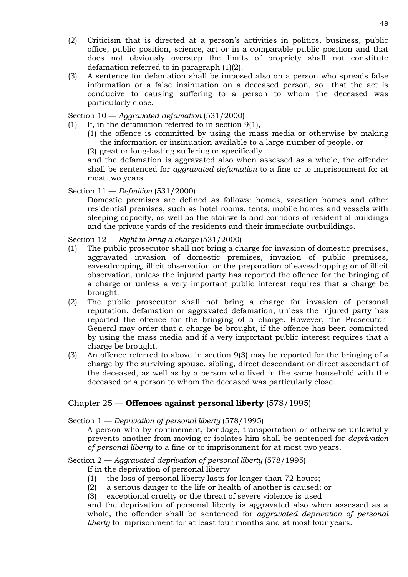- (2) Criticism that is directed at a person's activities in politics, business, public office, public position, science, art or in a comparable public position and that does not obviously overstep the limits of propriety shall not constitute defamation referred to in paragraph (1)(2).
- (3) A sentence for defamation shall be imposed also on a person who spreads false information or a false insinuation on a deceased person, so that the act is conducive to causing suffering to a person to whom the deceased was particularly close.

## Section 10 — *Aggravated defamation* (531/2000)

- (1) If, in the defamation referred to in section 9(1),
	- (1) the offence is committed by using the mass media or otherwise by making the information or insinuation available to a large number of people, or

(2) great or long-lasting suffering or specifically

and the defamation is aggravated also when assessed as a whole, the offender shall be sentenced for *aggravated defamation* to a fine or to imprisonment for at most two years.

## Section 11 — *Definition* (531/2000)

Domestic premises are defined as follows: homes, vacation homes and other residential premises, such as hotel rooms, tents, mobile homes and vessels with sleeping capacity, as well as the stairwells and corridors of residential buildings and the private yards of the residents and their immediate outbuildings.

Section 12 — *Right to bring a charge* (531/2000)

- (1) The public prosecutor shall not bring a charge for invasion of domestic premises, aggravated invasion of domestic premises, invasion of public premises, eavesdropping, illicit observation or the preparation of eavesdropping or of illicit observation, unless the injured party has reported the offence for the bringing of a charge or unless a very important public interest requires that a charge be brought.
- (2) The public prosecutor shall not bring a charge for invasion of personal reputation, defamation or aggravated defamation, unless the injured party has reported the offence for the bringing of a charge. However, the Prosecutor-General may order that a charge be brought, if the offence has been committed by using the mass media and if a very important public interest requires that a charge be brought.
- (3) An offence referred to above in section 9(3) may be reported for the bringing of a charge by the surviving spouse, sibling, direct descendant or direct ascendant of the deceased, as well as by a person who lived in the same household with the deceased or a person to whom the deceased was particularly close.

# Chapter 25 — **Offences against personal liberty** (578/1995)

Section 1 — *Deprivation of personal liberty* (578/1995)

A person who by confinement, bondage, transportation or otherwise unlawfully prevents another from moving or isolates him shall be sentenced for *deprivation of personal liberty* to a fine or to imprisonment for at most two years.

# Section 2 — *Aggravated deprivation of personal liberty* (578/1995)

- If in the deprivation of personal liberty
- (1) the loss of personal liberty lasts for longer than 72 hours;
- (2) a serious danger to the life or health of another is caused; or
- (3) exceptional cruelty or the threat of severe violence is used

and the deprivation of personal liberty is aggravated also when assessed as a whole, the offender shall be sentenced for *aggravated deprivation of personal liberty* to imprisonment for at least four months and at most four years.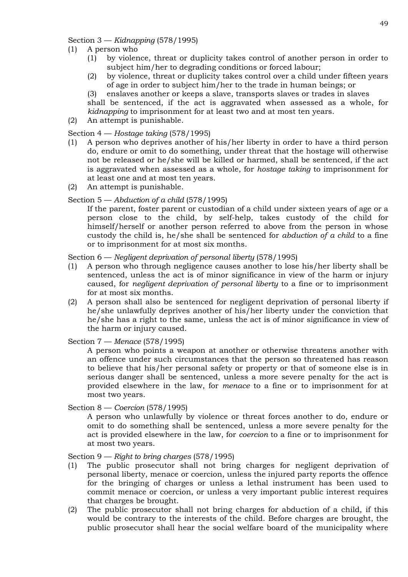Section 3 — *Kidnapping* (578/1995)

- (1) A person who
	- (1) by violence, threat or duplicity takes control of another person in order to subject him/her to degrading conditions or forced labour;
	- (2) by violence, threat or duplicity takes control over a child under fifteen years of age in order to subject him/her to the trade in human beings; or

(3) enslaves another or keeps a slave, transports slaves or trades in slaves shall be sentenced, if the act is aggravated when assessed as a whole, for

*kidnapping* to imprisonment for at least two and at most ten years.

(2) An attempt is punishable.

# Section 4 — *Hostage taking* (578/1995)

- (1) A person who deprives another of his/her liberty in order to have a third person do, endure or omit to do something, under threat that the hostage will otherwise not be released or he/she will be killed or harmed, shall be sentenced, if the act is aggravated when assessed as a whole, for *hostage taking* to imprisonment for at least one and at most ten years.
- (2) An attempt is punishable.

# Section 5 — *Abduction of a child* (578/1995)

If the parent, foster parent or custodian of a child under sixteen years of age or a person close to the child, by self-help, takes custody of the child for himself/herself or another person referred to above from the person in whose custody the child is, he/she shall be sentenced for *abduction of a child* to a fine or to imprisonment for at most six months.

Section 6 — *Negligent deprivation of personal liberty* (578/1995)

- (1) A person who through negligence causes another to lose his/her liberty shall be sentenced, unless the act is of minor significance in view of the harm or injury caused, for *negligent deprivation of personal liberty* to a fine or to imprisonment for at most six months.
- (2) A person shall also be sentenced for negligent deprivation of personal liberty if he/she unlawfully deprives another of his/her liberty under the conviction that he/she has a right to the same, unless the act is of minor significance in view of the harm or injury caused.

Section 7 — *Menace* (578/1995)

A person who points a weapon at another or otherwise threatens another with an offence under such circumstances that the person so threatened has reason to believe that his/her personal safety or property or that of someone else is in serious danger shall be sentenced, unless a more severe penalty for the act is provided elsewhere in the law, for *menace* to a fine or to imprisonment for at most two years.

Section 8 — *Coercion* (578/1995)

A person who unlawfully by violence or threat forces another to do, endure or omit to do something shall be sentenced, unless a more severe penalty for the act is provided elsewhere in the law, for *coercion* to a fine or to imprisonment for at most two years.

Section 9 — *Right to bring charges* (578/1995)

- (1) The public prosecutor shall not bring charges for negligent deprivation of personal liberty, menace or coercion, unless the injured party reports the offence for the bringing of charges or unless a lethal instrument has been used to commit menace or coercion, or unless a very important public interest requires that charges be brought.
- (2) The public prosecutor shall not bring charges for abduction of a child, if this would be contrary to the interests of the child. Before charges are brought, the public prosecutor shall hear the social welfare board of the municipality where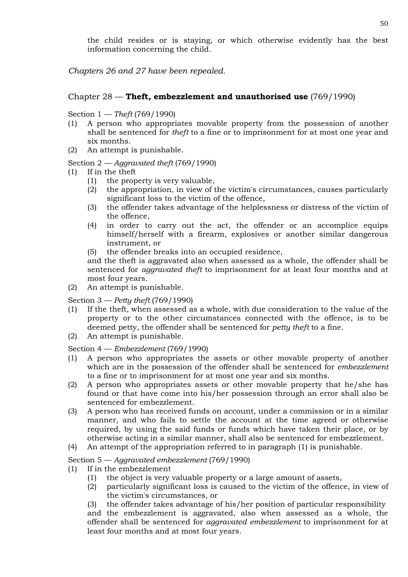the child resides or is staying, or which otherwise evidently has the best information concerning the child.

*Chapters 26 and 27 have been repealed.*

# Chapter 28 — **Theft, embezzlement and unauthorised use** (769/1990)

Section 1 — *Theft* (769/1990)

- (1) A person who appropriates movable property from the possession of another shall be sentenced for *theft* to a fine or to imprisonment for at most one year and six months.
- (2) An attempt is punishable.

## Section 2 — *Aggravated theft* (769/1990)

- (1) If in the theft
	- (1) the property is very valuable,
	- (2) the appropriation, in view of the victim's circumstances, causes particularly significant loss to the victim of the offence,
	- (3) the offender takes advantage of the helplessness or distress of the victim of the offence,
	- (4) in order to carry out the act, the offender or an accomplice equips himself/herself with a firearm, explosives or another similar dangerous instrument, or
	- (5) the offender breaks into an occupied residence,

and the theft is aggravated also when assessed as a whole, the offender shall be sentenced for *aggravated theft* to imprisonment for at least four months and at most four years.

(2) An attempt is punishable.

Section 3 — *Petty theft* (769/1990)

- (1) If the theft, when assessed as a whole, with due consideration to the value of the property or to the other circumstances connected with the offence, is to be deemed petty, the offender shall be sentenced for *petty theft* to a fine.
- (2) An attempt is punishable.

Section 4 — *Embezzlement* (769/1990)

- (1) A person who appropriates the assets or other movable property of another which are in the possession of the offender shall be sentenced for *embezzlement* to a fine or to imprisonment for at most one year and six months.
- (2) A person who appropriates assets or other movable property that he/she has found or that have come into his/her possession through an error shall also be sentenced for embezzlement.
- (3) A person who has received funds on account, under a commission or in a similar manner, and who fails to settle the account at the time agreed or otherwise required, by using the said funds or funds which have taken their place, or by otherwise acting in a similar manner, shall also be sentenced for embezzlement.
- (4) An attempt of the appropriation referred to in paragraph (1) is punishable.

Section 5 — *Aggravated embezzlement* (769/1990)

- (1) If in the embezzlement
	- (1) the object is very valuable property or a large amount of assets,
	- (2) particularly significant loss is caused to the victim of the offence, in view of the victim's circumstances, or

(3) the offender takes advantage of his/her position of particular responsibility and the embezzlement is aggravated, also when assessed as a whole, the offender shall be sentenced for *aggravated embezzlement* to imprisonment for at least four months and at most four years.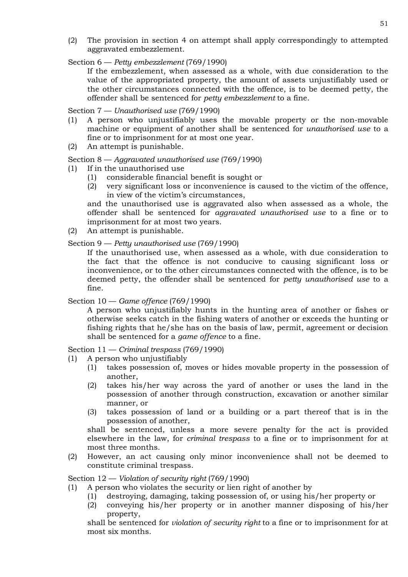- (2) The provision in section 4 on attempt shall apply correspondingly to attempted aggravated embezzlement.
- Section 6 *Petty embezzlement* (769/1990)

If the embezzlement, when assessed as a whole, with due consideration to the value of the appropriated property, the amount of assets unjustifiably used or the other circumstances connected with the offence, is to be deemed petty, the offender shall be sentenced for *petty embezzlement* to a fine.

Section 7 — *Unauthorised use* (769/1990)

- (1) A person who unjustifiably uses the movable property or the non-movable machine or equipment of another shall be sentenced for *unauthorised use* to a fine or to imprisonment for at most one year.
- (2) An attempt is punishable.

Section 8 — *Aggravated unauthorised use* (769/1990)

- (1) If in the unauthorised use
	- (1) considerable financial benefit is sought or
	- (2) very significant loss or inconvenience is caused to the victim of the offence, in view of the victim's circumstances,

and the unauthorised use is aggravated also when assessed as a whole, the offender shall be sentenced for *aggravated unauthorised use* to a fine or to imprisonment for at most two years.

(2) An attempt is punishable.

Section 9 — *Petty unauthorised use* (769/1990)

If the unauthorised use, when assessed as a whole, with due consideration to the fact that the offence is not conducive to causing significant loss or inconvenience, or to the other circumstances connected with the offence, is to be deemed petty, the offender shall be sentenced for *petty unauthorised use* to a fine.

#### Section 10 — *Game offence* (769/1990)

A person who unjustifiably hunts in the hunting area of another or fishes or otherwise seeks catch in the fishing waters of another or exceeds the hunting or fishing rights that he/she has on the basis of law, permit, agreement or decision shall be sentenced for a *game offence* to a fine.

Section 11 — *Criminal trespass* (769/1990)

- (1) A person who unjustifiably
	- (1) takes possession of, moves or hides movable property in the possession of another,
	- (2) takes his/her way across the yard of another or uses the land in the possession of another through construction, excavation or another similar manner, or
	- (3) takes possession of land or a building or a part thereof that is in the possession of another,

shall be sentenced, unless a more severe penalty for the act is provided elsewhere in the law, for *criminal trespass* to a fine or to imprisonment for at most three months.

(2) However, an act causing only minor inconvenience shall not be deemed to constitute criminal trespass.

Section 12 — *Violation of security right* (769/1990)

- (1) A person who violates the security or lien right of another by
	- (1) destroying, damaging, taking possession of, or using his/her property or
	- (2) conveying his/her property or in another manner disposing of his/her property,

shall be sentenced for *violation of security right* to a fine or to imprisonment for at most six months.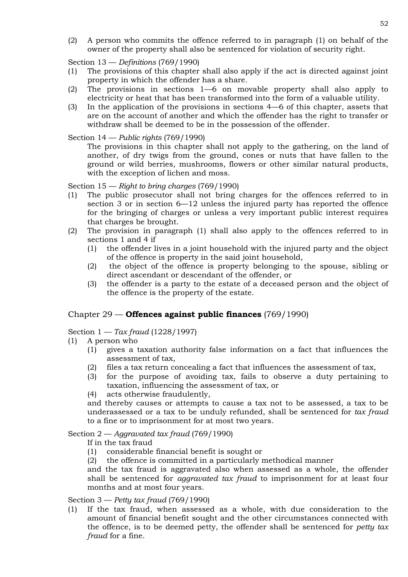(2) A person who commits the offence referred to in paragraph (1) on behalf of the owner of the property shall also be sentenced for violation of security right.

Section 13 — *Definitions* (769/1990)

- (1) The provisions of this chapter shall also apply if the act is directed against joint property in which the offender has a share.
- (2) The provisions in sections 1—6 on movable property shall also apply to electricity or heat that has been transformed into the form of a valuable utility.
- (3) In the application of the provisions in sections 4—6 of this chapter, assets that are on the account of another and which the offender has the right to transfer or withdraw shall be deemed to be in the possession of the offender.

Section 14 — *Public rights* (769/1990)

The provisions in this chapter shall not apply to the gathering, on the land of another, of dry twigs from the ground, cones or nuts that have fallen to the ground or wild berries, mushrooms, flowers or other similar natural products, with the exception of lichen and moss.

Section 15 — *Right to bring charges* (769/1990)

- (1) The public prosecutor shall not bring charges for the offences referred to in section 3 or in section 6—12 unless the injured party has reported the offence for the bringing of charges or unless a very important public interest requires that charges be brought.
- (2) The provision in paragraph (1) shall also apply to the offences referred to in sections 1 and 4 if
	- (1) the offender lives in a joint household with the injured party and the object of the offence is property in the said joint household,
	- (2) the object of the offence is property belonging to the spouse, sibling or direct ascendant or descendant of the offender, or
	- (3) the offender is a party to the estate of a deceased person and the object of the offence is the property of the estate.

# Chapter 29 — **Offences against public finances** (769/1990)

Section 1 — *Tax fraud* (1228/1997)

- (1) A person who
	- (1) gives a taxation authority false information on a fact that influences the assessment of tax,
	- (2) files a tax return concealing a fact that influences the assessment of tax,
	- (3) for the purpose of avoiding tax, fails to observe a duty pertaining to taxation, influencing the assessment of tax, or
	- (4) acts otherwise fraudulently,

and thereby causes or attempts to cause a tax not to be assessed, a tax to be underassessed or a tax to be unduly refunded, shall be sentenced for *tax fraud* to a fine or to imprisonment for at most two years.

Section 2 — *Aggravated tax fraud* (769/1990)

- If in the tax fraud
- (1) considerable financial benefit is sought or
- (2) the offence is committed in a particularly methodical manner

and the tax fraud is aggravated also when assessed as a whole, the offender shall be sentenced for *aggravated tax fraud* to imprisonment for at least four months and at most four years.

## Section 3 — *Petty tax fraud* (769/1990)

(1) If the tax fraud, when assessed as a whole, with due consideration to the amount of financial benefit sought and the other circumstances connected with the offence, is to be deemed petty, the offender shall be sentenced for *petty tax fraud* for a fine.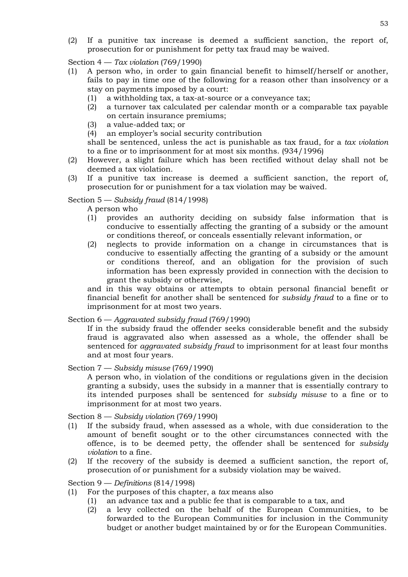(2) If a punitive tax increase is deemed a sufficient sanction, the report of, prosecution for or punishment for petty tax fraud may be waived.

Section 4 — *Tax violation* (769/1990)

- (1) A person who, in order to gain financial benefit to himself/herself or another, fails to pay in time one of the following for a reason other than insolvency or a stay on payments imposed by a court:
	- (1) a withholding tax, a tax-at-source or a conveyance tax;
	- (2) a turnover tax calculated per calendar month or a comparable tax payable on certain insurance premiums;
	- (3) a value-added tax; or
	- (4) an employer's social security contribution

shall be sentenced, unless the act is punishable as tax fraud, for a *tax violation* to a fine or to imprisonment for at most six months. (934/1996)

- (2) However, a slight failure which has been rectified without delay shall not be deemed a tax violation.
- (3) If a punitive tax increase is deemed a sufficient sanction, the report of, prosecution for or punishment for a tax violation may be waived.

## Section 5 — *Subsidy fraud* (814/1998)

A person who

- (1) provides an authority deciding on subsidy false information that is conducive to essentially affecting the granting of a subsidy or the amount or conditions thereof, or conceals essentially relevant information, or
- (2) neglects to provide information on a change in circumstances that is conducive to essentially affecting the granting of a subsidy or the amount or conditions thereof, and an obligation for the provision of such information has been expressly provided in connection with the decision to grant the subsidy or otherwise,

and in this way obtains or attempts to obtain personal financial benefit or financial benefit for another shall be sentenced for *subsidy fraud* to a fine or to imprisonment for at most two years.

Section 6 — *Aggravated subsidy fraud* (769/1990)

If in the subsidy fraud the offender seeks considerable benefit and the subsidy fraud is aggravated also when assessed as a whole, the offender shall be sentenced for *aggravated subsidy fraud* to imprisonment for at least four months and at most four years.

Section 7 — *Subsidy misuse* (769/1990)

A person who, in violation of the conditions or regulations given in the decision granting a subsidy, uses the subsidy in a manner that is essentially contrary to its intended purposes shall be sentenced for *subsidy misuse* to a fine or to imprisonment for at most two years.

Section 8 — *Subsidy violation* (769/1990)

- (1) If the subsidy fraud, when assessed as a whole, with due consideration to the amount of benefit sought or to the other circumstances connected with the offence, is to be deemed petty, the offender shall be sentenced for *subsidy violation* to a fine.
- (2) If the recovery of the subsidy is deemed a sufficient sanction, the report of, prosecution of or punishment for a subsidy violation may be waived.

Section 9 — *Definitions* (814/1998)

- (1) For the purposes of this chapter, a *tax* means also
	- (1) an advance tax and a public fee that is comparable to a tax, and
	- (2) a levy collected on the behalf of the European Communities, to be forwarded to the European Communities for inclusion in the Community budget or another budget maintained by or for the European Communities.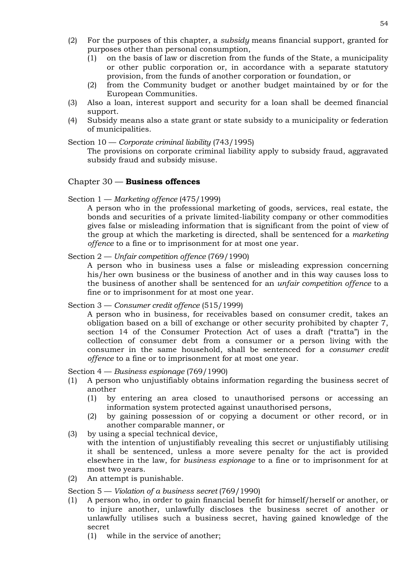- (2) For the purposes of this chapter, a *subsidy* means financial support, granted for purposes other than personal consumption,
	- (1) on the basis of law or discretion from the funds of the State, a municipality or other public corporation or, in accordance with a separate statutory provision, from the funds of another corporation or foundation, or
	- (2) from the Community budget or another budget maintained by or for the European Communities.
- (3) Also a loan, interest support and security for a loan shall be deemed financial support.
- (4) Subsidy means also a state grant or state subsidy to a municipality or federation of municipalities.

Section 10 — *Corporate criminal liability* (743/1995)

The provisions on corporate criminal liability apply to subsidy fraud, aggravated subsidy fraud and subsidy misuse.

# Chapter 30 — **Business offences**

Section 1 — *Marketing offence* (475/1999)

A person who in the professional marketing of goods, services, real estate, the bonds and securities of a private limited-liability company or other commodities gives false or misleading information that is significant from the point of view of the group at which the marketing is directed, shall be sentenced for a *marketing offence* to a fine or to imprisonment for at most one year.

Section 2 — *Unfair competition offence* (769/1990)

A person who in business uses a false or misleading expression concerning his/her own business or the business of another and in this way causes loss to the business of another shall be sentenced for an *unfair competition offence* to a fine or to imprisonment for at most one year.

Section 3 — *Consumer credit offence* (515/1999)

A person who in business, for receivables based on consumer credit, takes an obligation based on a bill of exchange or other security prohibited by chapter 7, section 14 of the Consumer Protection Act of uses a draft ("tratta") in the collection of consumer debt from a consumer or a person living with the consumer in the same household, shall be sentenced for a *consumer credit offence* to a fine or to imprisonment for at most one year.

Section 4 — *Business espionage* (769/1990)

- (1) A person who unjustifiably obtains information regarding the business secret of another
	- (1) by entering an area closed to unauthorised persons or accessing an information system protected against unauthorised persons,
	- (2) by gaining possession of or copying a document or other record, or in another comparable manner, or
- (3) by using a special technical device, with the intention of unjustifiably revealing this secret or unjustifiably utilising it shall be sentenced, unless a more severe penalty for the act is provided elsewhere in the law, for *business espionage* to a fine or to imprisonment for at most two years.
- (2) An attempt is punishable.

Section 5 — *Violation of a business secret* (769/1990)

- (1) A person who, in order to gain financial benefit for himself/herself or another, or to injure another, unlawfully discloses the business secret of another or unlawfully utilises such a business secret, having gained knowledge of the secret
	- (1) while in the service of another;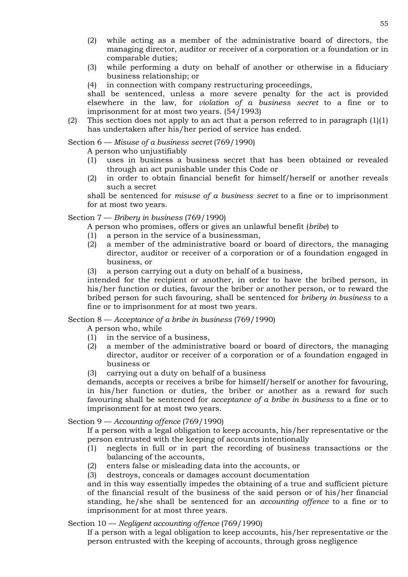- (2) while acting as a member of the administrative board of directors, the managing director, auditor or receiver of a corporation or a foundation or in comparable duties;
- (3) while performing a duty on behalf of another or otherwise in a fiduciary business relationship; or
- (4) in connection with company restructuring proceedings,

shall be sentenced, unless a more severe penalty for the act is provided elsewhere in the law, for *violation of a business secret* to a fine or to imprisonment for at most two years. (54/1993)

(2) This section does not apply to an act that a person referred to in paragraph  $(1)(1)$ has undertaken after his/her period of service has ended.

# Section 6 — *Misuse of a business secret* (769/1990)

A person who unjustifiably

- (1) uses in business a business secret that has been obtained or revealed through an act punishable under this Code or
- (2) in order to obtain financial benefit for himself/herself or another reveals such a secret

shall be sentenced for *misuse of a business secret* to a fine or to imprisonment for at most two years.

# Section 7 — *Bribery in business* (769/1990)

- A person who promises, offers or gives an unlawful benefit (*bribe*) to
- (1) a person in the service of a businessman,
- (2) a member of the administrative board or board of directors, the managing director, auditor or receiver of a corporation or of a foundation engaged in business, or
- (3) a person carrying out a duty on behalf of a business,

intended for the recipient or another, in order to have the bribed person, in his/her function or duties, favour the briber or another person, or to reward the bribed person for such favouring, shall be sentenced for *bribery in business* to a fine or to imprisonment for at most two years.

Section 8 — *Acceptance of a bribe in business* (769/1990)

A person who, while

- (1) in the service of a business,
- (2) a member of the administrative board or board of directors, the managing director, auditor or receiver of a corporation or of a foundation engaged in business or
- (3) carrying out a duty on behalf of a business

demands, accepts or receives a bribe for himself/herself or another for favouring, in his/her function or duties, the briber or another as a reward for such favouring shall be sentenced for *acceptance of a bribe in business* to a fine or to imprisonment for at most two years.

# Section 9 — *Accounting offence* (769/1990)

If a person with a legal obligation to keep accounts, his/her representative or the person entrusted with the keeping of accounts intentionally

- (1) neglects in full or in part the recording of business transactions or the balancing of the accounts,
- (2) enters false or misleading data into the accounts, or
- (3) destroys, conceals or damages account documentation

and in this way essentially impedes the obtaining of a true and sufficient picture of the financial result of the business of the said person or of his/her financial standing, he/she shall be sentenced for an *accounting offence* to a fine or to imprisonment for at most three years.

Section 10 — *Negligent accounting offence* (769/1990)

If a person with a legal obligation to keep accounts, his/her representative or the person entrusted with the keeping of accounts, through gross negligence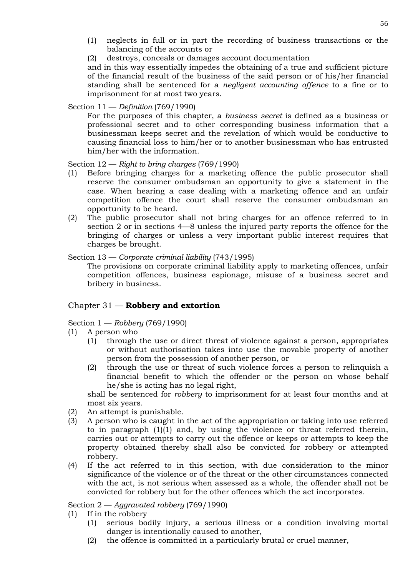- (1) neglects in full or in part the recording of business transactions or the balancing of the accounts or
- (2) destroys, conceals or damages account documentation

and in this way essentially impedes the obtaining of a true and sufficient picture of the financial result of the business of the said person or of his/her financial standing shall be sentenced for a *negligent accounting offence* to a fine or to imprisonment for at most two years.

# Section 11 — *Definition* (769/1990)

For the purposes of this chapter, a *business secret* is defined as a business or professional secret and to other corresponding business information that a businessman keeps secret and the revelation of which would be conductive to causing financial loss to him/her or to another businessman who has entrusted him/her with the information.

Section 12 — *Right to bring charges* (769/1990)

- (1) Before bringing charges for a marketing offence the public prosecutor shall reserve the consumer ombudsman an opportunity to give a statement in the case. When hearing a case dealing with a marketing offence and an unfair competition offence the court shall reserve the consumer ombudsman an opportunity to be heard.
- (2) The public prosecutor shall not bring charges for an offence referred to in section 2 or in sections 4—8 unless the injured party reports the offence for the bringing of charges or unless a very important public interest requires that charges be brought.

# Section 13 — *Corporate criminal liability* (743/1995)

The provisions on corporate criminal liability apply to marketing offences, unfair competition offences, business espionage, misuse of a business secret and bribery in business.

# Chapter 31 — **Robbery and extortion**

# Section 1 — *Robbery* (769/1990)

- (1) A person who
	- (1) through the use or direct threat of violence against a person, appropriates or without authorisation takes into use the movable property of another person from the possession of another person, or
	- (2) through the use or threat of such violence forces a person to relinquish a financial benefit to which the offender or the person on whose behalf he/she is acting has no legal right,

shall be sentenced for *robbery* to imprisonment for at least four months and at most six years.

- (2) An attempt is punishable.
- (3) A person who is caught in the act of the appropriation or taking into use referred to in paragraph (1)(1) and, by using the violence or threat referred therein, carries out or attempts to carry out the offence or keeps or attempts to keep the property obtained thereby shall also be convicted for robbery or attempted robbery.
- (4) If the act referred to in this section, with due consideration to the minor significance of the violence or of the threat or the other circumstances connected with the act, is not serious when assessed as a whole, the offender shall not be convicted for robbery but for the other offences which the act incorporates.

Section 2 — *Aggravated robbery* (769/1990)

- (1) If in the robbery
	- (1) serious bodily injury, a serious illness or a condition involving mortal danger is intentionally caused to another,
	- (2) the offence is committed in a particularly brutal or cruel manner,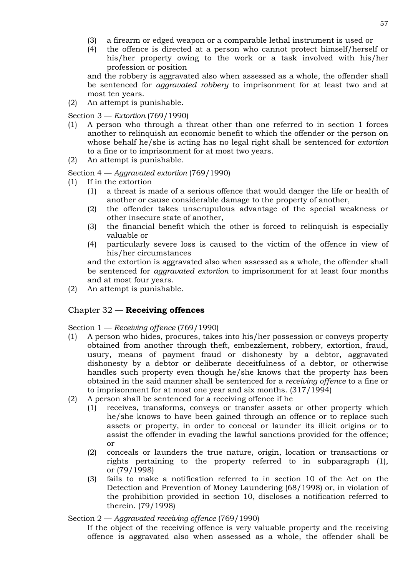- (3) a firearm or edged weapon or a comparable lethal instrument is used or
- (4) the offence is directed at a person who cannot protect himself/herself or his/her property owing to the work or a task involved with his/her profession or position

and the robbery is aggravated also when assessed as a whole, the offender shall be sentenced for *aggravated robbery* to imprisonment for at least two and at most ten years.

(2) An attempt is punishable.

Section 3 — *Extortion* (769/1990)

- (1) A person who through a threat other than one referred to in section 1 forces another to relinquish an economic benefit to which the offender or the person on whose behalf he/she is acting has no legal right shall be sentenced for *extortion*  to a fine or to imprisonment for at most two years.
- (2) An attempt is punishable.

Section 4 — *Aggravated extortion* (769/1990)

- (1) If in the extortion
	- (1) a threat is made of a serious offence that would danger the life or health of another or cause considerable damage to the property of another,
	- (2) the offender takes unscrupulous advantage of the special weakness or other insecure state of another,
	- (3) the financial benefit which the other is forced to relinquish is especially valuable or
	- (4) particularly severe loss is caused to the victim of the offence in view of his/her circumstances

and the extortion is aggravated also when assessed as a whole, the offender shall be sentenced for *aggravated extortion* to imprisonment for at least four months and at most four years.

(2) An attempt is punishable.

#### Chapter 32 — **Receiving offences**

Section 1 — *Receiving offence* (769/1990)

- (1) A person who hides, procures, takes into his/her possession or conveys property obtained from another through theft, embezzlement, robbery, extortion, fraud, usury, means of payment fraud or dishonesty by a debtor, aggravated dishonesty by a debtor or deliberate deceitfulness of a debtor, or otherwise handles such property even though he/she knows that the property has been obtained in the said manner shall be sentenced for a *receiving offence* to a fine or to imprisonment for at most one year and six months. (317/1994)
- (2) A person shall be sentenced for a receiving offence if he
	- (1) receives, transforms, conveys or transfer assets or other property which he/she knows to have been gained through an offence or to replace such assets or property, in order to conceal or launder its illicit origins or to assist the offender in evading the lawful sanctions provided for the offence; or
	- (2) conceals or launders the true nature, origin, location or transactions or rights pertaining to the property referred to in subparagraph (1), or (79/1998)
	- (3) fails to make a notification referred to in section 10 of the Act on the Detection and Prevention of Money Laundering (68/1998) or, in violation of the prohibition provided in section 10, discloses a notification referred to therein. (79/1998)

Section 2 — *Aggravated receiving offence* (769/1990)

If the object of the receiving offence is very valuable property and the receiving offence is aggravated also when assessed as a whole, the offender shall be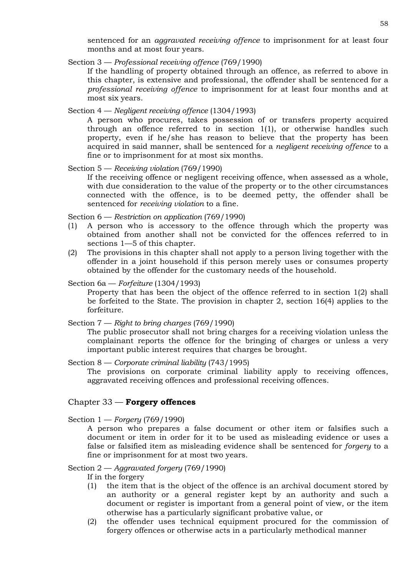sentenced for an *aggravated receiving offence* to imprisonment for at least four months and at most four years.

Section 3 — *Professional receiving offence* (769/1990)

If the handling of property obtained through an offence, as referred to above in this chapter, is extensive and professional, the offender shall be sentenced for a *professional receiving offence* to imprisonment for at least four months and at most six years.

Section 4 — *Negligent receiving offence* (1304/1993)

A person who procures, takes possession of or transfers property acquired through an offence referred to in section 1(1), or otherwise handles such property, even if he/she has reason to believe that the property has been acquired in said manner, shall be sentenced for a *negligent receiving offence* to a fine or to imprisonment for at most six months.

Section 5 — *Receiving violation* (769/1990)

If the receiving offence or negligent receiving offence, when assessed as a whole, with due consideration to the value of the property or to the other circumstances connected with the offence, is to be deemed petty, the offender shall be sentenced for *receiving violation* to a fine.

Section 6 — *Restriction on application* (769/1990)

- (1) A person who is accessory to the offence through which the property was obtained from another shall not be convicted for the offences referred to in sections 1—5 of this chapter.
- (2) The provisions in this chapter shall not apply to a person living together with the offender in a joint household if this person merely uses or consumes property obtained by the offender for the customary needs of the household.

#### Section 6a — *Forfeiture* (1304/1993)

Property that has been the object of the offence referred to in section 1(2) shall be forfeited to the State. The provision in chapter 2, section 16(4) applies to the forfeiture.

#### Section 7 — *Right to bring charges* (769/1990)

The public prosecutor shall not bring charges for a receiving violation unless the complainant reports the offence for the bringing of charges or unless a very important public interest requires that charges be brought.

## Section 8 — *Corporate criminal liability* (743/1995)

The provisions on corporate criminal liability apply to receiving offences, aggravated receiving offences and professional receiving offences.

# Chapter 33 — **Forgery offences**

Section 1 — *Forgery* (769/1990)

A person who prepares a false document or other item or falsifies such a document or item in order for it to be used as misleading evidence or uses a false or falsified item as misleading evidence shall be sentenced for *forgery* to a fine or imprisonment for at most two years.

## Section 2 — *Aggravated forgery* (769/1990)

If in the forgery

- (1) the item that is the object of the offence is an archival document stored by an authority or a general register kept by an authority and such a document or register is important from a general point of view, or the item otherwise has a particularly significant probative value, or
- (2) the offender uses technical equipment procured for the commission of forgery offences or otherwise acts in a particularly methodical manner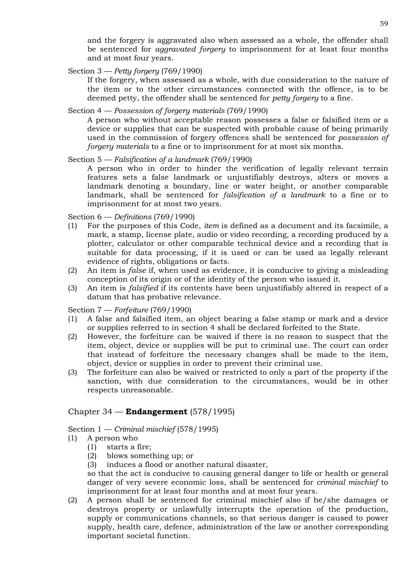and the forgery is aggravated also when assessed as a whole, the offender shall be sentenced for *aggravated forgery* to imprisonment for at least four months and at most four years.

Section 3 — *Petty forgery* (769/1990)

If the forgery, when assessed as a whole, with due consideration to the nature of the item or to the other circumstances connected with the offence, is to be deemed petty, the offender shall be sentenced for *petty forgery* to a fine.

Section 4 — *Possession of forgery materials* (769/1990)

A person who without acceptable reason possesses a false or falsified item or a device or supplies that can be suspected with probable cause of being primarily used in the commission of forgery offences shall be sentenced for *possession of forgery materials* to a fine or to imprisonment for at most six months.

Section 5 — *Falsification of a landmark* (769/1990)

A person who in order to hinder the verification of legally relevant terrain features sets a false landmark or unjustifiably destroys, alters or moves a landmark denoting a boundary, line or water height, or another comparable landmark, shall be sentenced for *falsification of a landmark* to a fine or to imprisonment for at most two years.

Section 6 — *Definitions* (769/1990)

- (1) For the purposes of this Code, *item* is defined as a document and its facsimile, a mark, a stamp, license plate, audio or video recording, a recording produced by a plotter, calculator or other comparable technical device and a recording that is suitable for data processing, if it is used or can be used as legally relevant evidence of rights, obligations or facts.
- (2) An item is *false* if, when used as evidence, it is conducive to giving a misleading conception of its origin or of the identity of the person who issued it.
- (3) An item is *falsified* if its contents have been unjustifiably altered in respect of a datum that has probative relevance.

Section 7 — *Forfeiture* (769/1990)

- (1) A false and falsified item, an object bearing a false stamp or mark and a device or supplies referred to in section 4 shall be declared forfeited to the State.
- (2) However, the forfeiture can be waived if there is no reason to suspect that the item, object, device or supplies will be put to criminal use. The court can order that instead of forfeiture the necessary changes shall be made to the item, object, device or supplies in order to prevent their criminal use.
- (3) The forfeiture can also be waived or restricted to only a part of the property if the sanction, with due consideration to the circumstances, would be in other respects unreasonable.

# Chapter 34 — **Endangerment** (578/1995)

Section 1 — *Criminal mischief* (578/1995)

- (1) A person who
	- (1) starts a fire;
	- (2) blows something up; or
	- (3) induces a flood or another natural disaster,

so that the act is conducive to causing general danger to life or health or general danger of very severe economic loss, shall be sentenced for *criminal mischief* to imprisonment for at least four months and at most four years.

(2) A person shall be sentenced for criminal mischief also if he/she damages or destroys property or unlawfully interrupts the operation of the production, supply or communications channels, so that serious danger is caused to power supply, health care, defence, administration of the law or another corresponding important societal function.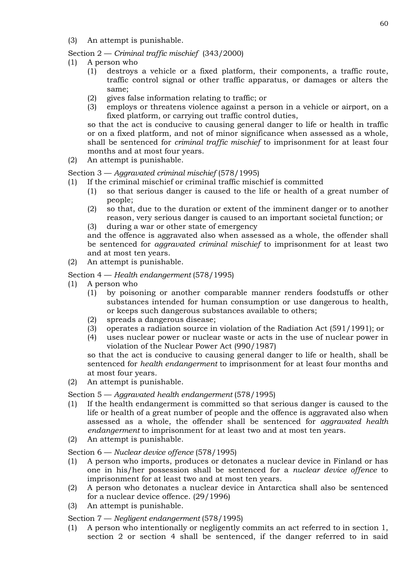(3) An attempt is punishable.

# Section 2 — *Criminal traffic mischief* (343/2000)

- (1) A person who
	- (1) destroys a vehicle or a fixed platform, their components, a traffic route, traffic control signal or other traffic apparatus, or damages or alters the same;
	- (2) gives false information relating to traffic; or
	- (3) employs or threatens violence against a person in a vehicle or airport, on a fixed platform, or carrying out traffic control duties,

so that the act is conducive to causing general danger to life or health in traffic or on a fixed platform, and not of minor significance when assessed as a whole, shall be sentenced for *criminal traffic mischief* to imprisonment for at least four months and at most four years.

(2) An attempt is punishable.

# Section 3 — *Aggravated criminal mischief* (578/1995)

- (1) If the criminal mischief or criminal traffic mischief is committed
	- (1) so that serious danger is caused to the life or health of a great number of people;
	- (2) so that, due to the duration or extent of the imminent danger or to another reason, very serious danger is caused to an important societal function; or
	- (3) during a war or other state of emergency

and the offence is aggravated also when assessed as a whole, the offender shall be sentenced for *aggravated criminal mischief* to imprisonment for at least two and at most ten years.

- (2) An attempt is punishable.
- Section 4 *Health endangerment* (578/1995)
- (1) A person who
	- (1) by poisoning or another comparable manner renders foodstuffs or other substances intended for human consumption or use dangerous to health, or keeps such dangerous substances available to others;
	- (2) spreads a dangerous disease;
	- (3) operates a radiation source in violation of the Radiation Act (591/1991); or
	- (4) uses nuclear power or nuclear waste or acts in the use of nuclear power in violation of the Nuclear Power Act (990/1987)

so that the act is conducive to causing general danger to life or health, shall be sentenced for *health endangerment* to imprisonment for at least four months and at most four years.

(2) An attempt is punishable.

# Section 5 — *Aggravated health endangerment* (578/1995)

- (1) If the health endangerment is committed so that serious danger is caused to the life or health of a great number of people and the offence is aggravated also when assessed as a whole, the offender shall be sentenced for *aggravated health endangerment* to imprisonment for at least two and at most ten years.
- (2) An attempt is punishable.

# Section 6 — *Nuclear device offence* (578/1995)

- (1) A person who imports, produces or detonates a nuclear device in Finland or has one in his/her possession shall be sentenced for a *nuclear device offence* to imprisonment for at least two and at most ten years.
- (2) A person who detonates a nuclear device in Antarctica shall also be sentenced for a nuclear device offence. (29/1996)
- (3) An attempt is punishable.

# Section 7 — *Negligent endangerment* (578/1995)

(1) A person who intentionally or negligently commits an act referred to in section 1, section 2 or section 4 shall be sentenced, if the danger referred to in said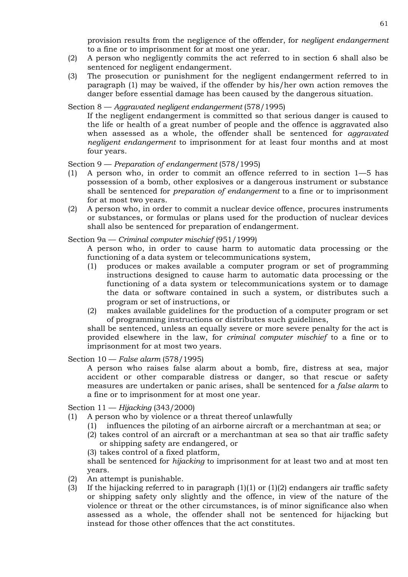provision results from the negligence of the offender, for *negligent endangerment*  to a fine or to imprisonment for at most one year.

- (2) A person who negligently commits the act referred to in section 6 shall also be sentenced for negligent endangerment.
- (3) The prosecution or punishment for the negligent endangerment referred to in paragraph (1) may be waived, if the offender by his/her own action removes the danger before essential damage has been caused by the dangerous situation.

## Section 8 — *Aggravated negligent endangerment* (578/1995)

If the negligent endangerment is committed so that serious danger is caused to the life or health of a great number of people and the offence is aggravated also when assessed as a whole, the offender shall be sentenced for *aggravated negligent endangerment* to imprisonment for at least four months and at most four years.

#### Section 9 — *Preparation of endangerment* (578/1995)

- (1) A person who, in order to commit an offence referred to in section 1—5 has possession of a bomb, other explosives or a dangerous instrument or substance shall be sentenced for *preparation of endangerment* to a fine or to imprisonment for at most two years.
- (2) A person who, in order to commit a nuclear device offence, procures instruments or substances, or formulas or plans used for the production of nuclear devices shall also be sentenced for preparation of endangerment.

#### Section 9a — *Criminal computer mischief* (951/1999)

A person who, in order to cause harm to automatic data processing or the functioning of a data system or telecommunications system,

- (1) produces or makes available a computer program or set of programming instructions designed to cause harm to automatic data processing or the functioning of a data system or telecommunications system or to damage the data or software contained in such a system, or distributes such a program or set of instructions, or
- (2) makes available guidelines for the production of a computer program or set of programming instructions or distributes such guidelines,

shall be sentenced, unless an equally severe or more severe penalty for the act is provided elsewhere in the law, for *criminal computer mischief* to a fine or to imprisonment for at most two years.

## Section 10 — *False alarm* (578/1995)

A person who raises false alarm about a bomb, fire, distress at sea, major accident or other comparable distress or danger, so that rescue or safety measures are undertaken or panic arises, shall be sentenced for a *false alarm* to a fine or to imprisonment for at most one year.

Section 11 — *Hijacking* (343/2000)

- (1) A person who by violence or a threat thereof unlawfully
	- (1) influences the piloting of an airborne aircraft or a merchantman at sea; or
	- (2) takes control of an aircraft or a merchantman at sea so that air traffic safety or shipping safety are endangered, or
	- (3) takes control of a fixed platform,

shall be sentenced for *hijacking* to imprisonment for at least two and at most ten years.

- (2) An attempt is punishable.
- (3) If the hijacking referred to in paragraph  $(1)(1)$  or  $(1)(2)$  endangers air traffic safety or shipping safety only slightly and the offence, in view of the nature of the violence or threat or the other circumstances, is of minor significance also when assessed as a whole, the offender shall not be sentenced for hijacking but instead for those other offences that the act constitutes.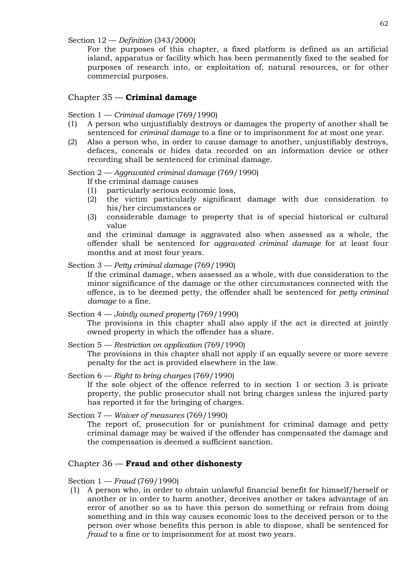Section 12 — *Definition* (343/2000)

For the purposes of this chapter, a fixed platform is defined as an artificial island, apparatus or facility which has been permanently fixed to the seabed for purposes of research into, or exploitation of, natural resources, or for other commercial purposes.

# Chapter 35 — **Criminal damage**

## Section 1 — *Criminal damage* (769/1990)

- (1) A person who unjustifiably destroys or damages the property of another shall be sentenced for *criminal damage* to a fine or to imprisonment for at most one year.
- (2) Also a person who, in order to cause damage to another, unjustifiably destroys, defaces, conceals or hides data recorded on an information device or other recording shall be sentenced for criminal damage.

# Section 2 — *Aggravated criminal damage* (769/1990)

If the criminal damage causes

- (1) particularly serious economic loss,
- (2) the victim particularly significant damage with due consideration to his/her circumstances or
- (3) considerable damage to property that is of special historical or cultural value

and the criminal damage is aggravated also when assessed as a whole, the offender shall be sentenced for *aggravated criminal damage* for at least four months and at most four years.

## Section 3 — *Petty criminal damage* (769/1990)

If the criminal damage, when assessed as a whole, with due consideration to the minor significance of the damage or the other circumstances connected with the offence, is to be deemed petty, the offender shall be sentenced for *petty criminal damage* to a fine.

## Section 4 — *Jointly owned property* (769/1990)

The provisions in this chapter shall also apply if the act is directed at jointly owned property in which the offender has a share.

Section 5 — *Restriction on application* (769/1990) The provisions in this chapter shall not apply if an equally severe or more severe penalty for the act is provided elsewhere in the law.

# Section 6 — *Right to bring charges* (769/1990)

If the sole object of the offence referred to in section 1 or section 3 is private property, the public prosecutor shall not bring charges unless the injured party has reported it for the bringing of charges.

Section 7 — *Waiver of measures* (769/1990)

The report of, prosecution for or punishment for criminal damage and petty criminal damage may be waived if the offender has compensated the damage and the compensation is deemed a sufficient sanction.

# Chapter 36 — **Fraud and other dishonesty**

Section 1 — *Fraud* (769/1990)

(1) A person who, in order to obtain unlawful financial benefit for himself/herself or another or in order to harm another, deceives another or takes advantage of an error of another so as to have this person do something or refrain from doing something and in this way causes economic loss to the deceived person or to the person over whose benefits this person is able to dispose, shall be sentenced for *fraud* to a fine or to imprisonment for at most two years.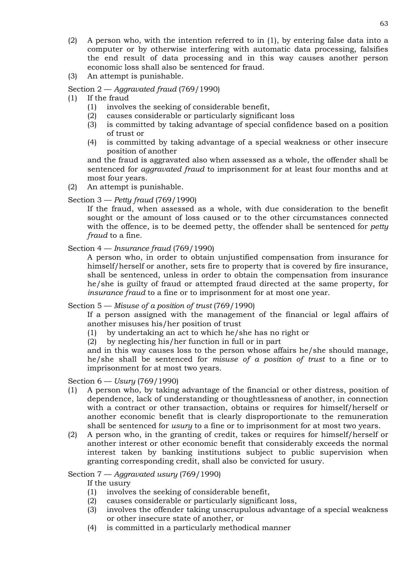- (2) A person who, with the intention referred to in (1), by entering false data into a computer or by otherwise interfering with automatic data processing, falsifies the end result of data processing and in this way causes another person economic loss shall also be sentenced for fraud.
- (3) An attempt is punishable.

# Section 2 — *Aggravated fraud* (769/1990)

- (1) If the fraud
	- (1) involves the seeking of considerable benefit,
	- (2) causes considerable or particularly significant loss
	- (3) is committed by taking advantage of special confidence based on a position of trust or
	- (4) is committed by taking advantage of a special weakness or other insecure position of another

and the fraud is aggravated also when assessed as a whole, the offender shall be sentenced for *aggravated fraud* to imprisonment for at least four months and at most four years.

(2) An attempt is punishable.

# Section 3 — *Petty fraud* (769/1990)

If the fraud, when assessed as a whole, with due consideration to the benefit sought or the amount of loss caused or to the other circumstances connected with the offence, is to be deemed petty, the offender shall be sentenced for *petty fraud* to a fine.

# Section 4 — *Insurance fraud* (769/1990)

A person who, in order to obtain unjustified compensation from insurance for himself/herself or another, sets fire to property that is covered by fire insurance, shall be sentenced, unless in order to obtain the compensation from insurance he/she is guilty of fraud or attempted fraud directed at the same property, for *insurance fraud* to a fine or to imprisonment for at most one year.

# Section 5 — *Misuse of a position of trust* (769/1990)

If a person assigned with the management of the financial or legal affairs of another misuses his/her position of trust

- (1) by undertaking an act to which he/she has no right or
- (2) by neglecting his/her function in full or in part

and in this way causes loss to the person whose affairs he/she should manage, he/she shall be sentenced for *misuse of a position of trust* to a fine or to imprisonment for at most two years.

# Section 6 — *Usury* (769/1990)

- (1) A person who, by taking advantage of the financial or other distress, position of dependence, lack of understanding or thoughtlessness of another, in connection with a contract or other transaction, obtains or requires for himself/herself or another economic benefit that is clearly disproportionate to the remuneration shall be sentenced for *usury* to a fine or to imprisonment for at most two years.
- (2) A person who, in the granting of credit, takes or requires for himself/herself or another interest or other economic benefit that considerably exceeds the normal interest taken by banking institutions subject to public supervision when granting corresponding credit, shall also be convicted for usury.

# Section 7 — *Aggravated usury* (769/1990)

If the usury

- (1) involves the seeking of considerable benefit,
- (2) causes considerable or particularly significant loss,
- (3) involves the offender taking unscrupulous advantage of a special weakness or other insecure state of another, or
- (4) is committed in a particularly methodical manner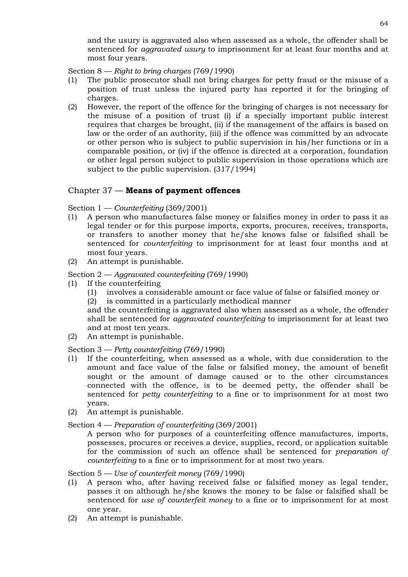and the usury is aggravated also when assessed as a whole, the offender shall be sentenced for *aggravated usury* to imprisonment for at least four months and at most four years.

Section 8 — *Right to bring charges* (769/1990)

- (1) The public prosecutor shall not bring charges for petty fraud or the misuse of a position of trust unless the injured party has reported it for the bringing of charges.
- (2) However, the report of the offence for the bringing of charges is not necessary for the misuse of a position of trust (i) if a specially important public interest requires that charges be brought, (ii) if the management of the affairs is based on law or the order of an authority, (iii) if the offence was committed by an advocate or other person who is subject to public supervision in his/her functions or in a comparable position, or (iv) if the offence is directed at a corporation, foundation or other legal person subject to public supervision in those operations which are subject to the public supervision. (317/1994)

# Chapter 37 — **Means of payment offences**

Section 1 — *Counterfeiting* (369/2001)

- (1) A person who manufactures false money or falsifies money in order to pass it as legal tender or for this purpose imports, exports, procures, receives, transports, or transfers to another money that he/she knows false or falsified shall be sentenced for *counterfeiting* to imprisonment for at least four months and at most four years.
- (2) An attempt is punishable.

Section 2 — *Aggravated counterfeiting* (769/1990)

- (1) If the counterfeiting
	- (1) involves a considerable amount or face value of false or falsified money or
	- (2) is committed in a particularly methodical manner

and the counterfeiting is aggravated also when assessed as a whole, the offender shall be sentenced for *aggravated counterfeiting* to imprisonment for at least two and at most ten years.

(2) An attempt is punishable.

Section 3 — *Petty counterfeiting* (769/1990)

- (1) If the counterfeiting, when assessed as a whole, with due consideration to the amount and face value of the false or falsified money, the amount of benefit sought or the amount of damage caused or to the other circumstances connected with the offence, is to be deemed petty, the offender shall be sentenced for *petty counterfeiting* to a fine or to imprisonment for at most two years.
- (2) An attempt is punishable.

Section 4 — *Preparation of counterfeiting* (369/2001)

A person who for purposes of a counterfeiting offence manufactures, imports, possesses, procures or receives a device, supplies, record, or application suitable for the commission of such an offence shall be sentenced for *preparation of counterfeiting* to a fine or to imprisonment for at most two years.

## Section 5 — *Use of counterfeit money* (769/1990)

- (1) A person who, after having received false or falsified money as legal tender, passes it on although he/she knows the money to be false or falsified shall be sentenced for *use of counterfeit money* to a fine or to imprisonment for at most one year.
- (2) An attempt is punishable.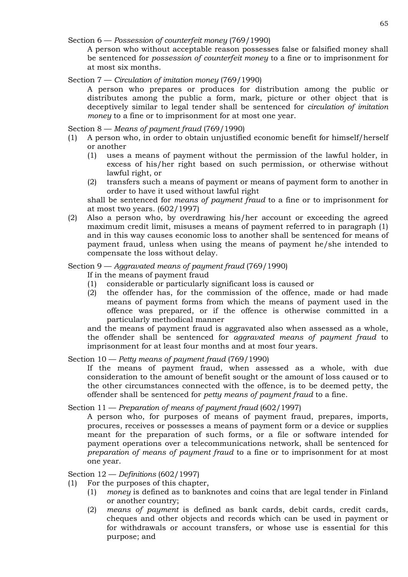Section 6 — *Possession of counterfeit money* (769/1990)

A person who without acceptable reason possesses false or falsified money shall be sentenced for *possession of counterfeit money* to a fine or to imprisonment for at most six months.

# Section 7 — *Circulation of imitation money* (769/1990)

A person who prepares or produces for distribution among the public or distributes among the public a form, mark, picture or other object that is deceptively similar to legal tender shall be sentenced for *circulation of imitation money* to a fine or to imprisonment for at most one year.

# Section 8 — *Means of payment fraud* (769/1990)

- (1) A person who, in order to obtain unjustified economic benefit for himself/herself or another
	- (1) uses a means of payment without the permission of the lawful holder, in excess of his/her right based on such permission, or otherwise without lawful right, or
	- (2) transfers such a means of payment or means of payment form to another in order to have it used without lawful right

shall be sentenced for *means of payment fraud* to a fine or to imprisonment for at most two years. (602/1997)

(2) Also a person who, by overdrawing his/her account or exceeding the agreed maximum credit limit, misuses a means of payment referred to in paragraph (1) and in this way causes economic loss to another shall be sentenced for means of payment fraud, unless when using the means of payment he/she intended to compensate the loss without delay.

# Section 9 — *Aggravated means of payment fraud* (769/1990)

- If in the means of payment fraud
- (1) considerable or particularly significant loss is caused or
- (2) the offender has, for the commission of the offence, made or had made means of payment forms from which the means of payment used in the offence was prepared, or if the offence is otherwise committed in a particularly methodical manner

and the means of payment fraud is aggravated also when assessed as a whole, the offender shall be sentenced for *aggravated means of payment fraud* to imprisonment for at least four months and at most four years.

# Section 10 — *Petty means of payment fraud* (769/1990)

If the means of payment fraud, when assessed as a whole, with due consideration to the amount of benefit sought or the amount of loss caused or to the other circumstances connected with the offence, is to be deemed petty, the offender shall be sentenced for *petty means of payment fraud* to a fine.

# Section 11 — *Preparation of means of payment fraud* (602/1997)

A person who, for purposes of means of payment fraud, prepares, imports, procures, receives or possesses a means of payment form or a device or supplies meant for the preparation of such forms, or a file or software intended for payment operations over a telecommunications network, shall be sentenced for *preparation of means of payment fraud* to a fine or to imprisonment for at most one year.

# Section 12 — *Definitions* (602/1997)

- (1) For the purposes of this chapter,
	- (1) *money* is defined as to banknotes and coins that are legal tender in Finland or another country;
	- (2) *means of payment* is defined as bank cards, debit cards, credit cards, cheques and other objects and records which can be used in payment or for withdrawals or account transfers, or whose use is essential for this purpose; and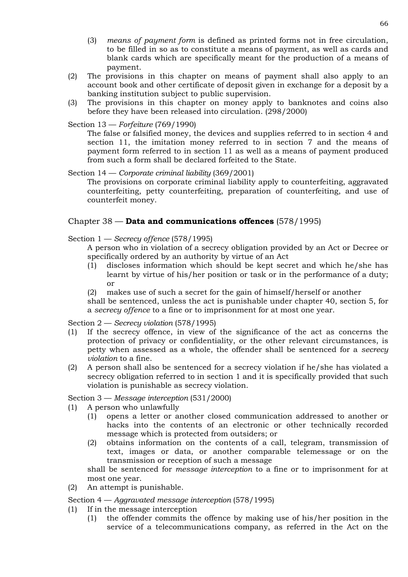- (3) *means of payment form* is defined as printed forms not in free circulation, to be filled in so as to constitute a means of payment, as well as cards and blank cards which are specifically meant for the production of a means of payment.
- (2) The provisions in this chapter on means of payment shall also apply to an account book and other certificate of deposit given in exchange for a deposit by a banking institution subject to public supervision.
- (3) The provisions in this chapter on money apply to banknotes and coins also before they have been released into circulation. (298/2000)

# Section 13 — *Forfeiture* (769/1990)

The false or falsified money, the devices and supplies referred to in section 4 and section 11, the imitation money referred to in section 7 and the means of payment form referred to in section 11 as well as a means of payment produced from such a form shall be declared forfeited to the State.

## Section 14 — *Corporate criminal liability* (369/2001)

The provisions on corporate criminal liability apply to counterfeiting, aggravated counterfeiting, petty counterfeiting, preparation of counterfeiting, and use of counterfeit money.

# Chapter 38 — **Data and communications offences** (578/1995)

## Section 1 — *Secrecy offence* (578/1995)

A person who in violation of a secrecy obligation provided by an Act or Decree or specifically ordered by an authority by virtue of an Act

- (1) discloses information which should be kept secret and which he/she has learnt by virtue of his/her position or task or in the performance of a duty; or
- (2) makes use of such a secret for the gain of himself/herself or another

shall be sentenced, unless the act is punishable under chapter 40, section 5, for a *secrecy offence* to a fine or to imprisonment for at most one year.

#### Section 2 — *Secrecy violation* (578/1995)

- (1) If the secrecy offence, in view of the significance of the act as concerns the protection of privacy or confidentiality, or the other relevant circumstances, is petty when assessed as a whole, the offender shall be sentenced for a *secrecy violation* to a fine.
- (2) A person shall also be sentenced for a secrecy violation if he/she has violated a secrecy obligation referred to in section 1 and it is specifically provided that such violation is punishable as secrecy violation.

Section 3 — *Message interception* (531/2000)

- (1) A person who unlawfully
	- (1) opens a letter or another closed communication addressed to another or hacks into the contents of an electronic or other technically recorded message which is protected from outsiders; or
	- (2) obtains information on the contents of a call, telegram, transmission of text, images or data, or another comparable telemessage or on the transmission or reception of such a message

shall be sentenced for *message interception* to a fine or to imprisonment for at most one year.

(2) An attempt is punishable.

#### Section 4 — *Aggravated message interception* (578/1995)

- (1) If in the message interception
	- (1) the offender commits the offence by making use of his/her position in the service of a telecommunications company, as referred in the Act on the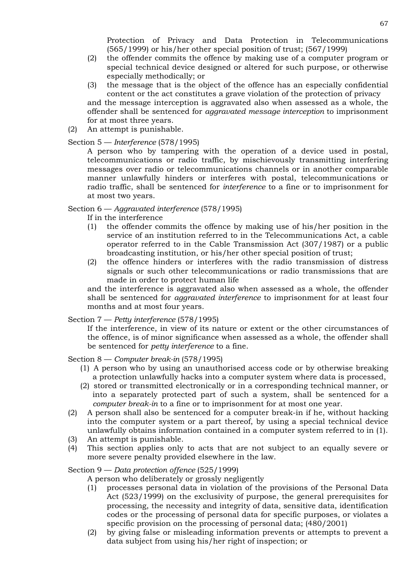Protection of Privacy and Data Protection in Telecommunications (565/1999) or his/her other special position of trust; (567/1999)

- (2) the offender commits the offence by making use of a computer program or special technical device designed or altered for such purpose, or otherwise especially methodically; or
- (3) the message that is the object of the offence has an especially confidential content or the act constitutes a grave violation of the protection of privacy and the message interception is aggravated also when assessed as a whole, the offender shall be sentenced for *aggravated message interception* to imprisonment for at most three years.
- (2) An attempt is punishable.

## Section 5 — *Interference* (578/1995)

A person who by tampering with the operation of a device used in postal, telecommunications or radio traffic, by mischievously transmitting interfering messages over radio or telecommunications channels or in another comparable manner unlawfully hinders or interferes with postal, telecommunications or radio traffic, shall be sentenced for *interference* to a fine or to imprisonment for at most two years.

#### Section 6 — *Aggravated interference* (578/1995)

If in the interference

- (1) the offender commits the offence by making use of his/her position in the service of an institution referred to in the Telecommunications Act, a cable operator referred to in the Cable Transmission Act (307/1987) or a public broadcasting institution, or his/her other special position of trust;
- (2) the offence hinders or interferes with the radio transmission of distress signals or such other telecommunications or radio transmissions that are made in order to protect human life

and the interference is aggravated also when assessed as a whole, the offender shall be sentenced for *aggravated interference* to imprisonment for at least four months and at most four years.

#### Section 7 — *Petty interference* (578/1995)

If the interference, in view of its nature or extent or the other circumstances of the offence, is of minor significance when assessed as a whole, the offender shall be sentenced for *petty interference* to a fine.

Section 8 — *Computer break-in* (578/1995)

- (1) A person who by using an unauthorised access code or by otherwise breaking a protection unlawfully hacks into a computer system where data is processed,
- (2) stored or transmitted electronically or in a corresponding technical manner, or into a separately protected part of such a system, shall be sentenced for a *computer break-in* to a fine or to imprisonment for at most one year.
- (2) A person shall also be sentenced for a computer break-in if he, without hacking into the computer system or a part thereof, by using a special technical device unlawfully obtains information contained in a computer system referred to in (1).
- (3) An attempt is punishable.
- (4) This section applies only to acts that are not subject to an equally severe or more severe penalty provided elsewhere in the law.

#### Section 9 — *Data protection offence* (525/1999)

A person who deliberately or grossly negligently

- (1) processes personal data in violation of the provisions of the Personal Data Act (523/1999) on the exclusivity of purpose, the general prerequisites for processing, the necessity and integrity of data, sensitive data, identification codes or the processing of personal data for specific purposes, or violates a specific provision on the processing of personal data; (480/2001)
- (2) by giving false or misleading information prevents or attempts to prevent a data subject from using his/her right of inspection; or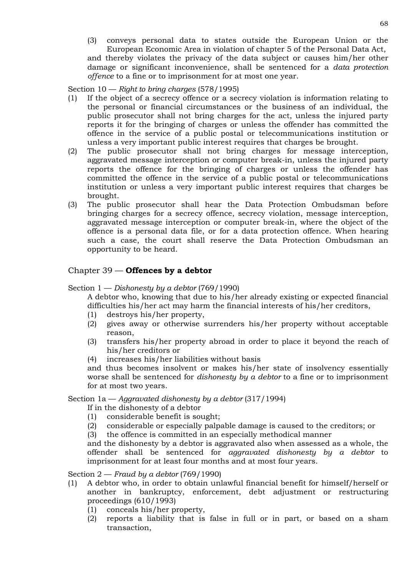(3) conveys personal data to states outside the European Union or the European Economic Area in violation of chapter 5 of the Personal Data Act, and thereby violates the privacy of the data subject or causes him/her other damage or significant inconvenience, shall be sentenced for a *data protection offence* to a fine or to imprisonment for at most one year.

Section 10 — *Right to bring charges* (578/1995)

- (1) If the object of a secrecy offence or a secrecy violation is information relating to the personal or financial circumstances or the business of an individual, the public prosecutor shall not bring charges for the act, unless the injured party reports it for the bringing of charges or unless the offender has committed the offence in the service of a public postal or telecommunications institution or unless a very important public interest requires that charges be brought.
- (2) The public prosecutor shall not bring charges for message interception, aggravated message interception or computer break-in, unless the injured party reports the offence for the bringing of charges or unless the offender has committed the offence in the service of a public postal or telecommunications institution or unless a very important public interest requires that charges be brought.
- (3) The public prosecutor shall hear the Data Protection Ombudsman before bringing charges for a secrecy offence, secrecy violation, message interception, aggravated message interception or computer break-in, where the object of the offence is a personal data file, or for a data protection offence. When hearing such a case, the court shall reserve the Data Protection Ombudsman an opportunity to be heard.

# Chapter 39 — **Offences by a debtor**

Section 1 — *Dishonesty by a debtor* (769/1990)

A debtor who, knowing that due to his/her already existing or expected financial difficulties his/her act may harm the financial interests of his/her creditors,

- (1) destroys his/her property,
- (2) gives away or otherwise surrenders his/her property without acceptable reason,
- (3) transfers his/her property abroad in order to place it beyond the reach of his/her creditors or
- (4) increases his/her liabilities without basis

and thus becomes insolvent or makes his/her state of insolvency essentially worse shall be sentenced for *dishonesty by a debtor* to a fine or to imprisonment for at most two years.

Section 1a — *Aggravated dishonesty by a debtor* (317/1994)

- If in the dishonesty of a debtor
- (1) considerable benefit is sought;
- (2) considerable or especially palpable damage is caused to the creditors; or
- (3) the offence is committed in an especially methodical manner

and the dishonesty by a debtor is aggravated also when assessed as a whole, the offender shall be sentenced for *aggravated dishonesty by a debtor* to imprisonment for at least four months and at most four years.

Section 2 — *Fraud by a debtor* (769/1990)

- (1) A debtor who, in order to obtain unlawful financial benefit for himself/herself or another in bankruptcy, enforcement, debt adjustment or restructuring proceedings (610/1993)
	- (1) conceals his/her property,
	- (2) reports a liability that is false in full or in part, or based on a sham transaction,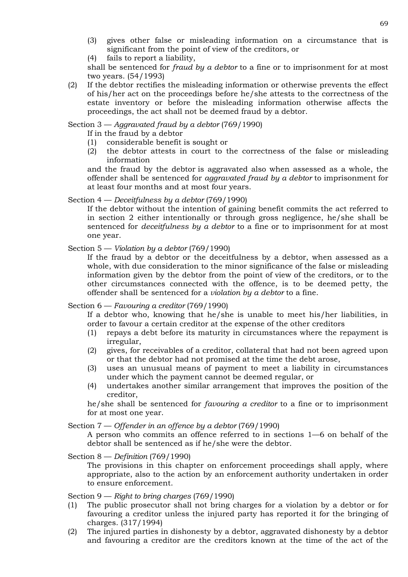- (3) gives other false or misleading information on a circumstance that is significant from the point of view of the creditors, or
- (4) fails to report a liability,

shall be sentenced for *fraud by a debtor* to a fine or to imprisonment for at most two years. (54/1993)

(2) If the debtor rectifies the misleading information or otherwise prevents the effect of his/her act on the proceedings before he/she attests to the correctness of the estate inventory or before the misleading information otherwise affects the proceedings, the act shall not be deemed fraud by a debtor.

Section 3 — *Aggravated fraud by a debtor* (769/1990)

If in the fraud by a debtor

- (1) considerable benefit is sought or
- (2) the debtor attests in court to the correctness of the false or misleading information

and the fraud by the debtor is aggravated also when assessed as a whole, the offender shall be sentenced for *aggravated fraud by a debtor* to imprisonment for at least four months and at most four years.

Section 4 — *Deceitfulness by a debtor* (769/1990)

If the debtor without the intention of gaining benefit commits the act referred to in section 2 either intentionally or through gross negligence, he/she shall be sentenced for *deceitfulness by a debtor* to a fine or to imprisonment for at most one year.

Section 5 — *Violation by a debtor* (769/1990)

If the fraud by a debtor or the deceitfulness by a debtor, when assessed as a whole, with due consideration to the minor significance of the false or misleading information given by the debtor from the point of view of the creditors, or to the other circumstances connected with the offence, is to be deemed petty, the offender shall be sentenced for a *violation by a debtor* to a fine.

Section 6 — *Favouring a creditor* (769/1990)

If a debtor who, knowing that he/she is unable to meet his/her liabilities, in order to favour a certain creditor at the expense of the other creditors

- (1) repays a debt before its maturity in circumstances where the repayment is irregular,
- (2) gives, for receivables of a creditor, collateral that had not been agreed upon or that the debtor had not promised at the time the debt arose,
- (3) uses an unusual means of payment to meet a liability in circumstances under which the payment cannot be deemed regular, or
- (4) undertakes another similar arrangement that improves the position of the creditor,

he/she shall be sentenced for *favouring a creditor* to a fine or to imprisonment for at most one year.

Section 7 — *Offender in an offence by a debtor* (769/1990)

A person who commits an offence referred to in sections 1—6 on behalf of the debtor shall be sentenced as if he/she were the debtor.

Section 8 — *Definition* (769/1990)

The provisions in this chapter on enforcement proceedings shall apply, where appropriate, also to the action by an enforcement authority undertaken in order to ensure enforcement.

Section 9 — *Right to bring charges* (769/1990)

- (1) The public prosecutor shall not bring charges for a violation by a debtor or for favouring a creditor unless the injured party has reported it for the bringing of charges. (317/1994)
- (2) The injured parties in dishonesty by a debtor, aggravated dishonesty by a debtor and favouring a creditor are the creditors known at the time of the act of the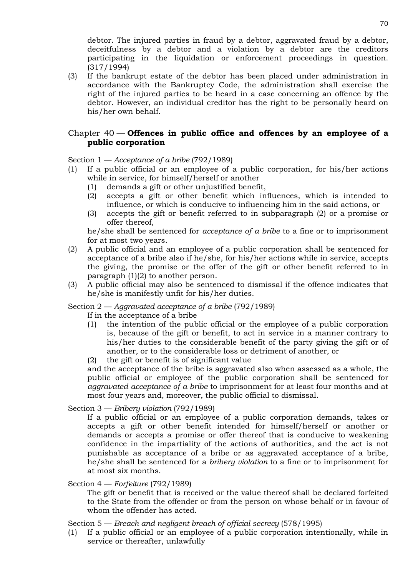debtor. The injured parties in fraud by a debtor, aggravated fraud by a debtor, deceitfulness by a debtor and a violation by a debtor are the creditors participating in the liquidation or enforcement proceedings in question. (317/1994)

(3) If the bankrupt estate of the debtor has been placed under administration in accordance with the Bankruptcy Code, the administration shall exercise the right of the injured parties to be heard in a case concerning an offence by the debtor. However, an individual creditor has the right to be personally heard on his/her own behalf.

# Chapter 40 — **Offences in public office and offences by an employee of a public corporation**

Section 1 — *Acceptance of a bribe* (792/1989)

- (1) If a public official or an employee of a public corporation, for his/her actions while in service, for himself/herself or another
	- (1) demands a gift or other unjustified benefit,
	- (2) accepts a gift or other benefit which influences, which is intended to influence, or which is conducive to influencing him in the said actions, or
	- (3) accepts the gift or benefit referred to in subparagraph (2) or a promise or offer thereof,

he/she shall be sentenced for *acceptance of a bribe* to a fine or to imprisonment for at most two years.

- (2) A public official and an employee of a public corporation shall be sentenced for acceptance of a bribe also if he/she, for his/her actions while in service, accepts the giving, the promise or the offer of the gift or other benefit referred to in paragraph  $(1)(2)$  to another person.
- (3) A public official may also be sentenced to dismissal if the offence indicates that he/she is manifestly unfit for his/her duties.

Section 2 — *Aggravated acceptance of a bribe* (792/1989)

If in the acceptance of a bribe

(1) the intention of the public official or the employee of a public corporation is, because of the gift or benefit, to act in service in a manner contrary to his/her duties to the considerable benefit of the party giving the gift or of another, or to the considerable loss or detriment of another, or

(2) the gift or benefit is of significant value

and the acceptance of the bribe is aggravated also when assessed as a whole, the public official or employee of the public corporation shall be sentenced for *aggravated acceptance of a bribe* to imprisonment for at least four months and at most four years and, moreover, the public official to dismissal.

Section 3 — *Bribery violation* (792/1989)

If a public official or an employee of a public corporation demands, takes or accepts a gift or other benefit intended for himself/herself or another or demands or accepts a promise or offer thereof that is conducive to weakening confidence in the impartiality of the actions of authorities, and the act is not punishable as acceptance of a bribe or as aggravated acceptance of a bribe, he/she shall be sentenced for a *bribery violation* to a fine or to imprisonment for at most six months.

Section 4 — *Forfeiture* (792/1989)

The gift or benefit that is received or the value thereof shall be declared forfeited to the State from the offender or from the person on whose behalf or in favour of whom the offender has acted.

Section 5 — *Breach and negligent breach of official secrecy* (578/1995)

(1) If a public official or an employee of a public corporation intentionally, while in service or thereafter, unlawfully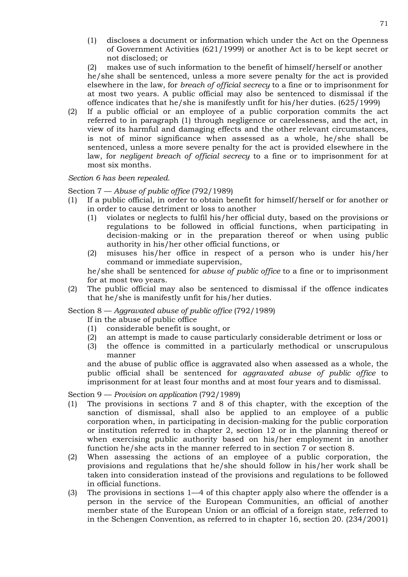(1) discloses a document or information which under the Act on the Openness of Government Activities (621/1999) or another Act is to be kept secret or not disclosed; or

(2) makes use of such information to the benefit of himself/herself or another he/she shall be sentenced, unless a more severe penalty for the act is provided elsewhere in the law, for *breach of official secrecy* to a fine or to imprisonment for at most two years. A public official may also be sentenced to dismissal if the offence indicates that he/she is manifestly unfit for his/her duties. (625/1999)

(2) If a public official or an employee of a public corporation commits the act referred to in paragraph (1) through negligence or carelessness, and the act, in view of its harmful and damaging effects and the other relevant circumstances, is not of minor significance when assessed as a whole, he/she shall be sentenced, unless a more severe penalty for the act is provided elsewhere in the law, for *negligent breach of official secrecy* to a fine or to imprisonment for at most six months.

## *Section 6 has been repealed.*

## Section 7 — *Abuse of public office* (792/1989)

- (1) If a public official, in order to obtain benefit for himself/herself or for another or in order to cause detriment or loss to another
	- (1) violates or neglects to fulfil his/her official duty, based on the provisions or regulations to be followed in official functions, when participating in decision-making or in the preparation thereof or when using public authority in his/her other official functions, or
	- (2) misuses his/her office in respect of a person who is under his/her command or immediate supervision,

he/she shall be sentenced for *abuse of public office* to a fine or to imprisonment for at most two years.

(2) The public official may also be sentenced to dismissal if the offence indicates that he/she is manifestly unfit for his/her duties.

## Section 8 — *Aggravated abuse of public office* (792/1989)

- If in the abuse of public office
- (1) considerable benefit is sought, or
- (2) an attempt is made to cause particularly considerable detriment or loss or
- (3) the offence is committed in a particularly methodical or unscrupulous manner

and the abuse of public office is aggravated also when assessed as a whole, the public official shall be sentenced for *aggravated abuse of public office* to imprisonment for at least four months and at most four years and to dismissal.

Section 9 — *Provision on application* (792/1989)

- (1) The provisions in sections 7 and 8 of this chapter, with the exception of the sanction of dismissal, shall also be applied to an employee of a public corporation when, in participating in decision-making for the public corporation or institution referred to in chapter 2, section 12 or in the planning thereof or when exercising public authority based on his/her employment in another function he/she acts in the manner referred to in section 7 or section 8.
- (2) When assessing the actions of an employee of a public corporation, the provisions and regulations that he/she should follow in his/her work shall be taken into consideration instead of the provisions and regulations to be followed in official functions.
- (3) The provisions in sections 1—4 of this chapter apply also where the offender is a person in the service of the European Communities, an official of another member state of the European Union or an official of a foreign state, referred to in the Schengen Convention, as referred to in chapter 16, section 20. (234/2001)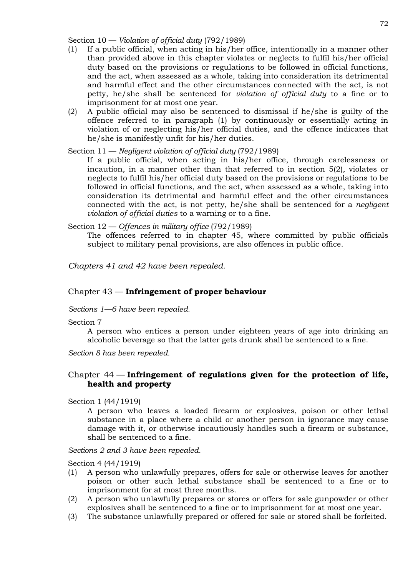Section 10 — *Violation of official duty* (792/1989)

- (1) If a public official, when acting in his/her office, intentionally in a manner other than provided above in this chapter violates or neglects to fulfil his/her official duty based on the provisions or regulations to be followed in official functions, and the act, when assessed as a whole, taking into consideration its detrimental and harmful effect and the other circumstances connected with the act, is not petty, he/she shall be sentenced for *violation of official duty* to a fine or to imprisonment for at most one year.
- (2) A public official may also be sentenced to dismissal if he/she is guilty of the offence referred to in paragraph (1) by continuously or essentially acting in violation of or neglecting his/her official duties, and the offence indicates that he/she is manifestly unfit for his/her duties.

Section 11 — *Negligent violation of official duty* (792/1989)

If a public official, when acting in his/her office, through carelessness or incaution, in a manner other than that referred to in section 5(2), violates or neglects to fulfil his/her official duty based on the provisions or regulations to be followed in official functions, and the act, when assessed as a whole, taking into consideration its detrimental and harmful effect and the other circumstances connected with the act, is not petty, he/she shall be sentenced for a *negligent violation of official duties* to a warning or to a fine.

Section 12 — *Offences in military office* (792/1989)

The offences referred to in chapter 45, where committed by public officials subject to military penal provisions, are also offences in public office.

*Chapters 41 and 42 have been repealed.*

## Chapter 43 — **Infringement of proper behaviour**

#### *Sections 1—6 have been repealed.*

#### Section 7

A person who entices a person under eighteen years of age into drinking an alcoholic beverage so that the latter gets drunk shall be sentenced to a fine.

*Section 8 has been repealed.*

# Chapter 44 — **Infringement of regulations given for the protection of life, health and property**

Section 1 (44/1919)

A person who leaves a loaded firearm or explosives, poison or other lethal substance in a place where a child or another person in ignorance may cause damage with it, or otherwise incautiously handles such a firearm or substance, shall be sentenced to a fine.

*Sections 2 and 3 have been repealed.*

Section 4 (44/1919)

- (1) A person who unlawfully prepares, offers for sale or otherwise leaves for another poison or other such lethal substance shall be sentenced to a fine or to imprisonment for at most three months.
- (2) A person who unlawfully prepares or stores or offers for sale gunpowder or other explosives shall be sentenced to a fine or to imprisonment for at most one year.
- (3) The substance unlawfully prepared or offered for sale or stored shall be forfeited.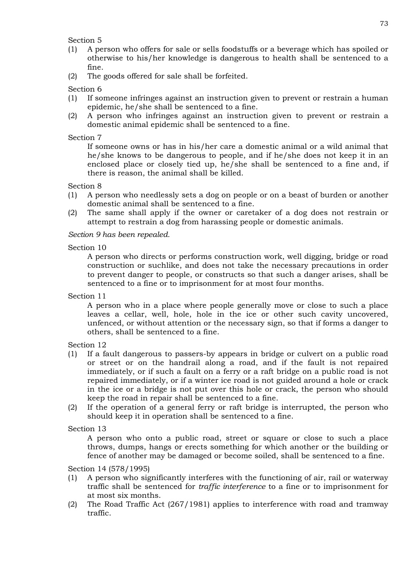# Section 5

- (1) A person who offers for sale or sells foodstuffs or a beverage which has spoiled or otherwise to his/her knowledge is dangerous to health shall be sentenced to a fine.
- (2) The goods offered for sale shall be forfeited.

# Section 6

- (1) If someone infringes against an instruction given to prevent or restrain a human epidemic, he/she shall be sentenced to a fine.
- (2) A person who infringes against an instruction given to prevent or restrain a domestic animal epidemic shall be sentenced to a fine.

## Section 7

If someone owns or has in his/her care a domestic animal or a wild animal that he/she knows to be dangerous to people, and if he/she does not keep it in an enclosed place or closely tied up, he/she shall be sentenced to a fine and, if there is reason, the animal shall be killed.

## Section 8

- (1) A person who needlessly sets a dog on people or on a beast of burden or another domestic animal shall be sentenced to a fine.
- (2) The same shall apply if the owner or caretaker of a dog does not restrain or attempt to restrain a dog from harassing people or domestic animals.

# *Section 9 has been repealed.*

## Section 10

A person who directs or performs construction work, well digging, bridge or road construction or suchlike, and does not take the necessary precautions in order to prevent danger to people, or constructs so that such a danger arises, shall be sentenced to a fine or to imprisonment for at most four months.

Section 11

A person who in a place where people generally move or close to such a place leaves a cellar, well, hole, hole in the ice or other such cavity uncovered, unfenced, or without attention or the necessary sign, so that if forms a danger to others, shall be sentenced to a fine.

# Section 12

- (1) If a fault dangerous to passers-by appears in bridge or culvert on a public road or street or on the handrail along a road, and if the fault is not repaired immediately, or if such a fault on a ferry or a raft bridge on a public road is not repaired immediately, or if a winter ice road is not guided around a hole or crack in the ice or a bridge is not put over this hole or crack, the person who should keep the road in repair shall be sentenced to a fine.
- (2) If the operation of a general ferry or raft bridge is interrupted, the person who should keep it in operation shall be sentenced to a fine.

# Section 13

A person who onto a public road, street or square or close to such a place throws, dumps, hangs or erects something for which another or the building or fence of another may be damaged or become soiled, shall be sentenced to a fine.

Section 14 (578/1995)

- (1) A person who significantly interferes with the functioning of air, rail or waterway traffic shall be sentenced for *traffic interference* to a fine or to imprisonment for at most six months.
- (2) The Road Traffic Act (267/1981) applies to interference with road and tramway traffic.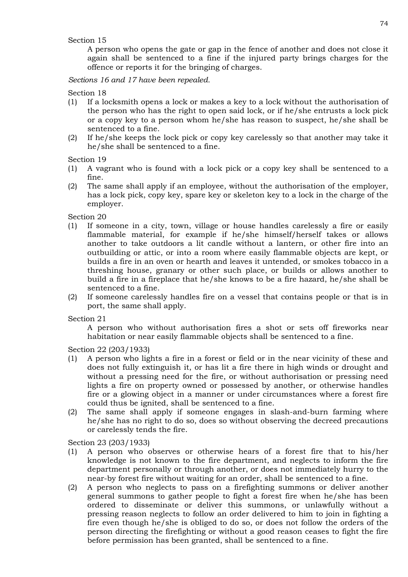## Section 15

A person who opens the gate or gap in the fence of another and does not close it again shall be sentenced to a fine if the injured party brings charges for the offence or reports it for the bringing of charges.

*Sections 16 and 17 have been repealed.*

Section 18

- (1) If a locksmith opens a lock or makes a key to a lock without the authorisation of the person who has the right to open said lock, or if he/she entrusts a lock pick or a copy key to a person whom he/she has reason to suspect, he/she shall be sentenced to a fine.
- (2) If he/she keeps the lock pick or copy key carelessly so that another may take it he/she shall be sentenced to a fine.

Section 19

- (1) A vagrant who is found with a lock pick or a copy key shall be sentenced to a fine.
- (2) The same shall apply if an employee, without the authorisation of the employer, has a lock pick, copy key, spare key or skeleton key to a lock in the charge of the employer.

Section 20

- (1) If someone in a city, town, village or house handles carelessly a fire or easily flammable material, for example if he/she himself/herself takes or allows another to take outdoors a lit candle without a lantern, or other fire into an outbuilding or attic, or into a room where easily flammable objects are kept, or builds a fire in an oven or hearth and leaves it untended, or smokes tobacco in a threshing house, granary or other such place, or builds or allows another to build a fire in a fireplace that he/she knows to be a fire hazard, he/she shall be sentenced to a fine.
- (2) If someone carelessly handles fire on a vessel that contains people or that is in port, the same shall apply.

Section 21

A person who without authorisation fires a shot or sets off fireworks near habitation or near easily flammable objects shall be sentenced to a fine.

Section 22 (203/1933)

- (1) A person who lights a fire in a forest or field or in the near vicinity of these and does not fully extinguish it, or has lit a fire there in high winds or drought and without a pressing need for the fire, or without authorisation or pressing need lights a fire on property owned or possessed by another, or otherwise handles fire or a glowing object in a manner or under circumstances where a forest fire could thus be ignited, shall be sentenced to a fine.
- (2) The same shall apply if someone engages in slash-and-burn farming where he/she has no right to do so, does so without observing the decreed precautions or carelessly tends the fire.

Section 23 (203/1933)

- (1) A person who observes or otherwise hears of a forest fire that to his/her knowledge is not known to the fire department, and neglects to inform the fire department personally or through another, or does not immediately hurry to the near-by forest fire without waiting for an order, shall be sentenced to a fine.
- (2) A person who neglects to pass on a firefighting summons or deliver another general summons to gather people to fight a forest fire when he/she has been ordered to disseminate or deliver this summons, or unlawfully without a pressing reason neglects to follow an order delivered to him to join in fighting a fire even though he/she is obliged to do so, or does not follow the orders of the person directing the firefighting or without a good reason ceases to fight the fire before permission has been granted, shall be sentenced to a fine.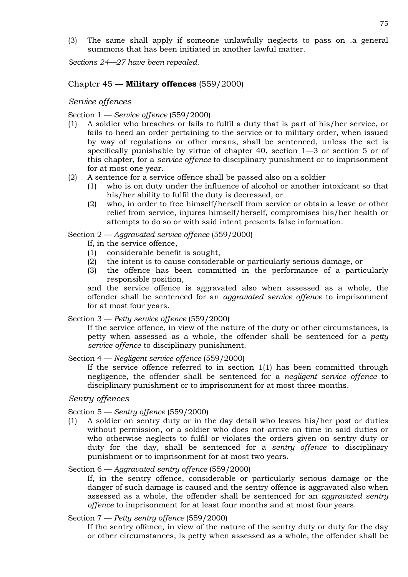(3) The same shall apply if someone unlawfully neglects to pass on .a general summons that has been initiated in another lawful matter.

*Sections 24—27 have been repealed.*

## Chapter 45 — **Military offences** (559/2000)

### *Service offences*

Section 1 — *Service offence* (559/2000)

- (1) A soldier who breaches or fails to fulfil a duty that is part of his/her service, or fails to heed an order pertaining to the service or to military order, when issued by way of regulations or other means, shall be sentenced, unless the act is specifically punishable by virtue of chapter 40, section 1—3 or section 5 or of this chapter, for a *service offence* to disciplinary punishment or to imprisonment for at most one year.
- (2) A sentence for a service offence shall be passed also on a soldier
	- (1) who is on duty under the influence of alcohol or another intoxicant so that his/her ability to fulfil the duty is decreased, or
	- (2) who, in order to free himself/herself from service or obtain a leave or other relief from service, injures himself/herself, compromises his/her health or attempts to do so or with said intent presents false information.

Section 2 — *Aggravated service offence* (559/2000)

If, in the service offence,

- (1) considerable benefit is sought,
- (2) the intent is to cause considerable or particularly serious damage, or
- (3) the offence has been committed in the performance of a particularly responsible position,

and the service offence is aggravated also when assessed as a whole, the offender shall be sentenced for an *aggravated service offence* to imprisonment for at most four years.

Section 3 — *Petty service offence* (559/2000)

If the service offence, in view of the nature of the duty or other circumstances, is petty when assessed as a whole, the offender shall be sentenced for a *petty service offence* to disciplinary punishment.

Section 4 — *Negligent service offence* (559/2000)

If the service offence referred to in section 1(1) has been committed through negligence, the offender shall be sentenced for a *negligent service offence* to disciplinary punishment or to imprisonment for at most three months.

## *Sentry offences*

## Section 5 — *Sentry offence* (559/2000)

(1) A soldier on sentry duty or in the day detail who leaves his/her post or duties without permission, or a soldier who does not arrive on time in said duties or who otherwise neglects to fulfil or violates the orders given on sentry duty or duty for the day, shall be sentenced for a *sentry offence* to disciplinary punishment or to imprisonment for at most two years.

### Section 6 — *Aggravated sentry offence* (559/2000)

If, in the sentry offence, considerable or particularly serious damage or the danger of such damage is caused and the sentry offence is aggravated also when assessed as a whole, the offender shall be sentenced for an *aggravated sentry offence* to imprisonment for at least four months and at most four years.

### Section 7 — *Petty sentry offence* (559/2000)

If the sentry offence, in view of the nature of the sentry duty or duty for the day or other circumstances, is petty when assessed as a whole, the offender shall be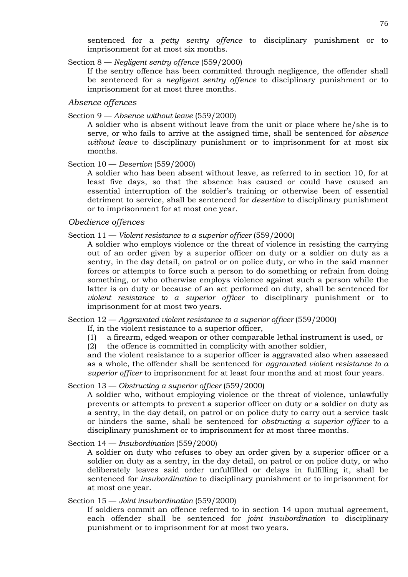sentenced for a *petty sentry offence* to disciplinary punishment or to imprisonment for at most six months.

Section 8 — *Negligent sentry offence* (559/2000)

If the sentry offence has been committed through negligence, the offender shall be sentenced for a *negligent sentry offence* to disciplinary punishment or to imprisonment for at most three months.

## *Absence offences*

Section 9 — *Absence without leave* (559/2000)

A soldier who is absent without leave from the unit or place where he/she is to serve, or who fails to arrive at the assigned time, shall be sentenced for *absence without leave* to disciplinary punishment or to imprisonment for at most six months.

## Section 10 — *Desertion* (559/2000)

A soldier who has been absent without leave, as referred to in section 10, for at least five days, so that the absence has caused or could have caused an essential interruption of the soldier's training or otherwise been of essential detriment to service, shall be sentenced for *desertion* to disciplinary punishment or to imprisonment for at most one year.

## *Obedience offences*

## Section 11 — *Violent resistance to a superior officer* (559/2000)

A soldier who employs violence or the threat of violence in resisting the carrying out of an order given by a superior officer on duty or a soldier on duty as a sentry, in the day detail, on patrol or on police duty, or who in the said manner forces or attempts to force such a person to do something or refrain from doing something, or who otherwise employs violence against such a person while the latter is on duty or because of an act performed on duty, shall be sentenced for *violent resistance to a superior officer* to disciplinary punishment or to imprisonment for at most two years.

### Section 12 — *Aggravated violent resistance to a superior officer* (559/2000)

If, in the violent resistance to a superior officer,

(1) a firearm, edged weapon or other comparable lethal instrument is used, or

(2) the offence is committed in complicity with another soldier,

and the violent resistance to a superior officer is aggravated also when assessed as a whole, the offender shall be sentenced for *aggravated violent resistance to a superior officer* to imprisonment for at least four months and at most four years.

### Section 13 — *Obstructing a superior officer* (559/2000)

A soldier who, without employing violence or the threat of violence, unlawfully prevents or attempts to prevent a superior officer on duty or a soldier on duty as a sentry, in the day detail, on patrol or on police duty to carry out a service task or hinders the same, shall be sentenced for *obstructing a superior officer* to a disciplinary punishment or to imprisonment for at most three months.

Section 14 — *Insubordination* (559/2000)

A soldier on duty who refuses to obey an order given by a superior officer or a soldier on duty as a sentry, in the day detail, on patrol or on police duty, or who deliberately leaves said order unfulfilled or delays in fulfilling it, shall be sentenced for *insubordination* to disciplinary punishment or to imprisonment for at most one year.

### Section 15 — *Joint insubordination* (559/2000)

If soldiers commit an offence referred to in section 14 upon mutual agreement, each offender shall be sentenced for *joint insubordination* to disciplinary punishment or to imprisonment for at most two years.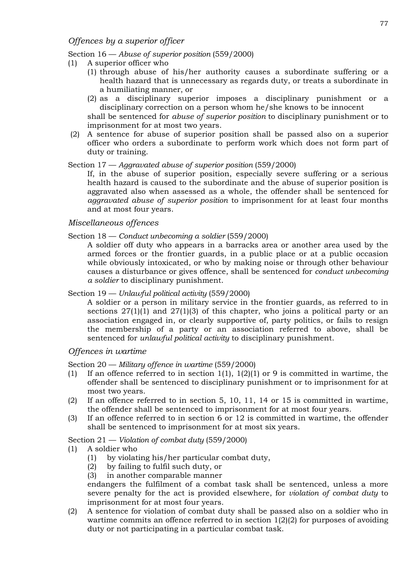# *Offences by a superior officer*

#### Section 16 — *Abuse of superior position* (559/2000)

- (1) A superior officer who
	- (1) through abuse of his/her authority causes a subordinate suffering or a health hazard that is unnecessary as regards duty, or treats a subordinate in a humiliating manner, or
	- (2) as a disciplinary superior imposes a disciplinary punishment or a disciplinary correction on a person whom he/she knows to be innocent

shall be sentenced for *abuse of superior position* to disciplinary punishment or to imprisonment for at most two years.

(2) A sentence for abuse of superior position shall be passed also on a superior officer who orders a subordinate to perform work which does not form part of duty or training.

### Section 17 — *Aggravated abuse of superior position* (559/2000)

If, in the abuse of superior position, especially severe suffering or a serious health hazard is caused to the subordinate and the abuse of superior position is aggravated also when assessed as a whole, the offender shall be sentenced for *aggravated abuse of superior position* to imprisonment for at least four months and at most four years.

# *Miscellaneous offences*

### Section 18 — *Conduct unbecoming a soldier* (559/2000)

A soldier off duty who appears in a barracks area or another area used by the armed forces or the frontier guards, in a public place or at a public occasion while obviously intoxicated, or who by making noise or through other behaviour causes a disturbance or gives offence, shall be sentenced for *conduct unbecoming a soldier* to disciplinary punishment.

## Section 19 — *Unlawful political activity* (559/2000)

A soldier or a person in military service in the frontier guards, as referred to in sections  $27(1)(1)$  and  $27(1)(3)$  of this chapter, who joins a political party or an association engaged in, or clearly supportive of, party politics, or fails to resign the membership of a party or an association referred to above, shall be sentenced for *unlawful political activity* to disciplinary punishment.

# *Offences in wartime*

Section 20 — *Military offence in wartime* (559/2000)

- (1) If an offence referred to in section 1(1), 1(2)(1) or 9 is committed in wartime, the offender shall be sentenced to disciplinary punishment or to imprisonment for at most two years.
- (2) If an offence referred to in section 5, 10, 11, 14 or 15 is committed in wartime, the offender shall be sentenced to imprisonment for at most four years.
- (3) If an offence referred to in section 6 or 12 is committed in wartime, the offender shall be sentenced to imprisonment for at most six years.

Section 21 — *Violation of combat duty* (559/2000)

- (1) A soldier who
	- (1) by violating his/her particular combat duty,
	- (2) by failing to fulfil such duty, or
	- (3) in another comparable manner

endangers the fulfilment of a combat task shall be sentenced, unless a more severe penalty for the act is provided elsewhere, for *violation of combat duty* to imprisonment for at most four years.

(2) A sentence for violation of combat duty shall be passed also on a soldier who in wartime commits an offence referred to in section 1(2)(2) for purposes of avoiding duty or not participating in a particular combat task.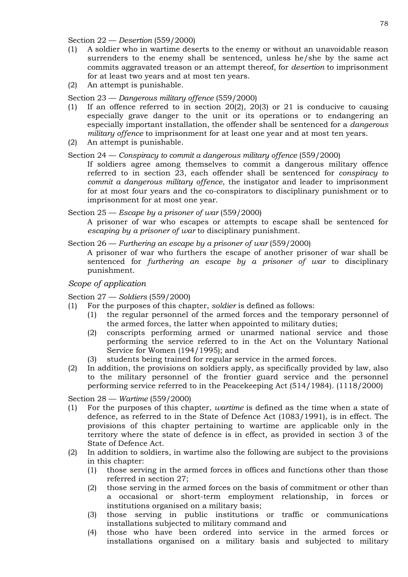Section 22 — *Desertion* (559/2000)

- (1) A soldier who in wartime deserts to the enemy or without an unavoidable reason surrenders to the enemy shall be sentenced, unless he/she by the same act commits aggravated treason or an attempt thereof, for *desertion* to imprisonment for at least two years and at most ten years.
- (2) An attempt is punishable.

Section 23 — *Dangerous military offence* (559/2000)

- (1) If an offence referred to in section 20(2), 20(3) or 21 is conducive to causing especially grave danger to the unit or its operations or to endangering an especially important installation, the offender shall be sentenced for a *dangerous military offence* to imprisonment for at least one year and at most ten years.
- (2) An attempt is punishable.

Section 24 — *Conspiracy to commit a dangerous military offence* (559/2000)

If soldiers agree among themselves to commit a dangerous military offence referred to in section 23, each offender shall be sentenced for *conspiracy to commit a dangerous military offence*, the instigator and leader to imprisonment for at most four years and the co-conspirators to disciplinary punishment or to imprisonment for at most one year.

Section 25 — *Escape by a prisoner of war* (559/2000)

A prisoner of war who escapes or attempts to escape shall be sentenced for *escaping by a prisoner of war* to disciplinary punishment.

Section 26 — *Furthering an escape by a prisoner of war* (559/2000)

A prisoner of war who furthers the escape of another prisoner of war shall be sentenced for *furthering an escape by a prisoner of war* to disciplinary punishment.

# *Scope of application*

Section 27 — *Soldiers* (559/2000)

- (1) For the purposes of this chapter, *soldier* is defined as follows:
	- (1) the regular personnel of the armed forces and the temporary personnel of the armed forces, the latter when appointed to military duties;
	- (2) conscripts performing armed or unarmed national service and those performing the service referred to in the Act on the Voluntary National Service for Women (194/1995); and
	- (3) students being trained for regular service in the armed forces.
- (2) In addition, the provisions on soldiers apply, as specifically provided by law, also to the military personnel of the frontier guard service and the personnel performing service referred to in the Peacekeeping Act (514/1984). (1118/2000)

Section 28 — *Wartime* (559/2000)

- (1) For the purposes of this chapter, *wartime* is defined as the time when a state of defence, as referred to in the State of Defence Act (1083/1991), is in effect. The provisions of this chapter pertaining to wartime are applicable only in the territory where the state of defence is in effect, as provided in section 3 of the State of Defence Act.
- (2) In addition to soldiers, in wartime also the following are subject to the provisions in this chapter:
	- (1) those serving in the armed forces in offices and functions other than those referred in section 27;
	- (2) those serving in the armed forces on the basis of commitment or other than a occasional or short-term employment relationship, in forces or institutions organised on a military basis;
	- (3) those serving in public institutions or traffic or communications installations subjected to military command and
	- (4) those who have been ordered into service in the armed forces or installations organised on a military basis and subjected to military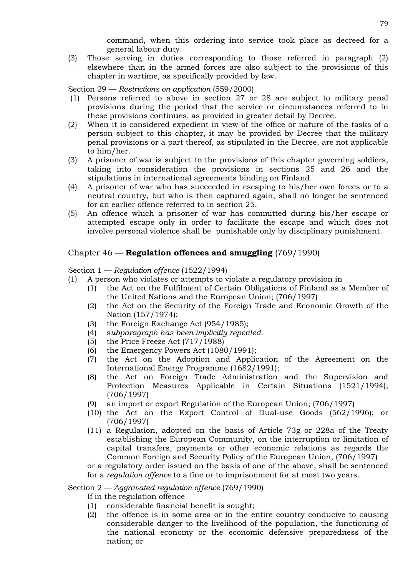command, when this ordering into service took place as decreed for a general labour duty.

(3) Those serving in duties corresponding to those referred in paragraph (2) elsewhere than in the armed forces are also subject to the provisions of this chapter in wartime, as specifically provided by law.

Section 29 — *Restrictions on application* (559/2000)

- (1) Persons referred to above in section 27 or 28 are subject to military penal provisions during the period that the service or circumstances referred to in these provisions continues, as provided in greater detail by Decree.
- (2) When it is considered expedient in view of the office or nature of the tasks of a person subject to this chapter, it may be provided by Decree that the military penal provisions or a part thereof, as stipulated in the Decree, are not applicable to him/her.
- (3) A prisoner of war is subject to the provisions of this chapter governing soldiers, taking into consideration the provisions in sections 25 and 26 and the stipulations in international agreements binding on Finland.
- (4) A prisoner of war who has succeeded in escaping to his/her own forces or to a neutral country, but who is then captured again, shall no longer be sentenced for an earlier offence referred to in section 25.
- (5) An offence which a prisoner of war has committed during his/her escape or attempted escape only in order to facilitate the escape and which does not involve personal violence shall be punishable only by disciplinary punishment.

# Chapter 46 — **Regulation offences and smuggling** (769/1990)

Section 1 — *Regulation offence* (1522/1994)

- (1) A person who violates or attempts to violate a regulatory provision in
	- (1) the Act on the Fulfilment of Certain Obligations of Finland as a Member of the United Nations and the European Union; (706/1997)
	- (2) the Act on the Security of the Foreign Trade and Economic Growth of the Nation (157/1974);
	- (3) the Foreign Exchange Act (954/1985);
	- (4) s*ubparagraph has been implicitly repealed.*
	- (5) the Price Freeze Act (717/1988)
	- (6) the Emergency Powers Act (1080/1991);
	- (7) the Act on the Adoption and Application of the Agreement on the International Energy Programme (1682/1991);
	- (8) the Act on Foreign Trade Administration and the Supervision and Protection Measures Applicable in Certain Situations (1521/1994); (706/1997)
	- (9) an import or export Regulation of the European Union; (706/1997)
	- (10) the Act on the Export Control of Dual-use Goods (562/1996); or (706/1997)
	- (11) a Regulation, adopted on the basis of Article 73g or 228a of the Treaty establishing the European Community, on the interruption or limitation of capital transfers, payments or other economic relations as regards the Common Foreign and Security Policy of the European Union, (706/1997)

or a regulatory order issued on the basis of one of the above, shall be sentenced for a *regulation offence* to a fine or to imprisonment for at most two years.

# Section 2 — *Aggravated regulation offence* (769/1990)

If in the regulation offence

- (1) considerable financial benefit is sought;
- (2) the offence is in some area or in the entire country conducive to causing considerable danger to the livelihood of the population, the functioning of the national economy or the economic defensive preparedness of the nation; or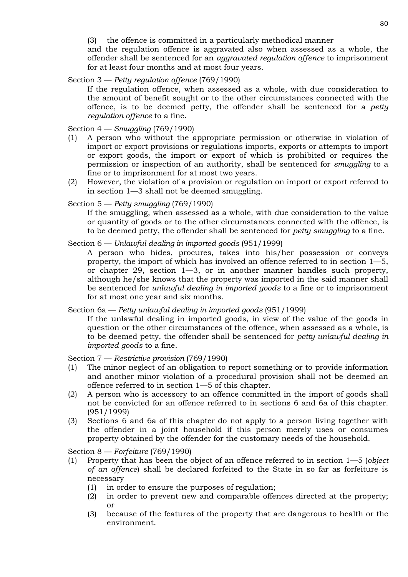(3) the offence is committed in a particularly methodical manner

and the regulation offence is aggravated also when assessed as a whole, the offender shall be sentenced for an *aggravated regulation offence* to imprisonment for at least four months and at most four years.

Section 3 — *Petty regulation offence* (769/1990)

If the regulation offence, when assessed as a whole, with due consideration to the amount of benefit sought or to the other circumstances connected with the offence, is to be deemed petty, the offender shall be sentenced for a *petty regulation offence* to a fine.

Section 4 — *Smuggling* (769/1990)

- (1) A person who without the appropriate permission or otherwise in violation of import or export provisions or regulations imports, exports or attempts to import or export goods, the import or export of which is prohibited or requires the permission or inspection of an authority, shall be sentenced for *smuggling* to a fine or to imprisonment for at most two years.
- (2) However, the violation of a provision or regulation on import or export referred to in section 1—3 shall not be deemed smuggling.

Section 5 — *Petty smuggling* (769/1990)

If the smuggling, when assessed as a whole, with due consideration to the value or quantity of goods or to the other circumstances connected with the offence, is to be deemed petty, the offender shall be sentenced for *petty smuggling* to a fine.

Section 6 — *Unlawful dealing in imported goods* (951/1999)

A person who hides, procures, takes into his/her possession or conveys property, the import of which has involved an offence referred to in section 1—5, or chapter 29, section 1—3, or in another manner handles such property, although he/she knows that the property was imported in the said manner shall be sentenced for *unlawful dealing in imported goods* to a fine or to imprisonment for at most one year and six months.

Section 6a — *Petty unlawful dealing in imported goods* (951/1999)

If the unlawful dealing in imported goods, in view of the value of the goods in question or the other circumstances of the offence, when assessed as a whole, is to be deemed petty, the offender shall be sentenced for *petty unlawful dealing in imported goods* to a fine.

Section 7 — *Restrictive provision* (769/1990)

- (1) The minor neglect of an obligation to report something or to provide information and another minor violation of a procedural provision shall not be deemed an offence referred to in section 1—5 of this chapter.
- (2) A person who is accessory to an offence committed in the import of goods shall not be convicted for an offence referred to in sections 6 and 6a of this chapter. (951/1999)
- (3) Sections 6 and 6a of this chapter do not apply to a person living together with the offender in a joint household if this person merely uses or consumes property obtained by the offender for the customary needs of the household.

Section 8 — *Forfeiture* (769/1990)

- (1) Property that has been the object of an offence referred to in section 1—5 (*object of an offence*) shall be declared forfeited to the State in so far as forfeiture is necessary
	- (1) in order to ensure the purposes of regulation;
	- (2) in order to prevent new and comparable offences directed at the property; or
	- (3) because of the features of the property that are dangerous to health or the environment.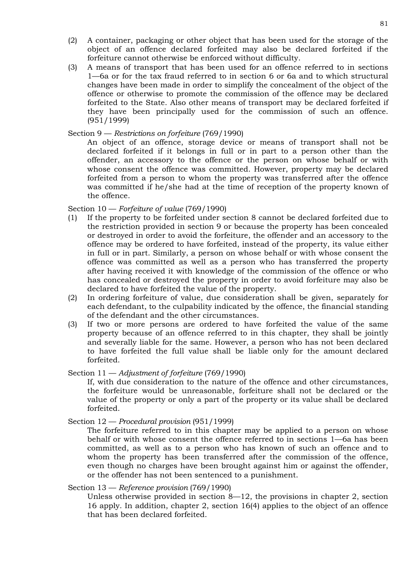- (2) A container, packaging or other object that has been used for the storage of the object of an offence declared forfeited may also be declared forfeited if the forfeiture cannot otherwise be enforced without difficulty.
- (3) A means of transport that has been used for an offence referred to in sections 1—6a or for the tax fraud referred to in section 6 or 6a and to which structural changes have been made in order to simplify the concealment of the object of the offence or otherwise to promote the commission of the offence may be declared forfeited to the State. Also other means of transport may be declared forfeited if they have been principally used for the commission of such an offence. (951/1999)

## Section 9 — *Restrictions on forfeiture* (769/1990)

An object of an offence, storage device or means of transport shall not be declared forfeited if it belongs in full or in part to a person other than the offender, an accessory to the offence or the person on whose behalf or with whose consent the offence was committed. However, property may be declared forfeited from a person to whom the property was transferred after the offence was committed if he/she had at the time of reception of the property known of the offence.

## Section 10 — *Forfeiture of value* (769/1990)

- (1) If the property to be forfeited under section 8 cannot be declared forfeited due to the restriction provided in section 9 or because the property has been concealed or destroyed in order to avoid the forfeiture, the offender and an accessory to the offence may be ordered to have forfeited, instead of the property, its value either in full or in part. Similarly, a person on whose behalf or with whose consent the offence was committed as well as a person who has transferred the property after having received it with knowledge of the commission of the offence or who has concealed or destroyed the property in order to avoid forfeiture may also be declared to have forfeited the value of the property.
- (2) In ordering forfeiture of value, due consideration shall be given, separately for each defendant, to the culpability indicated by the offence, the financial standing of the defendant and the other circumstances.
- (3) If two or more persons are ordered to have forfeited the value of the same property because of an offence referred to in this chapter, they shall be jointly and severally liable for the same. However, a person who has not been declared to have forfeited the full value shall be liable only for the amount declared forfeited.

## Section 11 — *Adjustment of forfeiture* (769/1990)

If, with due consideration to the nature of the offence and other circumstances, the forfeiture would be unreasonable, forfeiture shall not be declared or the value of the property or only a part of the property or its value shall be declared forfeited.

### Section 12 — *Procedural provision* (951/1999)

The forfeiture referred to in this chapter may be applied to a person on whose behalf or with whose consent the offence referred to in sections 1—6a has been committed, as well as to a person who has known of such an offence and to whom the property has been transferred after the commission of the offence, even though no charges have been brought against him or against the offender, or the offender has not been sentenced to a punishment.

## Section 13 — *Reference provision* (769/1990)

Unless otherwise provided in section 8—12, the provisions in chapter 2, section 16 apply. In addition, chapter 2, section 16(4) applies to the object of an offence that has been declared forfeited.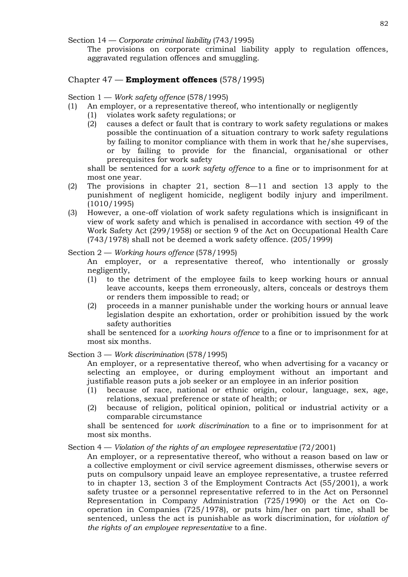Section 14 — *Corporate criminal liability* (743/1995)

The provisions on corporate criminal liability apply to regulation offences, aggravated regulation offences and smuggling.

# Chapter 47 — **Employment offences** (578/1995)

Section 1 — *Work safety offence* (578/1995)

- (1) An employer, or a representative thereof, who intentionally or negligently
	- (1) violates work safety regulations; or
	- (2) causes a defect or fault that is contrary to work safety regulations or makes possible the continuation of a situation contrary to work safety regulations by failing to monitor compliance with them in work that he/she supervises, or by failing to provide for the financial, organisational or other prerequisites for work safety

shall be sentenced for a *work safety offence* to a fine or to imprisonment for at most one year.

- (2) The provisions in chapter 21, section 8—11 and section 13 apply to the punishment of negligent homicide, negligent bodily injury and imperilment. (1010/1995)
- (3) However, a one-off violation of work safety regulations which is insignificant in view of work safety and which is penalised in accordance with section 49 of the Work Safety Act (299/1958) or section 9 of the Act on Occupational Health Care (743/1978) shall not be deemed a work safety offence. (205/1999)

## Section 2 — *Working hours offence* (578/1995)

An employer, or a representative thereof, who intentionally or grossly negligently,

- (1) to the detriment of the employee fails to keep working hours or annual leave accounts, keeps them erroneously, alters, conceals or destroys them or renders them impossible to read; or
- (2) proceeds in a manner punishable under the working hours or annual leave legislation despite an exhortation, order or prohibition issued by the work safety authorities

shall be sentenced for a *working hours offence* to a fine or to imprisonment for at most six months.

# Section 3 — *Work discrimination* (578/1995)

An employer, or a representative thereof, who when advertising for a vacancy or selecting an employee, or during employment without an important and justifiable reason puts a job seeker or an employee in an inferior position

- (1) because of race, national or ethnic origin, colour, language, sex, age, relations, sexual preference or state of health; or
- (2) because of religion, political opinion, political or industrial activity or a comparable circumstance

shall be sentenced for *work discrimination* to a fine or to imprisonment for at most six months.

Section 4 — *Violation of the rights of an employee representative* (72/2001)

An employer, or a representative thereof, who without a reason based on law or a collective employment or civil service agreement dismisses, otherwise severs or puts on compulsory unpaid leave an employee representative, a trustee referred to in chapter 13, section 3 of the Employment Contracts Act (55/2001), a work safety trustee or a personnel representative referred to in the Act on Personnel Representation in Company Administration (725/1990) or the Act on Cooperation in Companies (725/1978), or puts him/her on part time, shall be sentenced, unless the act is punishable as work discrimination, for *violation of the rights of an employee representative* to a fine.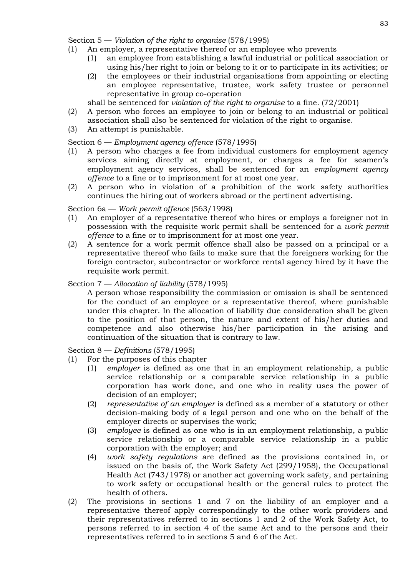Section 5 — *Violation of the right to organise* (578/1995)

- (1) An employer, a representative thereof or an employee who prevents
	- (1) an employee from establishing a lawful industrial or political association or using his/her right to join or belong to it or to participate in its activities; or
	- (2) the employees or their industrial organisations from appointing or electing an employee representative, trustee, work safety trustee or personnel representative in group co-operation

shall be sentenced for *violation of the right to organise* to a fine. (72/2001)

- (2) A person who forces an employee to join or belong to an industrial or political association shall also be sentenced for violation of the right to organise.
- (3) An attempt is punishable.

# Section 6 — *Employment agency offence* (578/1995)

- (1) A person who charges a fee from individual customers for employment agency services aiming directly at employment, or charges a fee for seamen's employment agency services, shall be sentenced for an *employment agency offence* to a fine or to imprisonment for at most one year.
- (2) A person who in violation of a prohibition of the work safety authorities continues the hiring out of workers abroad or the pertinent advertising.

## Section 6a — *Work permit offence* (563/1998)

- (1) An employer of a representative thereof who hires or employs a foreigner not in possession with the requisite work permit shall be sentenced for a *work permit offence* to a fine or to imprisonment for at most one year.
- (2) A sentence for a work permit offence shall also be passed on a principal or a representative thereof who fails to make sure that the foreigners working for the foreign contractor, subcontractor or workforce rental agency hired by it have the requisite work permit.

## Section 7 — *Allocation of liability* (578/1995)

A person whose responsibility the commission or omission is shall be sentenced for the conduct of an employee or a representative thereof, where punishable under this chapter. In the allocation of liability due consideration shall be given to the position of that person, the nature and extent of his/her duties and competence and also otherwise his/her participation in the arising and continuation of the situation that is contrary to law.

Section 8 — *Definitions* (578/1995)

- (1) For the purposes of this chapter
	- (1) *employer* is defined as one that in an employment relationship, a public service relationship or a comparable service relationship in a public corporation has work done, and one who in reality uses the power of decision of an employer;
	- (2) *representative of an employer* is defined as a member of a statutory or other decision-making body of a legal person and one who on the behalf of the employer directs or supervises the work;
	- (3) *employee* is defined as one who is in an employment relationship, a public service relationship or a comparable service relationship in a public corporation with the employer; and
	- (4) *work safety regulations* are defined as the provisions contained in, or issued on the basis of, the Work Safety Act (299/1958), the Occupational Health Act (743/1978) or another act governing work safety, and pertaining to work safety or occupational health or the general rules to protect the health of others.
- (2) The provisions in sections 1 and 7 on the liability of an employer and a representative thereof apply correspondingly to the other work providers and their representatives referred to in sections 1 and 2 of the Work Safety Act, to persons referred to in section 4 of the same Act and to the persons and their representatives referred to in sections 5 and 6 of the Act.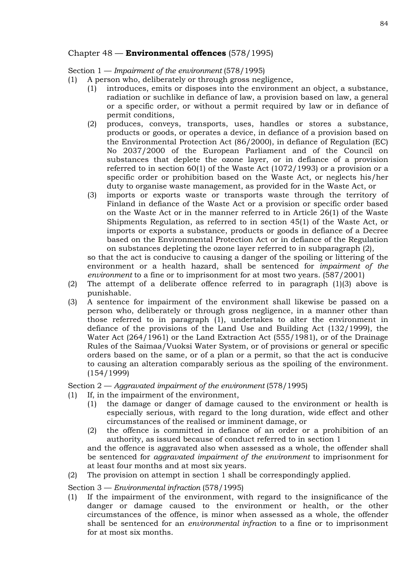# Chapter 48 — **Environmental offences** (578/1995)

Section 1 — *Impairment of the environment* (578/1995)

- (1) A person who, deliberately or through gross negligence,
	- (1) introduces, emits or disposes into the environment an object, a substance, radiation or suchlike in defiance of law, a provision based on law, a general or a specific order, or without a permit required by law or in defiance of permit conditions,
	- (2) produces, conveys, transports, uses, handles or stores a substance, products or goods, or operates a device, in defiance of a provision based on the Environmental Protection Act (86/2000), in defiance of Regulation (EC) No 2037/2000 of the European Parliament and of the Council on substances that deplete the ozone layer, or in defiance of a provision referred to in section 60(1) of the Waste Act (1072/1993) or a provision or a specific order or prohibition based on the Waste Act, or neglects his/her duty to organise waste management, as provided for in the Waste Act, or
	- (3) imports or exports waste or transports waste through the territory of Finland in defiance of the Waste Act or a provision or specific order based on the Waste Act or in the manner referred to in Article 26(1) of the Waste Shipments Regulation, as referred to in section 45(1) of the Waste Act, or imports or exports a substance, products or goods in defiance of a Decree based on the Environmental Protection Act or in defiance of the Regulation on substances depleting the ozone layer referred to in subparagraph (2),

so that the act is conducive to causing a danger of the spoiling or littering of the environment or a health hazard, shall be sentenced for *impairment of the environment* to a fine or to imprisonment for at most two years. (587/2001)

- (2) The attempt of a deliberate offence referred to in paragraph (1)(3) above is punishable.
- (3) A sentence for impairment of the environment shall likewise be passed on a person who, deliberately or through gross negligence, in a manner other than those referred to in paragraph (1), undertakes to alter the environment in defiance of the provisions of the Land Use and Building Act (132/1999), the Water Act (264/1961) or the Land Extraction Act (555/1981), or of the Drainage Rules of the Saimaa/Vuoksi Water System, or of provisions or general or specific orders based on the same, or of a plan or a permit, so that the act is conducive to causing an alteration comparably serious as the spoiling of the environment. (154/1999)

Section 2 — *Aggravated impairment of the environment* (578/1995)

- (1) If, in the impairment of the environment,
	- (1) the damage or danger of damage caused to the environment or health is especially serious, with regard to the long duration, wide effect and other circumstances of the realised or imminent damage, or
	- (2) the offence is committed in defiance of an order or a prohibition of an authority, as issued because of conduct referred to in section 1 and the offence is aggravated also when assessed as a whole, the offender shall be sentenced for *aggravated impairment of the environment* to imprisonment for

at least four months and at most six years.

(2) The provision on attempt in section 1 shall be correspondingly applied.

Section 3 — *Environmental infraction* (578/1995)

(1) If the impairment of the environment, with regard to the insignificance of the danger or damage caused to the environment or health, or the other circumstances of the offence, is minor when assessed as a whole, the offender shall be sentenced for an *environmental infraction* to a fine or to imprisonment for at most six months.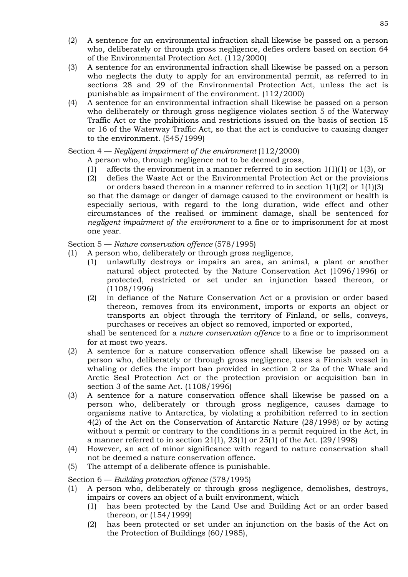- (2) A sentence for an environmental infraction shall likewise be passed on a person who, deliberately or through gross negligence, defies orders based on section 64 of the Environmental Protection Act. (112/2000)
- (3) A sentence for an environmental infraction shall likewise be passed on a person who neglects the duty to apply for an environmental permit, as referred to in sections 28 and 29 of the Environmental Protection Act, unless the act is punishable as impairment of the environment. (112/2000)
- (4) A sentence for an environmental infraction shall likewise be passed on a person who deliberately or through gross negligence violates section 5 of the Waterway Traffic Act or the prohibitions and restrictions issued on the basis of section 15 or 16 of the Waterway Traffic Act, so that the act is conducive to causing danger to the environment. (545/1999)

# Section 4 — *Negligent impairment of the environment* (112/2000)

A person who, through negligence not to be deemed gross,

- (1) affects the environment in a manner referred to in section  $1(1)(1)$  or  $1(3)$ , or
- (2) defies the Waste Act or the Environmental Protection Act or the provisions or orders based thereon in a manner referred to in section  $1(1)(2)$  or  $1(1)(3)$ so that the damage or danger of damage caused to the environment or health is especially serious, with regard to the long duration, wide effect and other circumstances of the realised or imminent damage, shall be sentenced for *negligent impairment of the environment* to a fine or to imprisonment for at most one year.

Section 5 — *Nature conservation offence* (578/1995)

- (1) A person who, deliberately or through gross negligence,
	- (1) unlawfully destroys or impairs an area, an animal, a plant or another natural object protected by the Nature Conservation Act (1096/1996) or protected, restricted or set under an injunction based thereon, or (1108/1996)
	- (2) in defiance of the Nature Conservation Act or a provision or order based thereon, removes from its environment, imports or exports an object or transports an object through the territory of Finland, or sells, conveys, purchases or receives an object so removed, imported or exported,

shall be sentenced for a *nature conservation offence* to a fine or to imprisonment for at most two years.

- (2) A sentence for a nature conservation offence shall likewise be passed on a person who, deliberately or through gross negligence, uses a Finnish vessel in whaling or defies the import ban provided in section 2 or 2a of the Whale and Arctic Seal Protection Act or the protection provision or acquisition ban in section 3 of the same Act. (1108/1996)
- (3) A sentence for a nature conservation offence shall likewise be passed on a person who, deliberately or through gross negligence, causes damage to organisms native to Antarctica, by violating a prohibition referred to in section 4(2) of the Act on the Conservation of Antarctic Nature (28/1998) or by acting without a permit or contrary to the conditions in a permit required in the Act, in a manner referred to in section 21(1), 23(1) or 25(1) of the Act. (29/1998)
- (4) However, an act of minor significance with regard to nature conservation shall not be deemed a nature conservation offence.
- (5) The attempt of a deliberate offence is punishable.

Section 6 — *Building protection offence* (578/1995)

- (1) A person who, deliberately or through gross negligence, demolishes, destroys, impairs or covers an object of a built environment, which
	- (1) has been protected by the Land Use and Building Act or an order based thereon, or (154/1999)
	- (2) has been protected or set under an injunction on the basis of the Act on the Protection of Buildings (60/1985),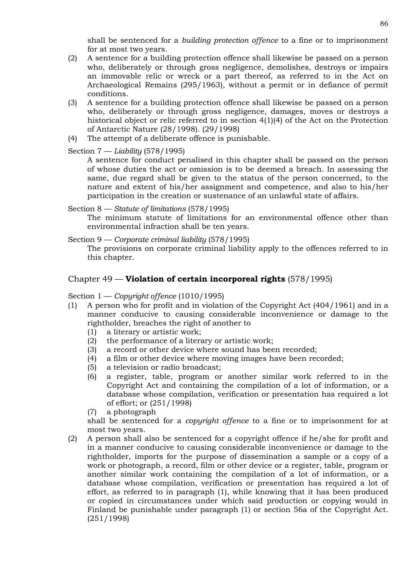shall be sentenced for a *building protection offence* to a fine or to imprisonment for at most two years.

- (2) A sentence for a building protection offence shall likewise be passed on a person who, deliberately or through gross negligence, demolishes, destroys or impairs an immovable relic or wreck or a part thereof, as referred to in the Act on Archaeological Remains (295/1963), without a permit or in defiance of permit conditions.
- (3) A sentence for a building protection offence shall likewise be passed on a person who, deliberately or through gross negligence, damages, moves or destroys a historical object or relic referred to in section 4(1)(4) of the Act on the Protection of Antarctic Nature (28/1998). (29/1998)
- (4) The attempt of a deliberate offence is punishable.

Section 7 — *Liability* (578/1995)

A sentence for conduct penalised in this chapter shall be passed on the person of whose duties the act or omission is to be deemed a breach. In assessing the same, due regard shall be given to the status of the person concerned, to the nature and extent of his/her assignment and competence, and also to his/her participation in the creation or sustenance of an unlawful state of affairs.

Section 8 — *Statute of limitations* (578/1995)

The minimum statute of limitations for an environmental offence other than environmental infraction shall be ten years.

Section 9 — *Corporate criminal liability* (578/1995) The provisions on corporate criminal liability apply to the offences referred to in this chapter.

# Chapter 49 — **Violation of certain incorporeal rights** (578/1995)

Section 1 — *Copyright offence* (1010/1995)

- (1) A person who for profit and in violation of the Copyright Act (404/1961) and in a manner conducive to causing considerable inconvenience or damage to the rightholder, breaches the right of another to
	- (1) a literary or artistic work;
	- (2) the performance of a literary or artistic work;
	- (3) a record or other device where sound has been recorded;
	- (4) a film or other device where moving images have been recorded;
	- (5) a television or radio broadcast;
	- (6) a register, table, program or another similar work referred to in the Copyright Act and containing the compilation of a lot of information, or a database whose compilation, verification or presentation has required a lot of effort; or (251/1998)
	- (7) a photograph

shall be sentenced for a *copyright offence* to a fine or to imprisonment for at most two years.

(2) A person shall also be sentenced for a copyright offence if he/she for profit and in a manner conducive to causing considerable inconvenience or damage to the rightholder, imports for the purpose of dissemination a sample or a copy of a work or photograph, a record, film or other device or a register, table, program or another similar work containing the compilation of a lot of information, or a database whose compilation, verification or presentation has required a lot of effort, as referred to in paragraph (1), while knowing that it has been produced or copied in circumstances under which said production or copying would in Finland be punishable under paragraph (1) or section 56a of the Copyright Act. (251/1998)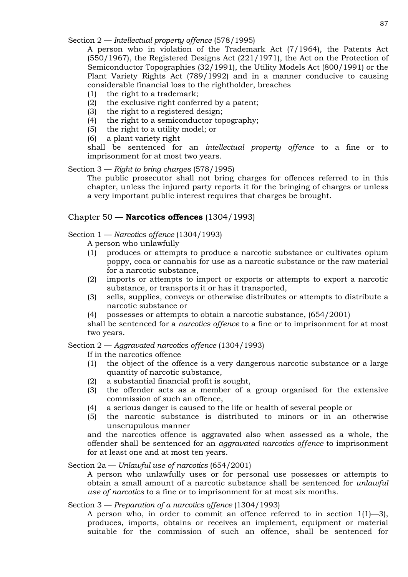Section 2 — *Intellectual property offence* (578/1995)

A person who in violation of the Trademark Act (7/1964), the Patents Act (550/1967), the Registered Designs Act (221/1971), the Act on the Protection of Semiconductor Topographies (32/1991), the Utility Models Act (800/1991) or the Plant Variety Rights Act (789/1992) and in a manner conducive to causing considerable financial loss to the rightholder, breaches

- (1) the right to a trademark;
- (2) the exclusive right conferred by a patent;
- (3) the right to a registered design;
- (4) the right to a semiconductor topography;
- (5) the right to a utility model; or
- (6) a plant variety right

shall be sentenced for an *intellectual property offence* to a fine or to imprisonment for at most two years.

## Section 3 — *Right to bring charges* (578/1995)

The public prosecutor shall not bring charges for offences referred to in this chapter, unless the injured party reports it for the bringing of charges or unless a very important public interest requires that charges be brought.

### Chapter 50 — **Narcotics offences** (1304/1993)

### Section 1 — *Narcotics offence* (1304/1993)

A person who unlawfully

- (1) produces or attempts to produce a narcotic substance or cultivates opium poppy, coca or cannabis for use as a narcotic substance or the raw material for a narcotic substance,
- (2) imports or attempts to import or exports or attempts to export a narcotic substance, or transports it or has it transported,
- (3) sells, supplies, conveys or otherwise distributes or attempts to distribute a narcotic substance or
- (4) possesses or attempts to obtain a narcotic substance, (654/2001)

shall be sentenced for a *narcotics offence* to a fine or to imprisonment for at most two years.

Section 2 — *Aggravated narcotics offence* (1304/1993)

If in the narcotics offence

- (1) the object of the offence is a very dangerous narcotic substance or a large quantity of narcotic substance,
- (2) a substantial financial profit is sought,
- (3) the offender acts as a member of a group organised for the extensive commission of such an offence,
- (4) a serious danger is caused to the life or health of several people or
- (5) the narcotic substance is distributed to minors or in an otherwise unscrupulous manner

and the narcotics offence is aggravated also when assessed as a whole, the offender shall be sentenced for an *aggravated narcotics offence* to imprisonment for at least one and at most ten years.

### Section 2a — *Unlawful use of narcotics* (654/2001)

A person who unlawfully uses or for personal use possesses or attempts to obtain a small amount of a narcotic substance shall be sentenced for *unlawful use of narcotics* to a fine or to imprisonment for at most six months.

### Section 3 — *Preparation of a narcotics offence* (1304/1993)

A person who, in order to commit an offence referred to in section 1(1)—3), produces, imports, obtains or receives an implement, equipment or material suitable for the commission of such an offence, shall be sentenced for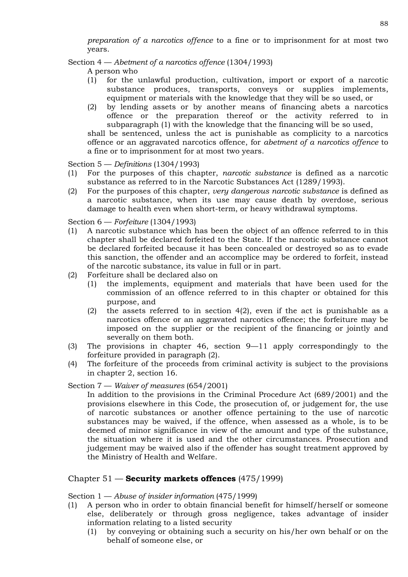*preparation of a narcotics offence* to a fine or to imprisonment for at most two years.

Section 4 — *Abetment of a narcotics offence* (1304/1993)

A person who

- (1) for the unlawful production, cultivation, import or export of a narcotic substance produces, transports, conveys or supplies implements, equipment or materials with the knowledge that they will be so used, or
- (2) by lending assets or by another means of financing abets a narcotics offence or the preparation thereof or the activity referred to in subparagraph (1) with the knowledge that the financing will be so used, shall be sentenced, unless the act is punishable as complicity to a narcotics

offence or an aggravated narcotics offence, for *abetment of a narcotics offence* to a fine or to imprisonment for at most two years.

Section 5 — *Definitions* (1304/1993)

- (1) For the purposes of this chapter, *narcotic substance* is defined as a narcotic substance as referred to in the Narcotic Substances Act (1289/1993).
- (2) For the purposes of this chapter, *very dangerous narcotic substance* is defined as a narcotic substance, when its use may cause death by overdose, serious damage to health even when short-term, or heavy withdrawal symptoms.

Section 6 — *Forfeiture* (1304/1993)

- (1) A narcotic substance which has been the object of an offence referred to in this chapter shall be declared forfeited to the State. If the narcotic substance cannot be declared forfeited because it has been concealed or destroyed so as to evade this sanction, the offender and an accomplice may be ordered to forfeit, instead of the narcotic substance, its value in full or in part.
- (2) Forfeiture shall be declared also on
	- (1) the implements, equipment and materials that have been used for the commission of an offence referred to in this chapter or obtained for this purpose, and
	- (2) the assets referred to in section 4(2), even if the act is punishable as a narcotics offence or an aggravated narcotics offence; the forfeiture may be imposed on the supplier or the recipient of the financing or jointly and severally on them both.
- (3) The provisions in chapter 46, section 9—11 apply correspondingly to the forfeiture provided in paragraph (2).
- (4) The forfeiture of the proceeds from criminal activity is subject to the provisions in chapter 2, section 16.

Section 7 — *Waiver of measures* (654/2001)

In addition to the provisions in the Criminal Procedure Act (689/2001) and the provisions elsewhere in this Code, the prosecution of, or judgement for, the use of narcotic substances or another offence pertaining to the use of narcotic substances may be waived, if the offence, when assessed as a whole, is to be deemed of minor significance in view of the amount and type of the substance, the situation where it is used and the other circumstances. Prosecution and judgement may be waived also if the offender has sought treatment approved by the Ministry of Health and Welfare.

# Chapter 51 — **Security markets offences** (475/1999)

Section 1 — *Abuse of insider information* (475/1999)

- (1) A person who in order to obtain financial benefit for himself/herself or someone else, deliberately or through gross negligence, takes advantage of insider information relating to a listed security
	- (1) by conveying or obtaining such a security on his/her own behalf or on the behalf of someone else, or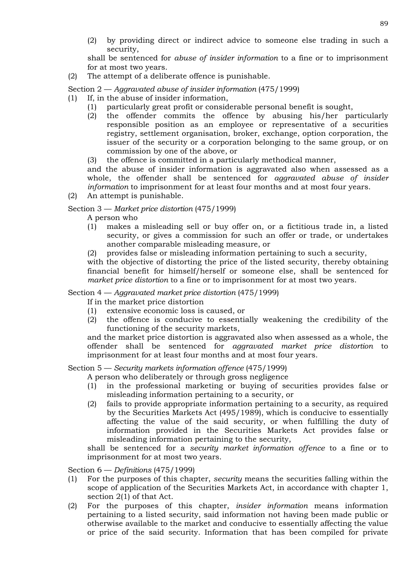(2) by providing direct or indirect advice to someone else trading in such a security,

shall be sentenced for *abuse of insider information* to a fine or to imprisonment for at most two years.

(2) The attempt of a deliberate offence is punishable.

## Section 2 — *Aggravated abuse of insider information* (475/1999)

- (1) If, in the abuse of insider information,
	- (1) particularly great profit or considerable personal benefit is sought,
	- (2) the offender commits the offence by abusing his/her particularly responsible position as an employee or representative of a securities registry, settlement organisation, broker, exchange, option corporation, the issuer of the security or a corporation belonging to the same group, or on commission by one of the above, or
	- (3) the offence is committed in a particularly methodical manner,

and the abuse of insider information is aggravated also when assessed as a whole, the offender shall be sentenced for *aggravated abuse of insider information* to imprisonment for at least four months and at most four years.

(2) An attempt is punishable.

Section 3 — *Market price distortion* (475/1999)

A person who

- (1) makes a misleading sell or buy offer on, or a fictitious trade in, a listed security, or gives a commission for such an offer or trade, or undertakes another comparable misleading measure, or
- (2) provides false or misleading information pertaining to such a security,

with the objective of distorting the price of the listed security, thereby obtaining financial benefit for himself/herself or someone else, shall be sentenced for *market price distortion* to a fine or to imprisonment for at most two years.

## Section 4 — *Aggravated market price distortion* (475/1999)

If in the market price distortion

- (1) extensive economic loss is caused, or
- (2) the offence is conducive to essentially weakening the credibility of the functioning of the security markets,

and the market price distortion is aggravated also when assessed as a whole, the offender shall be sentenced for *aggravated market price distortion* to imprisonment for at least four months and at most four years.

Section 5 — *Security markets information offence* (475/1999)

A person who deliberately or through gross negligence

- (1) in the professional marketing or buying of securities provides false or misleading information pertaining to a security, or
- (2) fails to provide appropriate information pertaining to a security, as required by the Securities Markets Act (495/1989), which is conducive to essentially affecting the value of the said security, or when fulfilling the duty of information provided in the Securities Markets Act provides false or misleading information pertaining to the security,

shall be sentenced for a *security market information offence* to a fine or to imprisonment for at most two years.

Section 6 — *Definitions* (475/1999)

- (1) For the purposes of this chapter, *security* means the securities falling within the scope of application of the Securities Markets Act, in accordance with chapter 1, section 2(1) of that Act.
- (2) For the purposes of this chapter, *insider information* means information pertaining to a listed security, said information not having been made public or otherwise available to the market and conducive to essentially affecting the value or price of the said security. Information that has been compiled for private